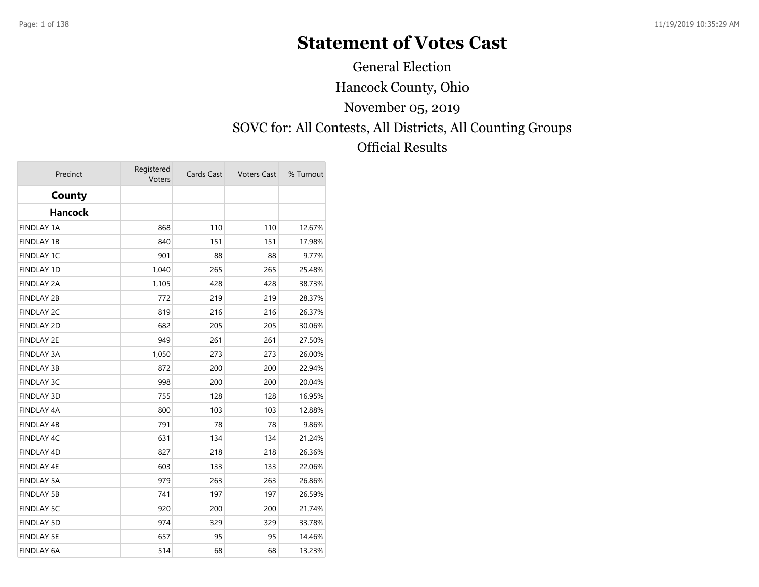## **Statement of Votes Cast**

Hancock County, Ohio SOVC for: All Contests, All Districts, All Counting Groups Official Results November 05, 2019 General Election

| Precinct          | Registered<br>Voters | Cards Cast | <b>Voters Cast</b> | % Turnout |
|-------------------|----------------------|------------|--------------------|-----------|
| County            |                      |            |                    |           |
| <b>Hancock</b>    |                      |            |                    |           |
| <b>FINDLAY 1A</b> | 868                  | 110        | 110                | 12.67%    |
| <b>FINDLAY 1B</b> | 840                  | 151        | 151                | 17.98%    |
| <b>FINDLAY 1C</b> | 901                  | 88         | 88                 | 9.77%     |
| <b>FINDLAY 1D</b> | 1,040                | 265        | 265                | 25.48%    |
| <b>FINDLAY 2A</b> | 1,105                | 428        | 428                | 38.73%    |
| <b>FINDLAY 2B</b> | 772                  | 219        | 219                | 28.37%    |
| <b>FINDLAY 2C</b> | 819                  | 216        | 216                | 26.37%    |
| <b>FINDLAY 2D</b> | 682                  | 205        | 205                | 30.06%    |
| <b>FINDLAY 2E</b> | 949                  | 261        | 261                | 27.50%    |
| <b>FINDLAY 3A</b> | 1,050                | 273        | 273                | 26.00%    |
| <b>FINDLAY 3B</b> | 872                  | 200        | 200                | 22.94%    |
| <b>FINDLAY 3C</b> | 998                  | 200        | 200                | 20.04%    |
| <b>FINDLAY 3D</b> | 755                  | 128        | 128                | 16.95%    |
| <b>FINDLAY 4A</b> | 800                  | 103        | 103                | 12.88%    |
| <b>FINDLAY 4B</b> | 791                  | 78         | 78                 | 9.86%     |
| FINDLAY 4C        | 631                  | 134        | 134                | 21.24%    |
| <b>FINDLAY 4D</b> | 827                  | 218        | 218                | 26.36%    |
| FINDLAY 4E        | 603                  | 133        | 133                | 22.06%    |
| <b>FINDLAY 5A</b> | 979                  | 263        | 263                | 26.86%    |
| <b>FINDLAY 5B</b> | 741                  | 197        | 197                | 26.59%    |
| <b>FINDLAY 5C</b> | 920                  | 200        | 200                | 21.74%    |
| <b>FINDLAY 5D</b> | 974                  | 329        | 329                | 33.78%    |
| <b>FINDLAY 5E</b> | 657                  | 95         | 95                 | 14.46%    |
| <b>FINDLAY 6A</b> | 514                  | 68         | 68                 | 13.23%    |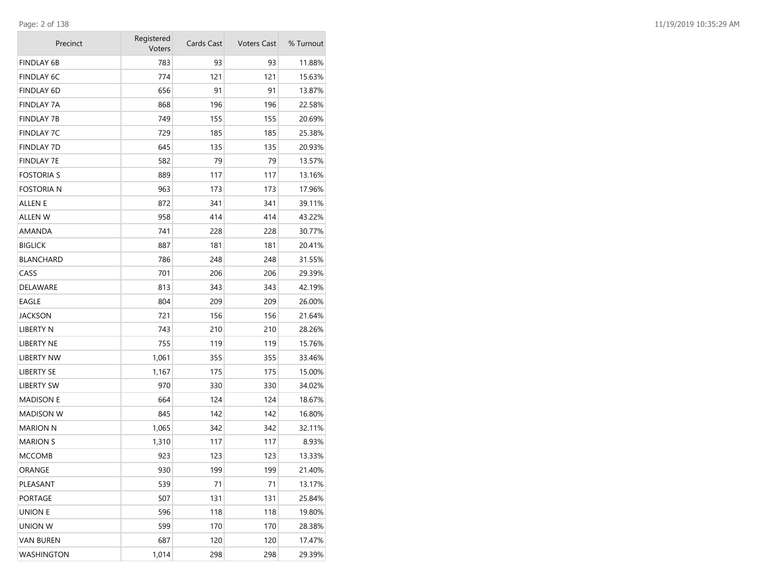| Precinct          | Registered<br>Voters | Cards Cast | <b>Voters Cast</b> | % Turnout |
|-------------------|----------------------|------------|--------------------|-----------|
| FINDLAY 6B        | 783                  | 93         | 93                 | 11.88%    |
| <b>FINDLAY 6C</b> | 774                  | 121        | 121                | 15.63%    |
| <b>FINDLAY 6D</b> | 656                  | 91         | 91                 | 13.87%    |
| <b>FINDLAY 7A</b> | 868                  | 196        | 196                | 22.58%    |
| FINDLAY 7B        | 749                  | 155        | 155                | 20.69%    |
| FINDLAY 7C        | 729                  | 185        | 185                | 25.38%    |
| <b>FINDLAY 7D</b> | 645                  | 135        | 135                | 20.93%    |
| FINDLAY 7E        | 582                  | 79         | 79                 | 13.57%    |
| FOSTORIA S        | 889                  | 117        | 117                | 13.16%    |
| fostoria n        | 963                  | 173        | 173                | 17.96%    |
| ALLEN E           | 872                  | 341        | 341                | 39.11%    |
| ALLEN W           | 958                  | 414        | 414                | 43.22%    |
| AMANDA            | 741                  | 228        | 228                | 30.77%    |
| <b>BIGLICK</b>    | 887                  | 181        | 181                | 20.41%    |
| BLANCHARD         | 786                  | 248        | 248                | 31.55%    |
| CASS              | 701                  | 206        | 206                | 29.39%    |
| DELAWARE          | 813                  | 343        | 343                | 42.19%    |
| EAGLE             | 804                  | 209        | 209                | 26.00%    |
| JACKSON           | 721                  | 156        | 156                | 21.64%    |
| LIBERTY N         | 743                  | 210        | 210                | 28.26%    |
| LIBERTY NE        | 755                  | 119        | 119                | 15.76%    |
| LIBERTY NW        | 1,061                | 355        | 355                | 33.46%    |
| LIBERTY SE        | 1,167                | 175        | 175                | 15.00%    |
| LIBERTY SW        | 970                  | 330        | 330                | 34.02%    |
| <b>MADISON E</b>  | 664                  | 124        | 124                | 18.67%    |
| <b>MADISON W</b>  | 845                  | 142        | 142                | 16.80%    |
| MARION N          | 1,065                | 342        | 342                | 32.11%    |
| <b>MARION S</b>   | 1,310                | 117        | 117                | 8.93%     |
| MCCOMB            | 923                  | 123        | 123                | 13.33%    |
| ORANGE            | 930                  | 199        | 199                | 21.40%    |
| PLEASANT          | 539                  | 71         | 71                 | 13.17%    |
| PORTAGE           | 507                  | 131        | 131                | 25.84%    |
| union e           | 596                  | 118        | 118                | 19.80%    |
| UNION W           | 599                  | 170        | 170                | 28.38%    |
| VAN BUREN         | 687                  | 120        | 120                | 17.47%    |
| WASHINGTON        | 1,014                | 298        | 298                | 29.39%    |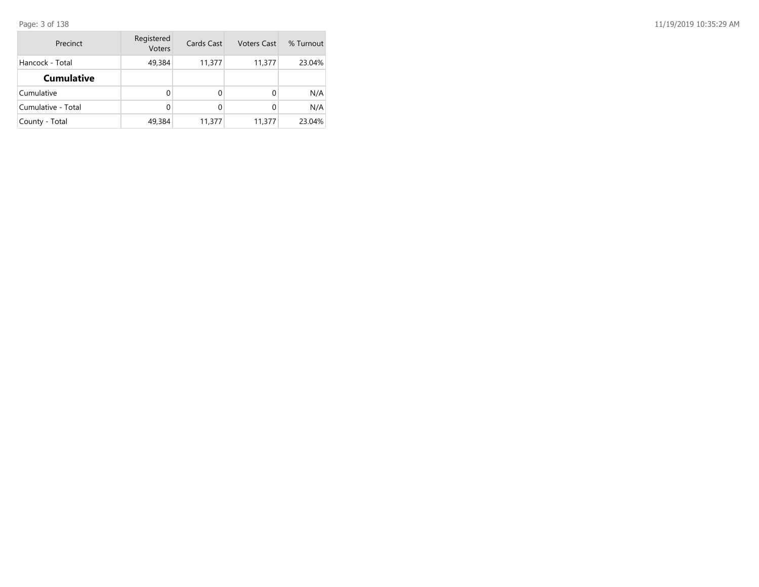| Precinct           | Registered<br>Voters | Cards Cast | <b>Voters Cast</b> | % Turnout |
|--------------------|----------------------|------------|--------------------|-----------|
| Hancock - Total    | 49,384               | 11,377     | 11,377             | 23.04%    |
| <b>Cumulative</b>  |                      |            |                    |           |
| Cumulative         | 0                    | 0          |                    | N/A       |
| Cumulative - Total | 0                    | 0          |                    | N/A       |
| County - Total     | 49,384               | 11,377     | 11,377             | 23.04%    |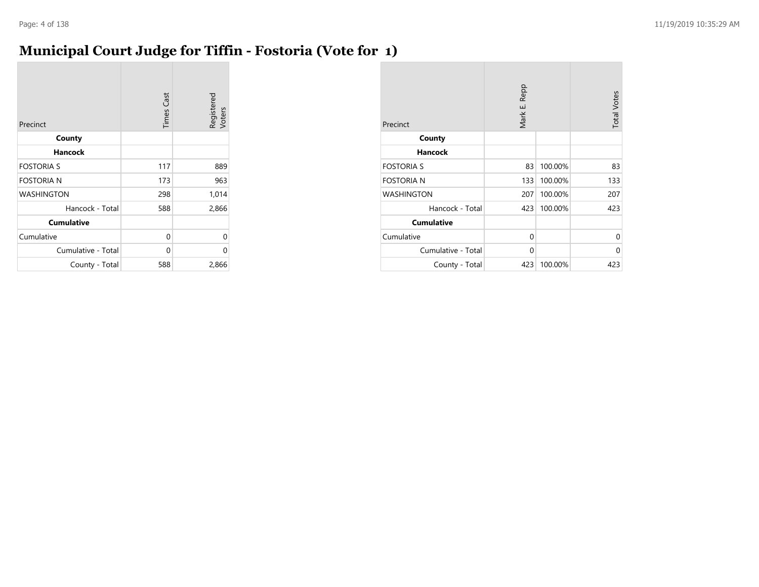#### **Municipal Court Judge for Tiffin - Fostoria (Vote for 1)**

| Precinct           | <b>Times Cast</b> | Registered<br>Voters |
|--------------------|-------------------|----------------------|
| County             |                   |                      |
| <b>Hancock</b>     |                   |                      |
| <b>FOSTORIA S</b>  | 117               | 889                  |
| <b>FOSTORIA N</b>  | 173               | 963                  |
| <b>WASHINGTON</b>  | 298               | 1,014                |
| Hancock - Total    | 588               | 2,866                |
| <b>Cumulative</b>  |                   |                      |
| Cumulative         | 0                 | 0                    |
| Cumulative - Total | $\Omega$          | 0                    |
| County - Total     | 588               | 2,866                |

| Precinct           | Mark E. Repp |         | <b>Total Votes</b> |
|--------------------|--------------|---------|--------------------|
| County             |              |         |                    |
| <b>Hancock</b>     |              |         |                    |
| <b>FOSTORIA S</b>  | 83           | 100.00% | 83                 |
| <b>FOSTORIA N</b>  | 133          | 100.00% | 133                |
| <b>WASHINGTON</b>  | 207          | 100.00% | 207                |
| Hancock - Total    | 423          | 100.00% | 423                |
| <b>Cumulative</b>  |              |         |                    |
| Cumulative         | $\Omega$     |         | 0                  |
| Cumulative - Total | 0            |         | 0                  |
| County - Total     | 423          | 100.00% | 423                |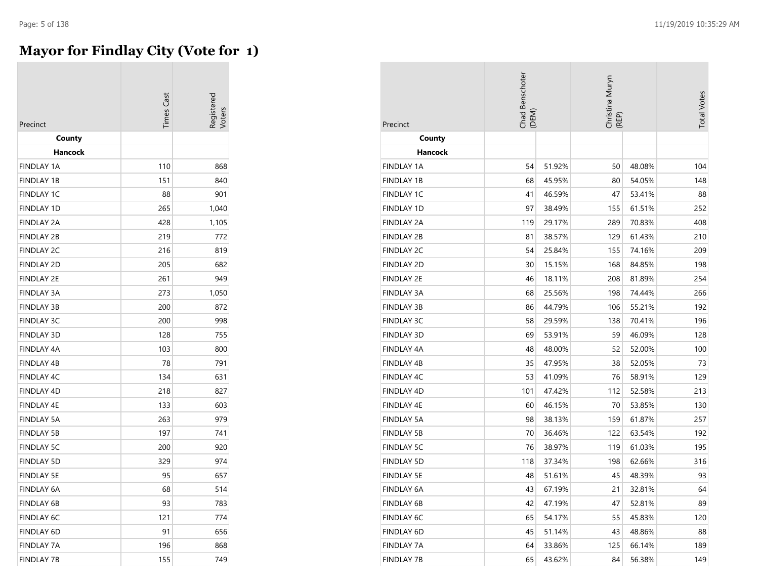#### **Mayor for Findlay City (Vote for 1)**

| Precinct          | imes Cast |       |
|-------------------|-----------|-------|
| County            |           |       |
| Hancock           |           |       |
| <b>FINDLAY 1A</b> | 110       | 868   |
| <b>FINDLAY 1B</b> | 151       | 840   |
| <b>FINDLAY 1C</b> | 88        | 901   |
| <b>FINDLAY 1D</b> | 265       | 1,040 |
| <b>FINDLAY 2A</b> | 428       | 1,105 |
| <b>FINDLAY 2B</b> | 219       | 772   |
| <b>FINDLAY 2C</b> | 216       | 819   |
| <b>FINDLAY 2D</b> | 205       | 682   |
| <b>FINDLAY 2E</b> | 261       | 949   |
| <b>FINDLAY 3A</b> | 273       | 1,050 |
| <b>FINDLAY 3B</b> | 200       | 872   |
| <b>FINDLAY 3C</b> | 200       | 998   |
| <b>FINDLAY 3D</b> | 128       | 755   |
| <b>FINDLAY 4A</b> | 103       | 800   |
| <b>FINDLAY 4B</b> | 78        | 791   |
| <b>FINDLAY 4C</b> | 134       | 631   |
| FINDLAY 4D        | 218       | 827   |
| <b>FINDLAY 4E</b> | 133       | 603   |
| <b>FINDLAY 5A</b> | 263       | 979   |
| <b>FINDLAY 5B</b> | 197       | 741   |
| <b>FINDLAY 5C</b> | 200       | 920   |
| <b>FINDLAY 5D</b> | 329       | 974   |
| <b>FINDLAY 5E</b> | 95        | 657   |
| <b>FINDLAY 6A</b> | 68        | 514   |
| <b>FINDLAY 6B</b> | 93        | 783   |
| <b>FINDLAY 6C</b> | 121       | 774   |
| <b>FINDLAY 6D</b> | 91        | 656   |
| <b>FINDLAY 7A</b> | 196       | 868   |
| <b>FINDLAY 7B</b> | 155       | 749   |

| Precinct          | Chad Benschoter<br>(DEM) |        | Christina Muryn<br>(REP) |        | <b>Total Votes</b> |
|-------------------|--------------------------|--------|--------------------------|--------|--------------------|
| County            |                          |        |                          |        |                    |
| Hancock           |                          |        |                          |        |                    |
| <b>FINDLAY 1A</b> | 54                       | 51.92% | 50                       | 48.08% | 104                |
| <b>FINDLAY 1B</b> | 68                       | 45.95% | 80                       | 54.05% | 148                |
| <b>FINDLAY 1C</b> | 41                       | 46.59% | 47                       | 53.41% | 88                 |
| <b>FINDLAY 1D</b> | 97                       | 38.49% | 155                      | 61.51% | 252                |
| FINDLAY 2A        | 119                      | 29.17% | 289                      | 70.83% | 408                |
| <b>FINDLAY 2B</b> | 81                       | 38.57% | 129                      | 61.43% | 210                |
| <b>FINDLAY 2C</b> | 54                       | 25.84% | 155                      | 74.16% | 209                |
| <b>FINDLAY 2D</b> | 30                       | 15.15% | 168                      | 84.85% | 198                |
| <b>FINDLAY 2E</b> | 46                       | 18.11% | 208                      | 81.89% | 254                |
| <b>FINDLAY 3A</b> | 68                       | 25.56% | 198                      | 74.44% | 266                |
| <b>FINDLAY 3B</b> | 86                       | 44.79% | 106                      | 55.21% | 192                |
| <b>FINDLAY 3C</b> | 58                       | 29.59% | 138                      | 70.41% | 196                |
| <b>FINDLAY 3D</b> | 69                       | 53.91% | 59                       | 46.09% | 128                |
| FINDLAY 4A        | 48                       | 48.00% | 52                       | 52.00% | 100                |
| <b>FINDLAY 4B</b> | 35                       | 47.95% | 38                       | 52.05% | 73                 |
| <b>FINDLAY 4C</b> | 53                       | 41.09% | 76                       | 58.91% | 129                |
| <b>FINDLAY 4D</b> | 101                      | 47.42% | 112                      | 52.58% | 213                |
| <b>FINDLAY 4E</b> | 60                       | 46.15% | 70                       | 53.85% | 130                |
| FINDLAY 5A        | 98                       | 38.13% | 159                      | 61.87% | 257                |
| <b>FINDLAY 5B</b> | 70                       | 36.46% | 122                      | 63.54% | 192                |
| <b>FINDLAY 5C</b> | 76                       | 38.97% | 119                      | 61.03% | 195                |
| <b>FINDLAY 5D</b> | 118                      | 37.34% | 198                      | 62.66% | 316                |
| <b>FINDLAY 5E</b> | 48                       | 51.61% | 45                       | 48.39% | 93                 |
| FINDLAY 6A        | 43                       | 67.19% | 21                       | 32.81% | 64                 |
| <b>FINDLAY 6B</b> | 42                       | 47.19% | 47                       | 52.81% | 89                 |
| <b>FINDLAY 6C</b> | 65                       | 54.17% | 55                       | 45.83% | 120                |
| FINDLAY 6D        | 45                       | 51.14% | 43                       | 48.86% | 88                 |
| FINDLAY 7A        | 64                       | 33.86% | 125                      | 66.14% | 189                |
| <b>FINDLAY 7B</b> | 65                       | 43.62% | 84                       | 56.38% | 149                |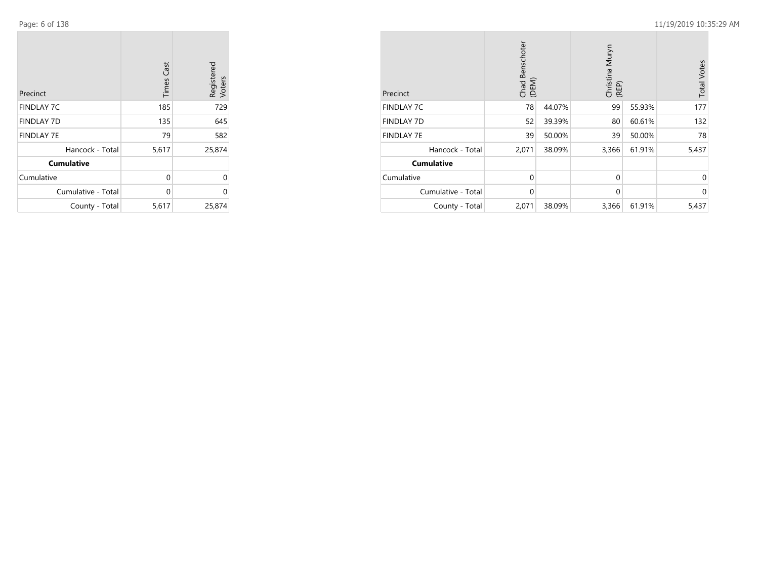Page: 6 of 138

 $\sim$ 

|                    | <b>Times Cast</b> | Registered<br>Voters |
|--------------------|-------------------|----------------------|
| Precinct           |                   |                      |
| <b>FINDLAY 7C</b>  | 185               | 729                  |
| <b>FINDLAY 7D</b>  | 135               | 645                  |
| <b>FINDLAY 7E</b>  | 79                | 582                  |
| Hancock - Total    | 5,617             | 25,874               |
| <b>Cumulative</b>  |                   |                      |
| Cumulative         | $\Omega$          | $\Omega$             |
| Cumulative - Total | $\Omega$          | $\Omega$             |
| County - Total     | 5,617             | 25,874               |

| Precinct           | Chad Benschoter<br>(DEM) |        | Christina Muryn<br>(REP) |        | <b>Total Votes</b> |
|--------------------|--------------------------|--------|--------------------------|--------|--------------------|
| <b>FINDLAY 7C</b>  | 78                       | 44.07% | 99                       | 55.93% | 177                |
| <b>FINDLAY 7D</b>  | 52                       | 39.39% | 80                       | 60.61% | 132                |
| <b>FINDLAY 7E</b>  | 39                       | 50.00% | 39                       | 50.00% | 78                 |
| Hancock - Total    | 2,071                    | 38.09% | 3,366                    | 61.91% | 5,437              |
| <b>Cumulative</b>  |                          |        |                          |        |                    |
| Cumulative         | $\Omega$                 |        | $\mathbf 0$              |        | $\Omega$           |
| Cumulative - Total | $\mathbf 0$              |        | $\mathbf 0$              |        | $\Omega$           |
| County - Total     | 2,071                    | 38.09% | 3,366                    | 61.91% | 5,437              |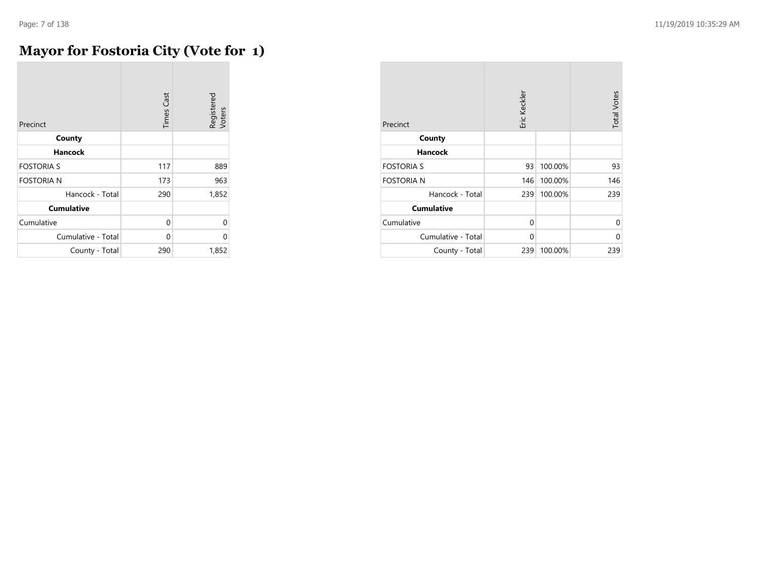$\sim$ 

### **Mayor for Fostoria City (Vote for 1)**

| Precinct           | <b>Times Cast</b> | Registered<br>Voters |
|--------------------|-------------------|----------------------|
| County             |                   |                      |
| Hancock            |                   |                      |
| <b>FOSTORIA S</b>  | 117               | 889                  |
| <b>FOSTORIA N</b>  | 173               | 963                  |
| Hancock - Total    | 290               | 1,852                |
| <b>Cumulative</b>  |                   |                      |
| Cumulative         | 0                 | $\Omega$             |
| Cumulative - Total | 0                 | $\Omega$             |
| County - Total     | 290               | 1,852                |

| Precinct           | Eric Keckler | <b>Total Votes</b> |          |
|--------------------|--------------|--------------------|----------|
| County             |              |                    |          |
| <b>Hancock</b>     |              |                    |          |
| <b>FOSTORIA S</b>  | 93           | 100.00%            | 93       |
| <b>FOSTORIA N</b>  | 146          | 100.00%            | 146      |
| Hancock - Total    | 239          | 100.00%            | 239      |
| <b>Cumulative</b>  |              |                    |          |
| Cumulative         | $\Omega$     |                    | $\Omega$ |
| Cumulative - Total | $\Omega$     |                    | 0        |
| County - Total     | 239          | 100.00%            | 239      |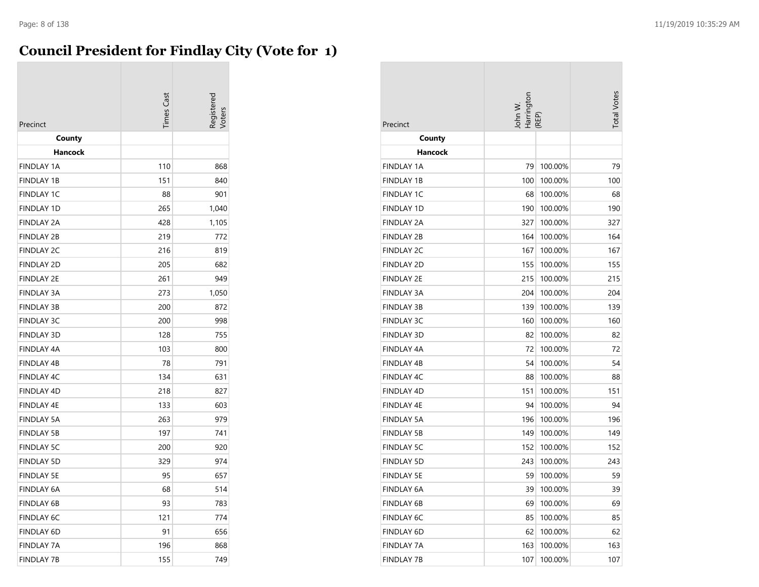#### **Council President for Findlay City (Vote for 1)**

| Precinct          | imes Cast |       |
|-------------------|-----------|-------|
| County            |           |       |
| Hancock           |           |       |
| <b>FINDLAY 1A</b> | 110       | 868   |
| <b>FINDLAY 1B</b> | 151       | 840   |
| <b>FINDLAY 1C</b> | 88        | 901   |
| <b>FINDLAY 1D</b> | 265       | 1,040 |
| <b>FINDLAY 2A</b> | 428       | 1,105 |
| <b>FINDLAY 2B</b> | 219       | 772   |
| <b>FINDLAY 2C</b> | 216       | 819   |
| <b>FINDLAY 2D</b> | 205       | 682   |
| <b>FINDLAY 2E</b> | 261       | 949   |
| <b>FINDLAY 3A</b> | 273       | 1,050 |
| <b>FINDLAY 3B</b> | 200       | 872   |
| <b>FINDLAY 3C</b> | 200       | 998   |
| <b>FINDLAY 3D</b> | 128       | 755   |
| <b>FINDLAY 4A</b> | 103       | 800   |
| <b>FINDLAY 4B</b> | 78        | 791   |
| FINDLAY 4C        | 134       | 631   |
| <b>FINDLAY 4D</b> | 218       | 827   |
| <b>FINDLAY 4E</b> | 133       | 603   |
| <b>FINDLAY 5A</b> | 263       | 979   |
| <b>FINDLAY 5B</b> | 197       | 741   |
| <b>FINDLAY 5C</b> | 200       | 920   |
| <b>FINDLAY 5D</b> | 329       | 974   |
| <b>FINDLAY 5E</b> | 95        | 657   |
| <b>FINDLAY 6A</b> | 68        | 514   |
| <b>FINDLAY 6B</b> | 93        | 783   |
| <b>FINDLAY 6C</b> | 121       | 774   |
| FINDLAY 6D        | 91        | 656   |
| <b>FINDLAY 7A</b> | 196       | 868   |
| <b>FINDLAY 7B</b> | 155       | 749   |

| Precinct          | John W.<br>Harrington | REP)    |     |
|-------------------|-----------------------|---------|-----|
| County            |                       |         |     |
| Hancock           |                       |         |     |
| <b>FINDLAY 1A</b> | 79                    | 100.00% | 79  |
| <b>FINDLAY 1B</b> | 100                   | 100.00% | 100 |
| <b>FINDLAY 1C</b> | 68                    | 100.00% | 68  |
| <b>FINDLAY 1D</b> | 190                   | 100.00% | 190 |
| <b>FINDLAY 2A</b> | 327                   | 100.00% | 327 |
| <b>FINDLAY 2B</b> | 164                   | 100.00% | 164 |
| <b>FINDLAY 2C</b> | 167                   | 100.00% | 167 |
| <b>FINDLAY 2D</b> | 155                   | 100.00% | 155 |
| <b>FINDLAY 2E</b> | 215                   | 100.00% | 215 |
| <b>FINDLAY 3A</b> | 204                   | 100.00% | 204 |
| <b>FINDLAY 3B</b> | 139                   | 100.00% | 139 |
| <b>FINDLAY 3C</b> | 160                   | 100.00% | 160 |
| <b>FINDLAY 3D</b> | 82                    | 100.00% | 82  |
| <b>FINDLAY 4A</b> | 72                    | 100.00% | 72  |
| <b>FINDLAY 4B</b> | 54                    | 100.00% | 54  |
| <b>FINDLAY 4C</b> | 88                    | 100.00% | 88  |
| <b>FINDLAY 4D</b> | 151                   | 100.00% | 151 |
| <b>FINDLAY 4E</b> | 94                    | 100.00% | 94  |
| <b>FINDLAY 5A</b> | 196                   | 100.00% | 196 |
| <b>FINDLAY 5B</b> | 149                   | 100.00% | 149 |
| FINDLAY 5C        | 152                   | 100.00% | 152 |
| <b>FINDLAY 5D</b> | 243                   | 100.00% | 243 |
| <b>FINDLAY 5E</b> | 59                    | 100.00% | 59  |
| <b>FINDLAY 6A</b> | 39                    | 100.00% | 39  |
| <b>FINDLAY 6B</b> | 69                    | 100.00% | 69  |
| <b>FINDLAY 6C</b> | 85                    | 100.00% | 85  |
| <b>FINDLAY 6D</b> | 62                    | 100.00% | 62  |
| <b>FINDLAY 7A</b> | 163                   | 100.00% | 163 |
| <b>FINDLAY 7B</b> | 107                   | 100.00% | 107 |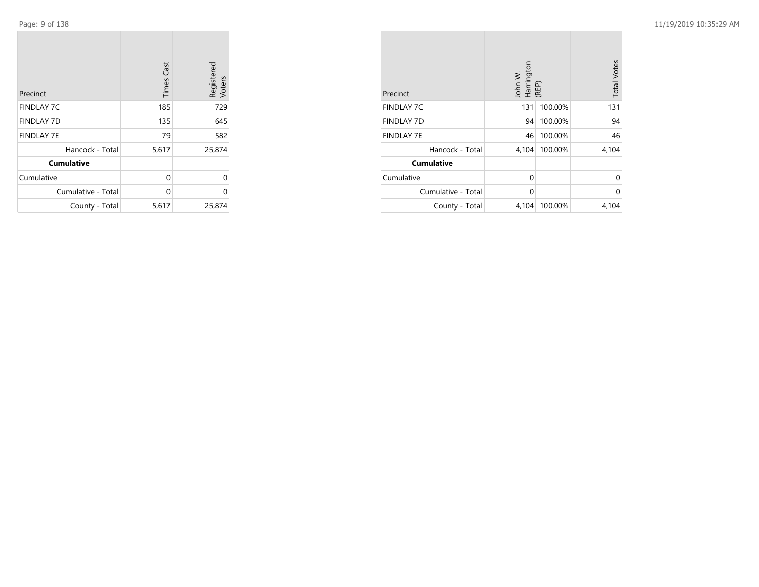**College** 

| Precinct           | <b>Times Cast</b> | Registered<br>Voters |
|--------------------|-------------------|----------------------|
| <b>FINDLAY 7C</b>  | 185               | 729                  |
| <b>FINDLAY 7D</b>  | 135               | 645                  |
| <b>FINDLAY 7E</b>  | 79                | 582                  |
| Hancock - Total    | 5,617             | 25,874               |
| <b>Cumulative</b>  |                   |                      |
| Cumulative         | 0                 | 0                    |
| Cumulative - Total | 0                 | 0                    |
| County - Total     | 5,617             | 25,874               |

 $\mathcal{L}(\mathcal{A})$ 

| Precinct           | John W.<br>Harrington<br>(REP) |         | <b>Total Votes</b> |
|--------------------|--------------------------------|---------|--------------------|
| <b>FINDLAY 7C</b>  | 131                            | 100.00% | 131                |
| <b>FINDLAY 7D</b>  | 94                             | 100.00% | 94                 |
| <b>FINDLAY 7E</b>  | 46                             | 100.00% | 46                 |
| Hancock - Total    | 4,104                          | 100.00% | 4,104              |
| <b>Cumulative</b>  |                                |         |                    |
| Cumulative         | 0                              |         | 0                  |
| Cumulative - Total | 0                              |         | 0                  |
| County - Total     | 4,104                          | 100.00% | 4,104              |

**College**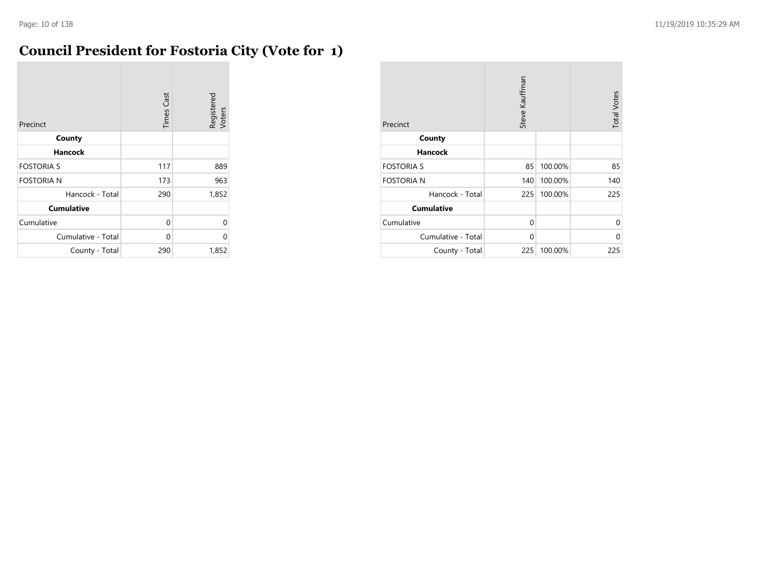$\overline{\phantom{a}}$ 

### **Council President for Fostoria City (Vote for 1)**

| Precinct           | <b>Times Cast</b> | Registered<br>Voters |
|--------------------|-------------------|----------------------|
| County             |                   |                      |
| Hancock            |                   |                      |
| <b>FOSTORIA S</b>  | 117               | 889                  |
| <b>FOSTORIA N</b>  | 173               | 963                  |
| Hancock - Total    | 290               | 1,852                |
| <b>Cumulative</b>  |                   |                      |
| Cumulative         | 0                 | 0                    |
| Cumulative - Total | 0                 | 0                    |
| County - Total     | 290               | 1,852                |

| Precinct           | Steve Kauffman |         | <b>Total Votes</b> |
|--------------------|----------------|---------|--------------------|
| County             |                |         |                    |
| <b>Hancock</b>     |                |         |                    |
| <b>FOSTORIA S</b>  | 85             | 100.00% | 85                 |
| <b>FOSTORIA N</b>  | 140            | 100.00% | 140                |
| Hancock - Total    | 225            | 100.00% | 225                |
| <b>Cumulative</b>  |                |         |                    |
| Cumulative         | 0              |         | 0                  |
| Cumulative - Total | $\Omega$       |         | $\Omega$           |
| County - Total     | 225            | 100.00% | 225                |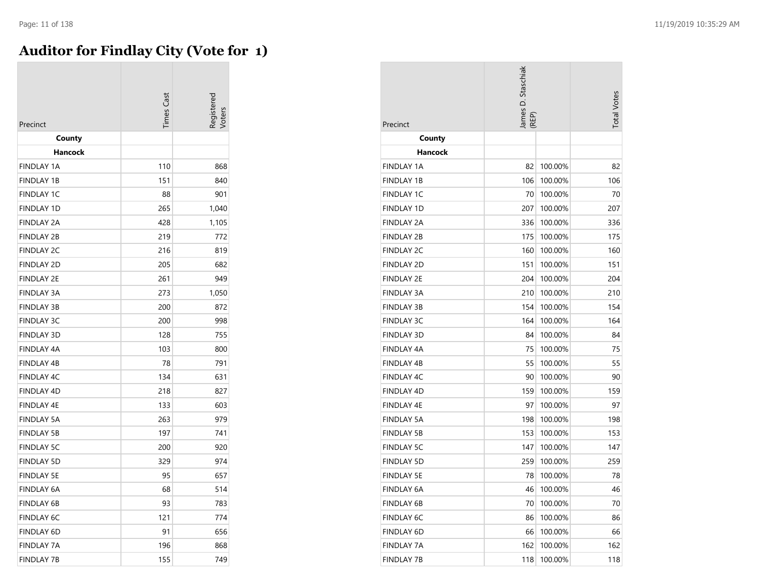#### **Auditor for Findlay City (Vote for 1)**

| Precinct          | <b>Times</b> Cast | egistered |
|-------------------|-------------------|-----------|
| County<br>Hancock |                   |           |
| <b>FINDLAY 1A</b> | 110               | 868       |
| <b>FINDLAY 1B</b> | 151               | 840       |
| <b>FINDLAY 1C</b> | 88                | 901       |
| <b>FINDLAY 1D</b> | 265               | 1,040     |
| <b>FINDLAY 2A</b> | 428               | 1,105     |
| <b>FINDLAY 2B</b> | 219               | 772       |
| <b>FINDLAY 2C</b> | 216               | 819       |
| <b>FINDLAY 2D</b> | 205               | 682       |
| <b>FINDLAY 2E</b> | 261               | 949       |
| <b>FINDLAY 3A</b> | 273               | 1,050     |
| <b>FINDLAY 3B</b> | 200               | 872       |
| <b>FINDLAY 3C</b> | 200               | 998       |
| <b>FINDLAY 3D</b> | 128               | 755       |
| <b>FINDLAY 4A</b> | 103               | 800       |
| <b>FINDLAY 4B</b> | 78                | 791       |
| <b>FINDLAY 4C</b> | 134               | 631       |
| <b>FINDLAY 4D</b> | 218               | 827       |
| <b>FINDLAY 4E</b> | 133               | 603       |
| <b>FINDLAY 5A</b> | 263               | 979       |
| <b>FINDLAY 5B</b> | 197               | 741       |
| <b>FINDLAY 5C</b> | 200               | 920       |
| <b>FINDLAY 5D</b> | 329               | 974       |
| <b>FINDLAY 5E</b> | 95                | 657       |
| <b>FINDLAY 6A</b> | 68                | 514       |
| FINDLAY 6B        | 93                | 783       |
| <b>FINDLAY 6C</b> | 121               | 774       |
| <b>FINDLAY 6D</b> | 91                | 656       |
| <b>FINDLAY 7A</b> | 196               | 868       |
| <b>FINDLAY 7B</b> | 155               | 749       |

| Precinct          | ames D. Staschiak<br>REP) |         | <b>Total Votes</b> |
|-------------------|---------------------------|---------|--------------------|
| County            |                           |         |                    |
| <b>Hancock</b>    |                           |         |                    |
| FINDLAY 1A        | 82                        | 100.00% | 82                 |
| <b>FINDLAY 1B</b> | 106                       | 100.00% | 106                |
| <b>FINDLAY 1C</b> | 70                        | 100.00% | 70                 |
| <b>FINDLAY 1D</b> | 207                       | 100.00% | 207                |
| <b>FINDLAY 2A</b> | 336                       | 100.00% | 336                |
| FINDLAY 2B        | 175                       | 100.00% | 175                |
| <b>FINDLAY 2C</b> | 160                       | 100.00% | 160                |
| <b>FINDLAY 2D</b> | 151                       | 100.00% | 151                |
| <b>FINDLAY 2E</b> | 204                       | 100.00% | 204                |
| FINDLAY 3A        | 210                       | 100.00% | 210                |
| <b>FINDLAY 3B</b> | 154                       | 100.00% | 154                |
| <b>FINDLAY 3C</b> | 164                       | 100.00% | 164                |
| <b>FINDLAY 3D</b> | 84                        | 100.00% | 84                 |
| <b>FINDLAY 4A</b> | 75                        | 100.00% | 75                 |
| <b>FINDLAY 4B</b> | 55                        | 100.00% | 55                 |
| <b>FINDLAY 4C</b> | 90                        | 100.00% | 90                 |
| <b>FINDLAY 4D</b> | 159                       | 100.00% | 159                |
| <b>FINDLAY 4E</b> | 97                        | 100.00% | 97                 |
| <b>FINDLAY 5A</b> | 198                       | 100.00% | 198                |
| <b>FINDLAY 5B</b> | 153                       | 100.00% | 153                |
| <b>FINDLAY 5C</b> | 147                       | 100.00% | 147                |
| <b>FINDLAY 5D</b> | 259                       | 100.00% | 259                |
| FINDLAY 5E        | 78                        | 100.00% | 78                 |
| FINDLAY 6A        | 46                        | 100.00% | 46                 |
| <b>FINDLAY 6B</b> | 70                        | 100.00% | 70                 |
| <b>FINDLAY 6C</b> | 86                        | 100.00% | 86                 |
| FINDLAY 6D        | 66                        | 100.00% | 66                 |
| FINDLAY 7A        | 162                       | 100.00% | 162                |
| <b>FINDLAY 7B</b> | 118                       | 100.00% | 118                |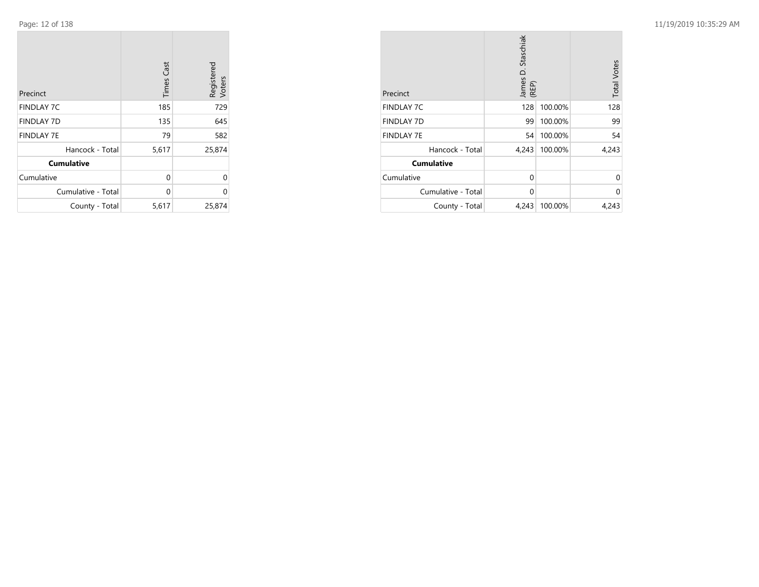$\sim$ 

| Precinct           | <b>Times Cast</b> | Registered<br>Voters |
|--------------------|-------------------|----------------------|
| <b>FINDLAY 7C</b>  | 185               | 729                  |
| <b>FINDLAY 7D</b>  | 135               | 645                  |
| <b>FINDLAY 7E</b>  | 79                | 582                  |
| Hancock - Total    | 5,617             | 25,874               |
| <b>Cumulative</b>  |                   |                      |
| Cumulative         | 0                 | 0                    |
| Cumulative - Total | 0                 | 0                    |
| County - Total     | 5,617             | 25,874               |

| Precinct           | James D. Staschiak<br>(REP) |         | <b>Total Votes</b> |
|--------------------|-----------------------------|---------|--------------------|
| <b>FINDLAY 7C</b>  | 128                         | 100.00% | 128                |
| <b>FINDLAY 7D</b>  | 99                          | 100.00% | 99                 |
| <b>FINDLAY 7E</b>  | 54                          | 100.00% | 54                 |
| Hancock - Total    | 4,243                       | 100.00% | 4,243              |
| <b>Cumulative</b>  |                             |         |                    |
| Cumulative         | $\Omega$                    |         | $\Omega$           |
| Cumulative - Total | 0                           |         | 0                  |
| County - Total     | 4,243                       | 100.00% | 4,243              |

**COL**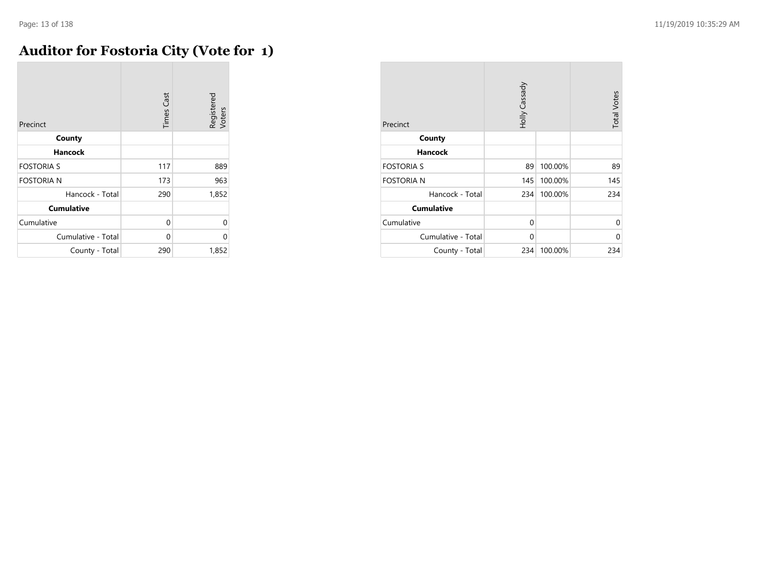### **Auditor for Fostoria City (Vote for 1)**

| Precinct           | <b>Times Cast</b> | Registered<br>Voters |
|--------------------|-------------------|----------------------|
| County             |                   |                      |
| <b>Hancock</b>     |                   |                      |
| <b>FOSTORIA S</b>  | 117               | 889                  |
| <b>FOSTORIA N</b>  | 173               | 963                  |
| Hancock - Total    | 290               | 1,852                |
| <b>Cumulative</b>  |                   |                      |
| Cumulative         | 0                 | 0                    |
| Cumulative - Total | 0                 | 0                    |
| County - Total     | 290               | 1,852                |

| Precinct           | Holly Cassady |         | <b>Total Votes</b> |
|--------------------|---------------|---------|--------------------|
| County             |               |         |                    |
| <b>Hancock</b>     |               |         |                    |
| <b>FOSTORIA S</b>  | 89            | 100.00% | 89                 |
| <b>FOSTORIA N</b>  | 145           | 100.00% | 145                |
| Hancock - Total    | 234           | 100.00% | 234                |
| <b>Cumulative</b>  |               |         |                    |
| Cumulative         | 0             |         | 0                  |
| Cumulative - Total | 0             |         | $\Omega$           |
| County - Total     | 234           | 100.00% | 234                |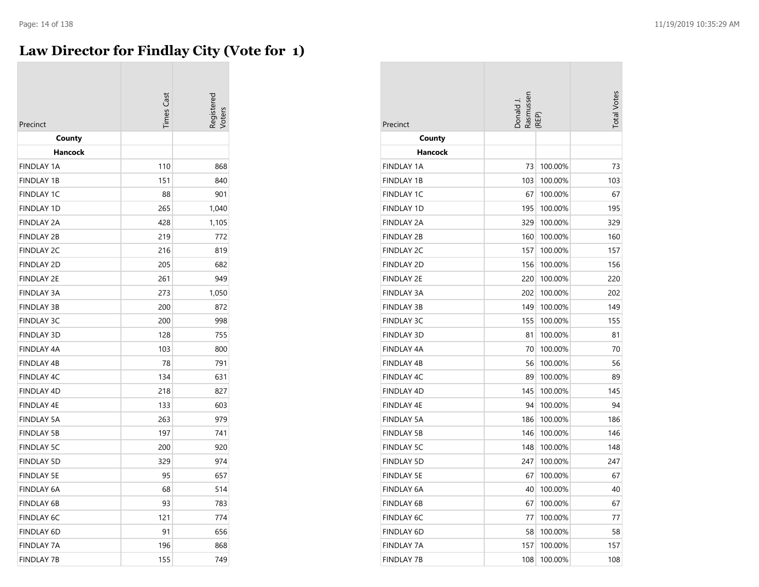### **Law Director for Findlay City (Vote for 1)**

| Precinct          | Times Cast | Registerec |
|-------------------|------------|------------|
| County<br>Hancock |            |            |
| <b>FINDLAY 1A</b> | 110        | 868        |
| <b>FINDLAY 1B</b> | 151        | 840        |
| <b>FINDLAY 1C</b> | 88         | 901        |
| <b>FINDLAY 1D</b> | 265        | 1,040      |
| <b>FINDLAY 2A</b> | 428        | 1,105      |
| <b>FINDLAY 2B</b> | 219        | 772        |
| <b>FINDLAY 2C</b> | 216        | 819        |
| <b>FINDLAY 2D</b> | 205        | 682        |
| FINDLAY 2E        | 261        | 949        |
| <b>FINDLAY 3A</b> | 273        | 1,050      |
| <b>FINDLAY 3B</b> | 200        | 872        |
| <b>FINDLAY 3C</b> | 200        | 998        |
| <b>FINDLAY 3D</b> | 128        | 755        |
| <b>FINDLAY 4A</b> | 103        | 800        |
| <b>FINDLAY 4B</b> | 78         | 791        |
| <b>FINDLAY 4C</b> | 134        | 631        |
| <b>FINDLAY 4D</b> | 218        | 827        |
| <b>FINDLAY 4E</b> | 133        | 603        |
| <b>FINDLAY 5A</b> | 263        | 979        |
| <b>FINDLAY 5B</b> | 197        | 741        |
| <b>FINDLAY 5C</b> | 200        | 920        |
| <b>FINDLAY 5D</b> | 329        | 974        |
| <b>FINDLAY 5E</b> | 95         | 657        |
| <b>FINDLAY 6A</b> | 68         | 514        |
| <b>FINDLAY 6B</b> | 93         | 783        |
| <b>FINDLAY 6C</b> | 121        | 774        |
| <b>FINDLAY 6D</b> | 91         | 656        |
| <b>FINDLAY 7A</b> | 196        | 868        |
| <b>FINDLAY 7B</b> | 155        | 749        |

| Precinct          |     | Donald J.<br>Rasmussen<br>(REP) |     |
|-------------------|-----|---------------------------------|-----|
| County            |     |                                 |     |
| Hancock           |     |                                 |     |
| <b>FINDLAY 1A</b> | 73  | 100.00%                         | 73  |
| <b>FINDLAY 1B</b> | 103 | 100.00%                         | 103 |
| FINDLAY 1C        | 67  | 100.00%                         | 67  |
| FINDLAY 1D        | 195 | 100.00%                         | 195 |
| FINDLAY 2A        | 329 | 100.00%                         | 329 |
| <b>FINDLAY 2B</b> | 160 | 100.00%                         | 160 |
| <b>FINDLAY 2C</b> | 157 | 100.00%                         | 157 |
| <b>FINDLAY 2D</b> | 156 | 100.00%                         | 156 |
| <b>FINDLAY 2E</b> | 220 | 100.00%                         | 220 |
| FINDLAY 3A        | 202 | 100.00%                         | 202 |
| FINDLAY 3B        | 149 | 100.00%                         | 149 |
| <b>FINDLAY 3C</b> | 155 | 100.00%                         | 155 |
| FINDLAY 3D        | 81  | 100.00%                         | 81  |
| <b>FINDLAY 4A</b> | 70  | 100.00%                         | 70  |
| FINDLAY 4B        | 56  | 100.00%                         | 56  |
| <b>FINDLAY 4C</b> | 89  | 100.00%                         | 89  |
| FINDLAY 4D        | 145 | 100.00%                         | 145 |
| <b>FINDLAY 4E</b> | 94  | 100.00%                         | 94  |
| <b>FINDLAY 5A</b> | 186 | 100.00%                         | 186 |
| FINDLAY 5B        | 146 | 100.00%                         | 146 |
| <b>FINDLAY 5C</b> | 148 | 100.00%                         | 148 |
| <b>FINDLAY 5D</b> | 247 | 100.00%                         | 247 |
| <b>FINDLAY 5E</b> | 67  | 100.00%                         | 67  |
| FINDLAY 6A        | 40  | 100.00%                         | 40  |
| <b>FINDLAY 6B</b> | 67  | 100.00%                         | 67  |
| FINDLAY 6C        | 77  | 100.00%                         | 77  |
| FINDLAY 6D        | 58  | 100.00%                         | 58  |
| FINDLAY 7A        | 157 | 100.00%                         | 157 |
| FINDLAY 7B        | 108 | 100.00%                         | 108 |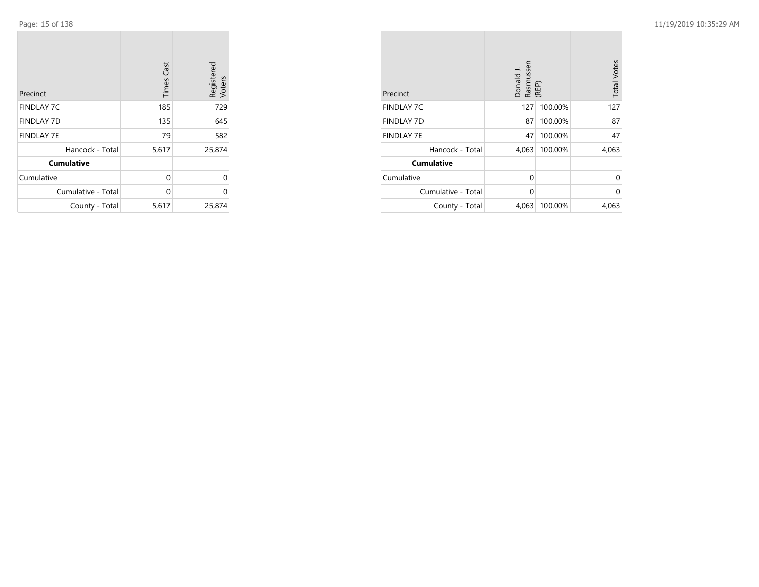$\mathcal{L}^{\text{max}}$ 

| Precinct           | <b>Times Cast</b> | Registered<br>Voters |
|--------------------|-------------------|----------------------|
| <b>FINDLAY 7C</b>  | 185               | 729                  |
| <b>FINDLAY 7D</b>  | 135               | 645                  |
| <b>FINDLAY 7E</b>  | 79                | 582                  |
| Hancock - Total    | 5,617             | 25,874               |
| <b>Cumulative</b>  |                   |                      |
| Cumulative         | 0                 | 0                    |
| Cumulative - Total | 0                 | 0                    |
| County - Total     | 5,617             | 25,874               |

the control of the control of the

| Precinct           | Donald J.<br>Rasmussen<br>(REP) | <b>Total Votes</b> |       |
|--------------------|---------------------------------|--------------------|-------|
| <b>FINDLAY 7C</b>  | 127                             | 100.00%            | 127   |
| <b>FINDLAY 7D</b>  | 87                              | 100.00%            | 87    |
| <b>FINDLAY 7E</b>  | 47                              | 100.00%            | 47    |
| Hancock - Total    | 4,063                           | 100.00%            | 4,063 |
| <b>Cumulative</b>  |                                 |                    |       |
| Cumulative         | 0                               |                    | 0     |
| Cumulative - Total | 0                               |                    | 0     |
| County - Total     | 4,063                           | 100.00%            | 4,063 |

 $\mathcal{L}^{\text{max}}$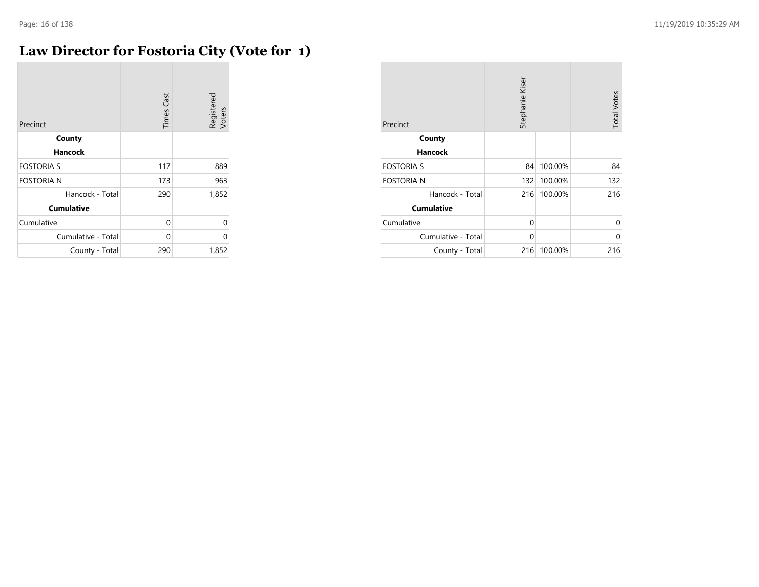#### **Law Director for Fostoria City (Vote for 1)**

| Precinct           | <b>Times Cast</b> | Registered<br>Voters |
|--------------------|-------------------|----------------------|
| County             |                   |                      |
| <b>Hancock</b>     |                   |                      |
| <b>FOSTORIA S</b>  | 117               | 889                  |
| <b>FOSTORIA N</b>  | 173               | 963                  |
| Hancock - Total    | 290               | 1,852                |
| <b>Cumulative</b>  |                   |                      |
| Cumulative         | 0                 | 0                    |
| Cumulative - Total | 0                 | U                    |
| County - Total     | 290               | 1,852                |

| Precinct           | Stephanie Kiser |         | <b>Total Votes</b> |
|--------------------|-----------------|---------|--------------------|
| County             |                 |         |                    |
| <b>Hancock</b>     |                 |         |                    |
| <b>FOSTORIA S</b>  | 84              | 100.00% | 84                 |
| <b>FOSTORIA N</b>  | 132             | 100.00% | 132                |
| Hancock - Total    | 216             | 100.00% | 216                |
| <b>Cumulative</b>  |                 |         |                    |
| Cumulative         | 0               |         | 0                  |
| Cumulative - Total | $\Omega$        |         | 0                  |
| County - Total     | 216             | 100.00% | 216                |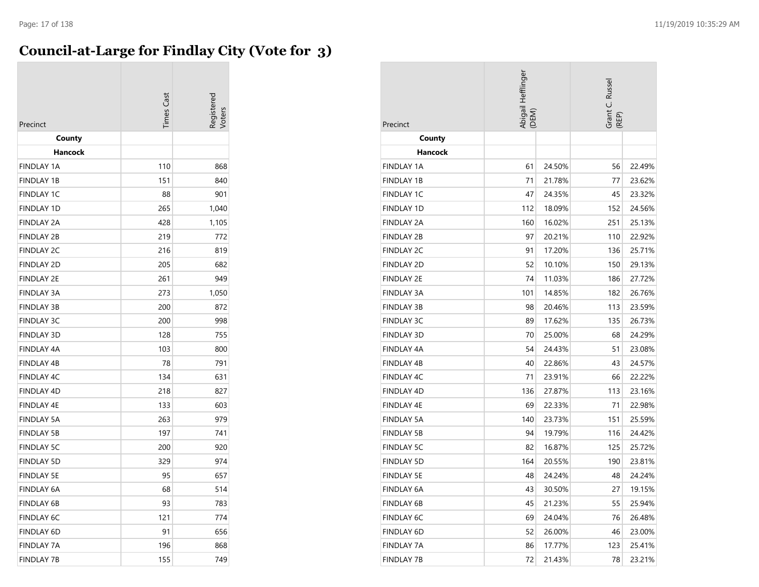#### **Council-at-Large for Findlay City (Vote for 3)**

| Precinct          | <b>Times Cast</b> |       |
|-------------------|-------------------|-------|
| County            |                   |       |
| Hancock           |                   |       |
| <b>FINDLAY 1A</b> | 110               | 868   |
| <b>FINDLAY 1B</b> | 151               | 840   |
| <b>FINDLAY 1C</b> | 88                | 901   |
| <b>FINDLAY 1D</b> | 265               | 1,040 |
| FINDLAY 2A        | 428               | 1,105 |
| <b>FINDLAY 2B</b> | 219               | 772   |
| <b>FINDLAY 2C</b> | 216               | 819   |
| <b>FINDLAY 2D</b> | 205               | 682   |
| <b>FINDLAY 2E</b> | 261               | 949   |
| <b>FINDLAY 3A</b> | 273               | 1,050 |
| <b>FINDLAY 3B</b> | 200               | 872   |
| <b>FINDLAY 3C</b> | 200               | 998   |
| <b>FINDLAY 3D</b> | 128               | 755   |
| FINDLAY 4A        | 103               | 800   |
| <b>FINDLAY 4B</b> | 78                | 791   |
| <b>FINDLAY 4C</b> | 134               | 631   |
| <b>FINDLAY 4D</b> | 218               | 827   |
| <b>FINDLAY 4E</b> | 133               | 603   |
| <b>FINDLAY 5A</b> | 263               | 979   |
| FINDLAY 5B        | 197               | 741   |
| <b>FINDLAY 5C</b> | 200               | 920   |
| <b>FINDLAY 5D</b> | 329               | 974   |
| <b>FINDLAY 5E</b> | 95                | 657   |
| <b>FINDLAY 6A</b> | 68                | 514   |
| FINDLAY 6B        | 93                | 783   |
| <b>FINDLAY 6C</b> | 121               | 774   |
| FINDLAY 6D        | 91                | 656   |
| <b>FINDLAY 7A</b> | 196               | 868   |
| <b>FINDLAY 7B</b> | 155               | 749   |

| Precinct          | Abigail Hefflinger<br>(DEM) |        | Grant C. Russel<br>(REP) |        |
|-------------------|-----------------------------|--------|--------------------------|--------|
| County            |                             |        |                          |        |
| Hancock           |                             |        |                          |        |
| FINDLAY 1A        | 61                          | 24.50% | 56                       | 22.49% |
| FINDLAY 1B        | 71                          | 21.78% | 77                       | 23.62% |
| <b>FINDLAY 1C</b> | 47                          | 24.35% | 45                       | 23.32% |
| <b>FINDLAY 1D</b> | 112                         | 18.09% | 152                      | 24.56% |
| <b>FINDLAY 2A</b> | 160                         | 16.02% | 251                      | 25.13% |
| FINDLAY 2B        | 97                          | 20.21% | 110                      | 22.92% |
| <b>FINDLAY 2C</b> | 91                          | 17.20% | 136                      | 25.71% |
| <b>FINDLAY 2D</b> | 52                          | 10.10% | 150                      | 29.13% |
| <b>FINDLAY 2E</b> | 74                          | 11.03% | 186                      | 27.72% |
| FINDLAY 3A        | 101                         | 14.85% | 182                      | 26.76% |
| <b>FINDLAY 3B</b> | 98                          | 20.46% | 113                      | 23.59% |
| FINDLAY 3C        | 89                          | 17.62% | 135                      | 26.73% |
| FINDLAY 3D        | 70                          | 25.00% | 68                       | 24.29% |
| <b>FINDLAY 4A</b> | 54                          | 24.43% | 51                       | 23.08% |
| FINDLAY 4B        | 40                          | 22.86% | 43                       | 24.57% |
| <b>FINDLAY 4C</b> | 71                          | 23.91% | 66                       | 22.22% |
| FINDLAY 4D        | 136                         | 27.87% | 113                      | 23.16% |
| <b>FINDLAY 4E</b> | 69                          | 22.33% | 71                       | 22.98% |
| <b>FINDLAY 5A</b> | 140                         | 23.73% | 151                      | 25.59% |
| <b>FINDLAY 5B</b> | 94                          | 19.79% | 116                      | 24.42% |
| <b>FINDLAY 5C</b> | 82                          | 16.87% | 125                      | 25.72% |
| FINDLAY 5D        | 164                         | 20.55% | 190                      | 23.81% |
| <b>FINDLAY 5E</b> | 48                          | 24.24% | 48                       | 24.24% |
| FINDLAY 6A        | 43                          | 30.50% | 27                       | 19.15% |
| FINDLAY 6B        | 45                          | 21.23% | 55                       | 25.94% |
| <b>FINDLAY 6C</b> | 69                          | 24.04% | 76                       | 26.48% |
| FINDLAY 6D        | 52                          | 26.00% | 46                       | 23.00% |
| FINDLAY 7A        | 86                          | 17.77% | 123                      | 25.41% |
| <b>FINDLAY 7B</b> | 72                          | 21.43% | 78                       | 23.21% |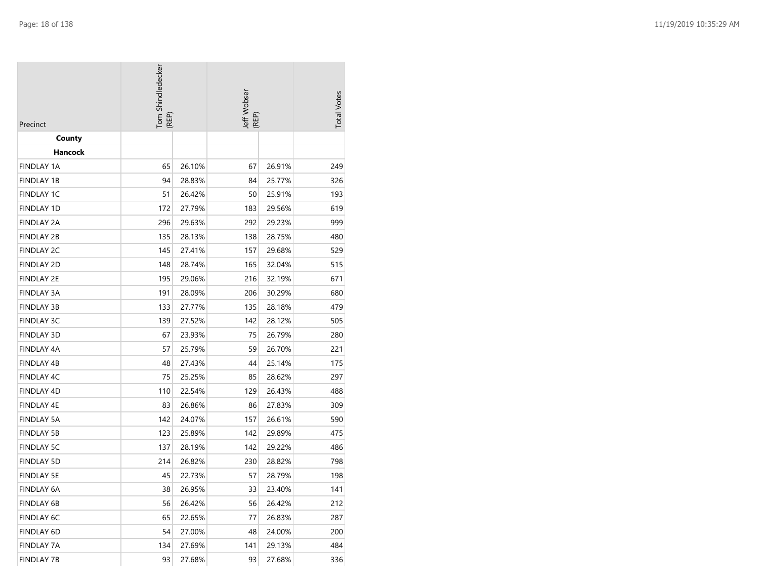| Precinct          | Tom Shindledecker<br>(REP) |        | Jeff Wobser<br>(REP) |        | <b>Total Votes</b> |
|-------------------|----------------------------|--------|----------------------|--------|--------------------|
| County            |                            |        |                      |        |                    |
| Hancock           |                            |        |                      |        |                    |
| <b>FINDLAY 1A</b> | 65                         | 26.10% | 67                   | 26.91% | 249                |
| FINDLAY 1B        | 94                         | 28.83% | 84                   | 25.77% | 326                |
| <b>FINDLAY 1C</b> | 51                         | 26.42% | 50                   | 25.91% | 193                |
| <b>FINDLAY 1D</b> | 172                        | 27.79% | 183                  | 29.56% | 619                |
| <b>FINDLAY 2A</b> | 296                        | 29.63% | 292                  | 29.23% | 999                |
| <b>FINDLAY 2B</b> | 135                        | 28.13% | 138                  | 28.75% | 480                |
| <b>FINDLAY 2C</b> | 145                        | 27.41% | 157                  | 29.68% | 529                |
| <b>FINDLAY 2D</b> | 148                        | 28.74% | 165                  | 32.04% | 515                |
| <b>FINDLAY 2E</b> | 195                        | 29.06% | 216                  | 32.19% | 671                |
| <b>FINDLAY 3A</b> | 191                        | 28.09% | 206                  | 30.29% | 680                |
| FINDLAY 3B        | 133                        | 27.77% | 135                  | 28.18% | 479                |
| <b>FINDLAY 3C</b> | 139                        | 27.52% | 142                  | 28.12% | 505                |
| FINDLAY 3D        | 67                         | 23.93% | 75                   | 26.79% | 280                |
| FINDLAY 4A        | 57                         | 25.79% | 59                   | 26.70% | 221                |
| FINDLAY 4B        | 48                         | 27.43% | 44                   | 25.14% | 175                |
| FINDLAY 4C        | 75                         | 25.25% | 85                   | 28.62% | 297                |
| FINDLAY 4D        | 110                        | 22.54% | 129                  | 26.43% | 488                |
| FINDLAY 4E        | 83                         | 26.86% | 86                   | 27.83% | 309                |
| FINDLAY 5A        | 142                        | 24.07% | 157                  | 26.61% | 590                |
| <b>FINDLAY 5B</b> | 123                        | 25.89% | 142                  | 29.89% | 475                |
| <b>FINDLAY 5C</b> | 137                        | 28.19% | 142                  | 29.22% | 486                |
| <b>FINDLAY 5D</b> | 214                        | 26.82% | 230                  | 28.82% | 798                |
| <b>FINDLAY 5E</b> | 45                         | 22.73% | 57                   | 28.79% | 198                |
| <b>FINDLAY 6A</b> | 38                         | 26.95% | 33                   | 23.40% | 141                |
| FINDLAY 6B        | 56                         | 26.42% | 56                   | 26.42% | 212                |
| FINDLAY 6C        | 65                         | 22.65% | 77                   | 26.83% | 287                |
| FINDLAY 6D        | 54                         | 27.00% | 48                   | 24.00% | 200                |
| FINDLAY 7A        | 134                        | 27.69% | 141                  | 29.13% | 484                |
| <b>FINDLAY 7B</b> | 93                         | 27.68% | 93                   | 27.68% | 336                |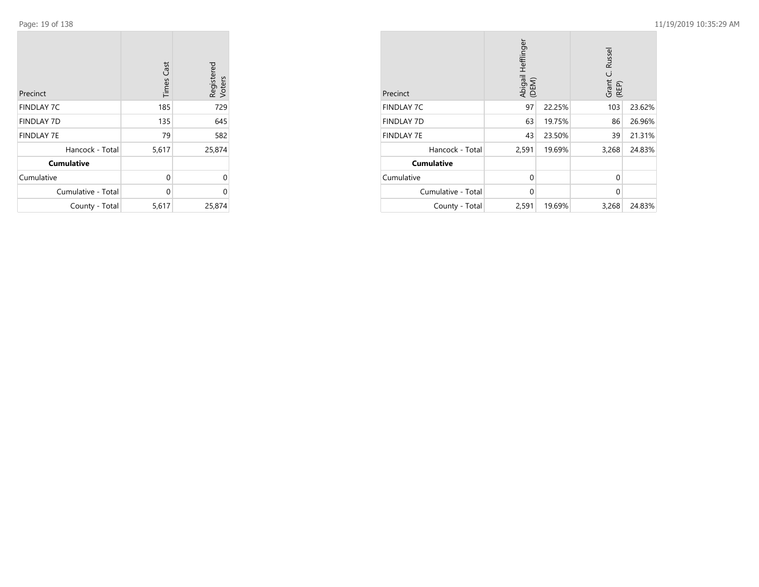$\sim$ 

| Precinct           | <b>Times Cast</b> | Registered<br>Voters |
|--------------------|-------------------|----------------------|
| <b>FINDLAY 7C</b>  | 185               | 729                  |
| <b>FINDLAY 7D</b>  | 135               | 645                  |
| <b>FINDLAY 7E</b>  | 79                | 582                  |
| Hancock - Total    | 5,617             | 25,874               |
| <b>Cumulative</b>  |                   |                      |
| Cumulative         | 0                 | U                    |
| Cumulative - Total | 0                 | U                    |
| County - Total     | 5,617             | 25,874               |

| Precinct           | Abigail Hefflinger<br>(DEM) |        | Russel<br>ن<br>Grant<br>(REP) |        |
|--------------------|-----------------------------|--------|-------------------------------|--------|
| <b>FINDLAY 7C</b>  | 97                          | 22.25% | 103                           | 23.62% |
| <b>FINDLAY 7D</b>  | 63                          | 19.75% | 86                            | 26.96% |
| <b>FINDLAY 7E</b>  | 43                          | 23.50% | 39                            | 21.31% |
| Hancock - Total    | 2,591                       | 19.69% | 3,268                         | 24.83% |
| <b>Cumulative</b>  |                             |        |                               |        |
| Cumulative         | $\Omega$                    |        | $\Omega$                      |        |
| Cumulative - Total | $\mathbf 0$                 |        | $\Omega$                      |        |
| County - Total     | 2,591                       | 19.69% | 3,268                         | 24.83% |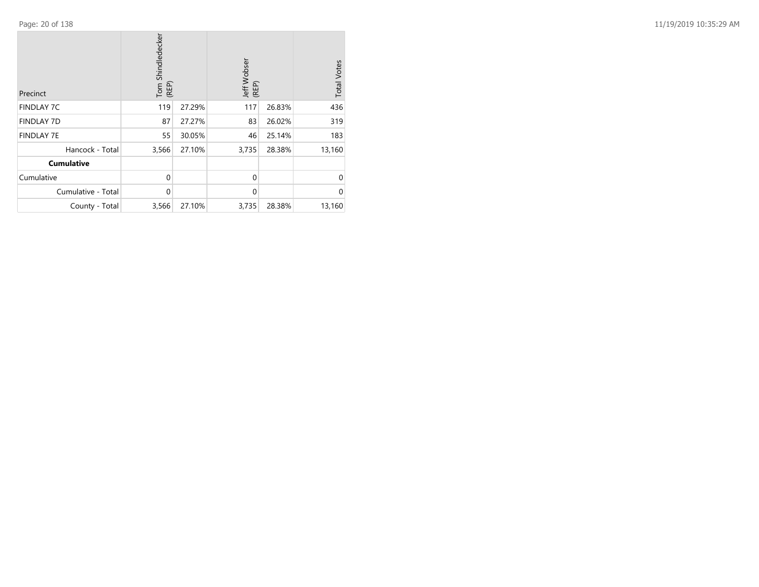| Precinct           | Tom Shindledecker<br>(REP) |        | Jeff Wobser<br>(REP) |        | <b>Total Votes</b> |
|--------------------|----------------------------|--------|----------------------|--------|--------------------|
| <b>FINDLAY 7C</b>  | 119                        | 27.29% | 117                  | 26.83% | 436                |
| <b>FINDLAY 7D</b>  | 87                         | 27.27% | 83                   | 26.02% | 319                |
| <b>FINDLAY 7E</b>  | 55                         | 30.05% | 46                   | 25.14% | 183                |
| Hancock - Total    | 3,566                      | 27.10% | 3,735                | 28.38% | 13,160             |
| <b>Cumulative</b>  |                            |        |                      |        |                    |
| Cumulative         | $\mathbf 0$                |        | $\Omega$             |        | $\Omega$           |
| Cumulative - Total | $\Omega$                   |        | $\Omega$             |        | $\Omega$           |
| County - Total     | 3,566                      | 27.10% | 3,735                | 28.38% | 13,160             |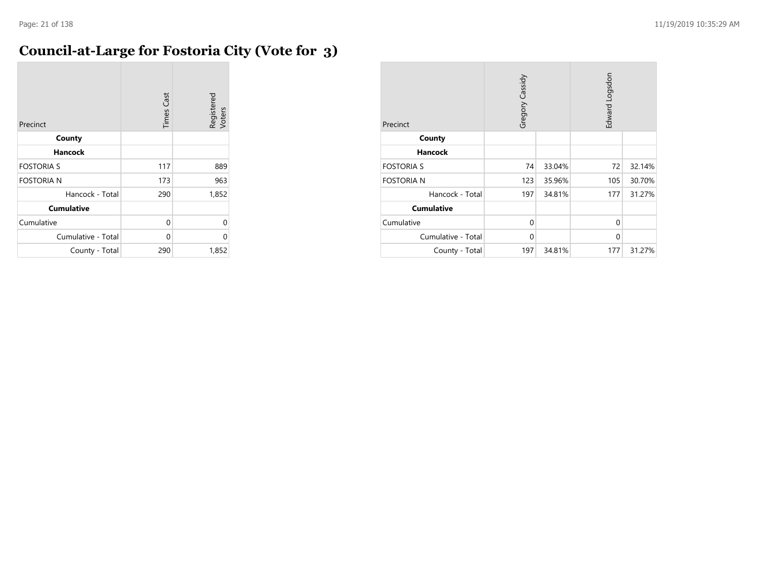### **Council-at-Large for Fostoria City (Vote for 3)**

| Precinct           | <b>Times Cast</b> | Registered<br>Voters |
|--------------------|-------------------|----------------------|
| County             |                   |                      |
| Hancock            |                   |                      |
| <b>FOSTORIA S</b>  | 117               | 889                  |
| <b>FOSTORIA N</b>  | 173               | 963                  |
| Hancock - Total    | 290               | 1,852                |
| <b>Cumulative</b>  |                   |                      |
| Cumulative         | 0                 | 0                    |
| Cumulative - Total | 0                 | 0                    |
| County - Total     | 290               | 1,852                |

| Precinct           | Gregory Cassidy |        | Edward Logsdon |        |
|--------------------|-----------------|--------|----------------|--------|
| County             |                 |        |                |        |
| <b>Hancock</b>     |                 |        |                |        |
| <b>FOSTORIA S</b>  | 74              | 33.04% | 72             | 32.14% |
| <b>FOSTORIA N</b>  | 123             | 35.96% | 105            | 30.70% |
| Hancock - Total    | 197             | 34.81% | 177            | 31.27% |
| <b>Cumulative</b>  |                 |        |                |        |
| Cumulative         | $\mathbf 0$     |        | $\Omega$       |        |
| Cumulative - Total | 0               |        | $\Omega$       |        |
| County - Total     | 197             | 34.81% | 177            | 31.27% |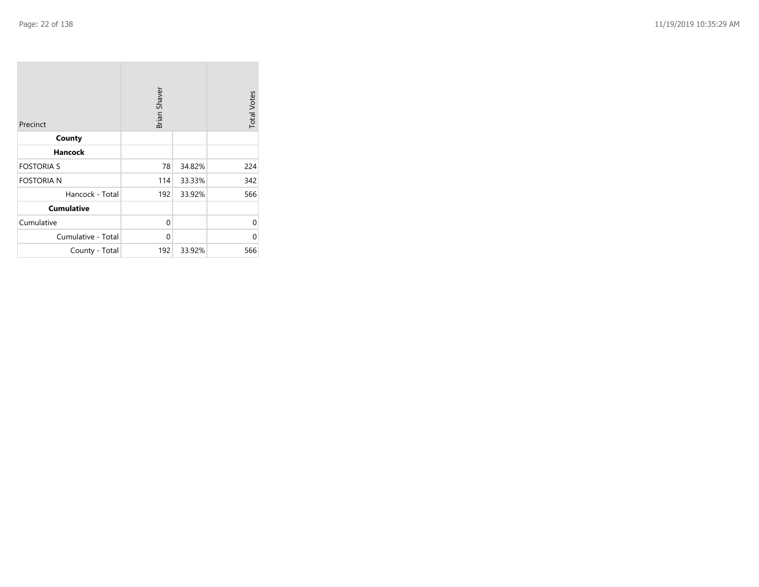| Precinct           | Brian Shaver |        | <b>Total Votes</b> |
|--------------------|--------------|--------|--------------------|
| County             |              |        |                    |
| <b>Hancock</b>     |              |        |                    |
| <b>FOSTORIA S</b>  | 78           | 34.82% | 224                |
| <b>FOSTORIA N</b>  | 114          | 33.33% | 342                |
| Hancock - Total    | 192          | 33.92% | 566                |
| <b>Cumulative</b>  |              |        |                    |
| Cumulative         | 0            |        | 0                  |
| Cumulative - Total | 0            |        | 0                  |
| County - Total     | 192          | 33.92% | 566                |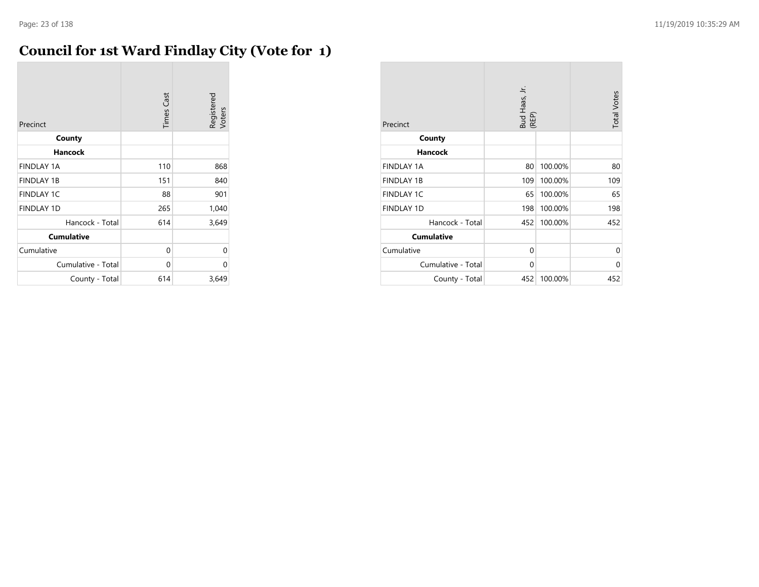### **Council for 1st Ward Findlay City (Vote for 1)**

| Precinct           | <b>Times Cast</b> | Registered<br>Voters |
|--------------------|-------------------|----------------------|
| County             |                   |                      |
| <b>Hancock</b>     |                   |                      |
| <b>FINDLAY 1A</b>  | 110               | 868                  |
| <b>FINDLAY 1B</b>  | 151               | 840                  |
| <b>FINDLAY 1C</b>  | 88                | 901                  |
| <b>FINDLAY 1D</b>  | 265               | 1,040                |
| Hancock - Total    | 614               | 3,649                |
| <b>Cumulative</b>  |                   |                      |
| Cumulative         | 0                 | 0                    |
| Cumulative - Total | 0                 | 0                    |
| County - Total     | 614               | 3,649                |

| Precinct           | Bud Haas, Jr.<br>(REP) |         | <b>Total Votes</b> |
|--------------------|------------------------|---------|--------------------|
| County             |                        |         |                    |
| <b>Hancock</b>     |                        |         |                    |
| <b>FINDLAY 1A</b>  | 80                     | 100.00% | 80                 |
| <b>FINDLAY 1B</b>  | 109                    | 100.00% | 109                |
| <b>FINDLAY 1C</b>  | 65                     | 100.00% | 65                 |
| <b>FINDLAY 1D</b>  | 198                    | 100.00% | 198                |
| Hancock - Total    | 452                    | 100.00% | 452                |
| <b>Cumulative</b>  |                        |         |                    |
| Cumulative         | $\Omega$               |         | $\Omega$           |
| Cumulative - Total | 0                      |         | $\Omega$           |
| County - Total     | 452                    | 100.00% | 452                |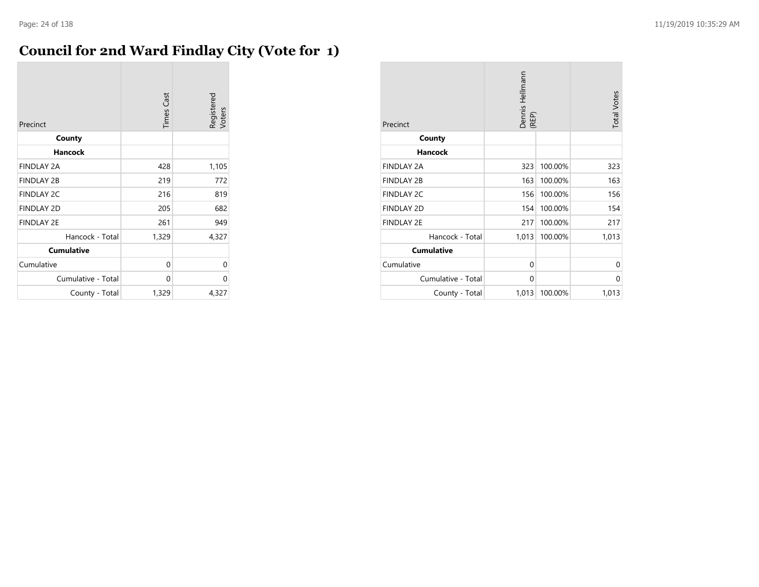# **Council for 2nd Ward Findlay City (Vote for 1)**

| Precinct           | <b>Times Cast</b> | Registered<br>Voters |
|--------------------|-------------------|----------------------|
| County             |                   |                      |
| <b>Hancock</b>     |                   |                      |
| <b>FINDLAY 2A</b>  | 428               | 1,105                |
| <b>FINDLAY 2B</b>  | 219               | 772                  |
| <b>FINDLAY 2C</b>  | 216               | 819                  |
| <b>FINDLAY 2D</b>  | 205               | 682                  |
| <b>FINDLAY 2E</b>  | 261               | 949                  |
| Hancock - Total    | 1,329             | 4,327                |
| <b>Cumulative</b>  |                   |                      |
| Cumulative         | 0                 | 0                    |
| Cumulative - Total | 0                 | 0                    |
| County - Total     | 1,329             | 4,327                |

| Precinct           | Dennis Hellmann<br>(REP) |         | <b>Total Votes</b> |
|--------------------|--------------------------|---------|--------------------|
| County             |                          |         |                    |
| <b>Hancock</b>     |                          |         |                    |
| <b>FINDLAY 2A</b>  | 323                      | 100.00% | 323                |
| <b>FINDLAY 2B</b>  | 163                      | 100.00% | 163                |
| <b>FINDLAY 2C</b>  | 156                      | 100.00% | 156                |
| <b>FINDLAY 2D</b>  | 154                      | 100.00% | 154                |
| <b>FINDLAY 2E</b>  | 217                      | 100.00% | 217                |
| Hancock - Total    | 1,013                    | 100.00% | 1,013              |
| <b>Cumulative</b>  |                          |         |                    |
| Cumulative         | 0                        |         | 0                  |
| Cumulative - Total | 0                        |         | 0                  |
| County - Total     | 1,013                    | 100.00% | 1,013              |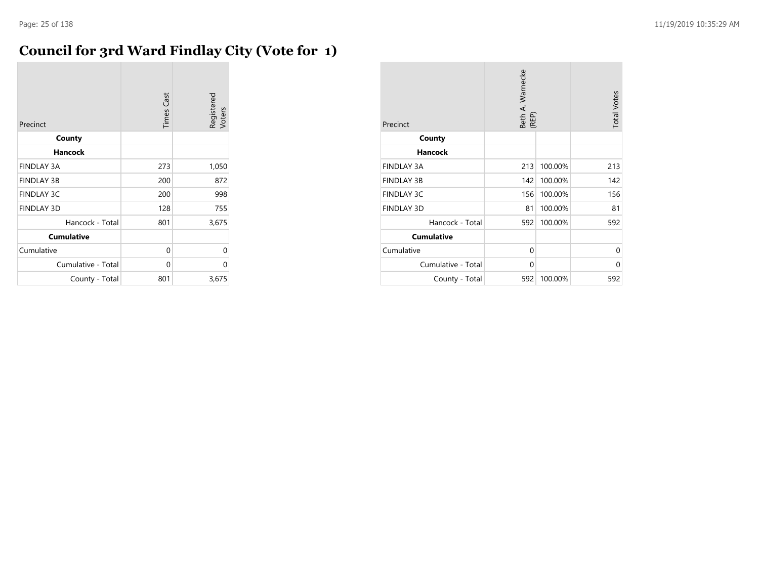#### **Council for 3rd Ward Findlay City (Vote for 1)**

| Precinct           | <b>Times Cast</b> | Registered<br>Voters |
|--------------------|-------------------|----------------------|
| County             |                   |                      |
| <b>Hancock</b>     |                   |                      |
| <b>FINDLAY 3A</b>  | 273               | 1,050                |
| <b>FINDLAY 3B</b>  | 200               | 872                  |
| <b>FINDLAY 3C</b>  | 200               | 998                  |
| <b>FINDLAY 3D</b>  | 128               | 755                  |
| Hancock - Total    | 801               | 3,675                |
| <b>Cumulative</b>  |                   |                      |
| Cumulative         | 0                 | 0                    |
| Cumulative - Total | 0                 | 0                    |
| County - Total     | 801               | 3,675                |

| Precinct           | Beth A. Warnecke<br>(REP) |         | <b>Total Votes</b> |
|--------------------|---------------------------|---------|--------------------|
| County             |                           |         |                    |
| <b>Hancock</b>     |                           |         |                    |
| <b>FINDLAY 3A</b>  | 213                       | 100.00% | 213                |
| <b>FINDLAY 3B</b>  | 142                       | 100.00% | 142                |
| <b>FINDLAY 3C</b>  | 156                       | 100.00% | 156                |
| <b>FINDLAY 3D</b>  | 81                        | 100.00% | 81                 |
| Hancock - Total    | 592                       | 100.00% | 592                |
| <b>Cumulative</b>  |                           |         |                    |
| Cumulative         | 0                         |         | $\Omega$           |
| Cumulative - Total | 0                         |         | 0                  |
| County - Total     | 592                       | 100.00% | 592                |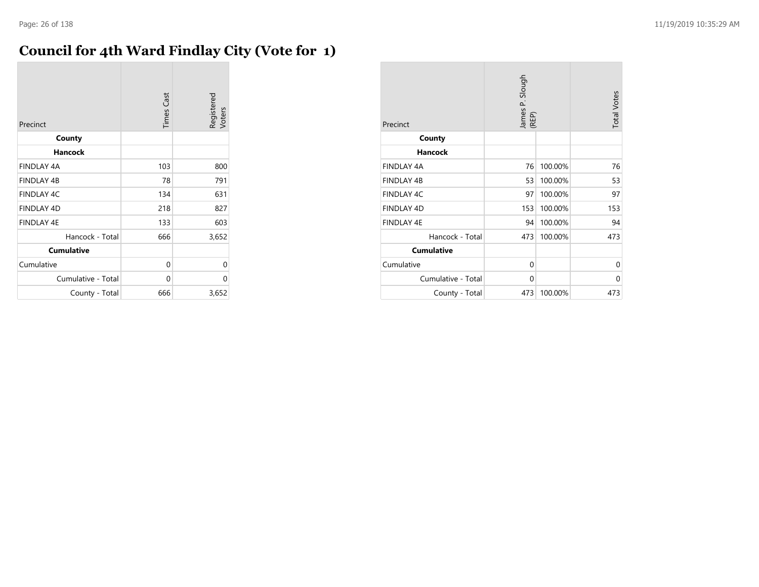### **Council for 4th Ward Findlay City (Vote for 1)**

| Precinct           | <b>Times Cast</b> | Registered<br>Voters |
|--------------------|-------------------|----------------------|
| County             |                   |                      |
| <b>Hancock</b>     |                   |                      |
| <b>FINDLAY 4A</b>  | 103               | 800                  |
| <b>FINDLAY 4B</b>  | 78                | 791                  |
| <b>FINDLAY 4C</b>  | 134               | 631                  |
| <b>FINDLAY 4D</b>  | 218               | 827                  |
| <b>FINDLAY 4E</b>  | 133               | 603                  |
| Hancock - Total    | 666               | 3,652                |
| <b>Cumulative</b>  |                   |                      |
| Cumulative         | 0                 | 0                    |
| Cumulative - Total | 0                 | 0                    |
| County - Total     | 666               | 3,652                |

| Precinct           | James P. Slough<br>(REP) |         | <b>Total Votes</b> |
|--------------------|--------------------------|---------|--------------------|
| County             |                          |         |                    |
| <b>Hancock</b>     |                          |         |                    |
| FINDLAY 4A         | 76                       | 100.00% | 76                 |
| <b>FINDLAY 4B</b>  | 53                       | 100.00% | 53                 |
| <b>FINDLAY 4C</b>  | 97                       | 100.00% | 97                 |
| <b>FINDLAY 4D</b>  | 153                      | 100.00% | 153                |
| <b>FINDLAY 4E</b>  | 94                       | 100.00% | 94                 |
| Hancock - Total    | 473                      | 100.00% | 473                |
| <b>Cumulative</b>  |                          |         |                    |
| Cumulative         | 0                        |         | 0                  |
| Cumulative - Total | 0                        |         | 0                  |
| County - Total     | 473                      | 100.00% | 473                |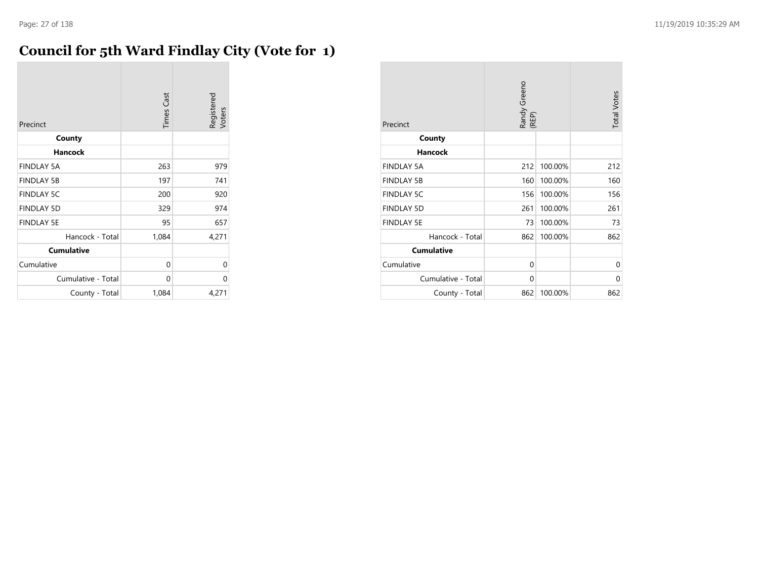### **Council for 5th Ward Findlay City (Vote for 1)**

| Precinct           | <b>Times Cast</b> | Registered<br>Voters |
|--------------------|-------------------|----------------------|
| County             |                   |                      |
| Hancock            |                   |                      |
| <b>FINDLAY 5A</b>  | 263               | 979                  |
| <b>FINDLAY 5B</b>  | 197               | 741                  |
| <b>FINDLAY 5C</b>  | 200               | 920                  |
| <b>FINDLAY 5D</b>  | 329               | 974                  |
| <b>FINDLAY 5E</b>  | 95                | 657                  |
| Hancock - Total    | 1,084             | 4,271                |
| <b>Cumulative</b>  |                   |                      |
| Cumulative         | 0                 | 0                    |
| Cumulative - Total | 0                 | U                    |
| County - Total     | 1,084             | 4,271                |

| Precinct           | Randy Greeno<br>(REP) |         | <b>Total Votes</b> |
|--------------------|-----------------------|---------|--------------------|
| County             |                       |         |                    |
| <b>Hancock</b>     |                       |         |                    |
| <b>FINDLAY 5A</b>  | 212                   | 100.00% | 212                |
| <b>FINDLAY 5B</b>  | 160                   | 100.00% | 160                |
| <b>FINDLAY 5C</b>  | 156                   | 100.00% | 156                |
| <b>FINDLAY 5D</b>  | 261                   | 100.00% | 261                |
| <b>FINDLAY 5E</b>  | 73                    | 100.00% | 73                 |
| Hancock - Total    | 862                   | 100.00% | 862                |
| <b>Cumulative</b>  |                       |         |                    |
| Cumulative         | 0                     |         | 0                  |
| Cumulative - Total | 0                     |         | 0                  |
| County - Total     | 862                   | 100.00% | 862                |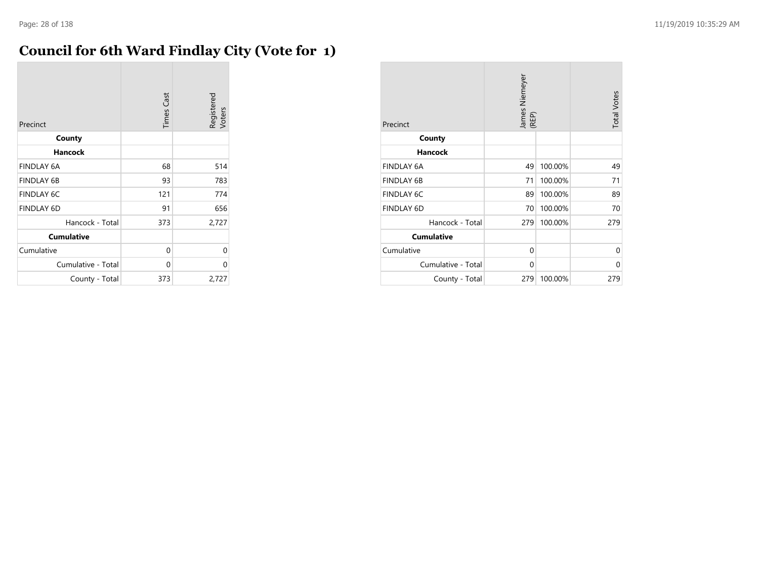### **Council for 6th Ward Findlay City (Vote for 1)**

| Precinct           | <b>Times Cast</b> | Registered<br>Voters |
|--------------------|-------------------|----------------------|
| County             |                   |                      |
| <b>Hancock</b>     |                   |                      |
| <b>FINDLAY 6A</b>  | 68                | 514                  |
| <b>FINDLAY 6B</b>  | 93                | 783                  |
| <b>FINDLAY 6C</b>  | 121               | 774                  |
| <b>FINDLAY 6D</b>  | 91                | 656                  |
| Hancock - Total    | 373               | 2,727                |
| <b>Cumulative</b>  |                   |                      |
| Cumulative         | 0                 | 0                    |
| Cumulative - Total | 0                 | 0                    |
| County - Total     | 373               | 2,727                |

| Precinct           | James Niemeyer<br>(REP) |         | <b>Total Votes</b> |
|--------------------|-------------------------|---------|--------------------|
| County             |                         |         |                    |
| <b>Hancock</b>     |                         |         |                    |
| <b>FINDLAY 6A</b>  | 49                      | 100.00% | 49                 |
| <b>FINDLAY 6B</b>  | 71                      | 100.00% | 71                 |
| <b>FINDLAY 6C</b>  | 89                      | 100.00% | 89                 |
| <b>FINDLAY 6D</b>  | 70                      | 100.00% | 70                 |
| Hancock - Total    | 279                     | 100.00% | 279                |
| <b>Cumulative</b>  |                         |         |                    |
| Cumulative         | 0                       |         | $\Omega$           |
| Cumulative - Total | 0                       |         | $\Omega$           |
| County - Total     | 279                     | 100.00% | 279                |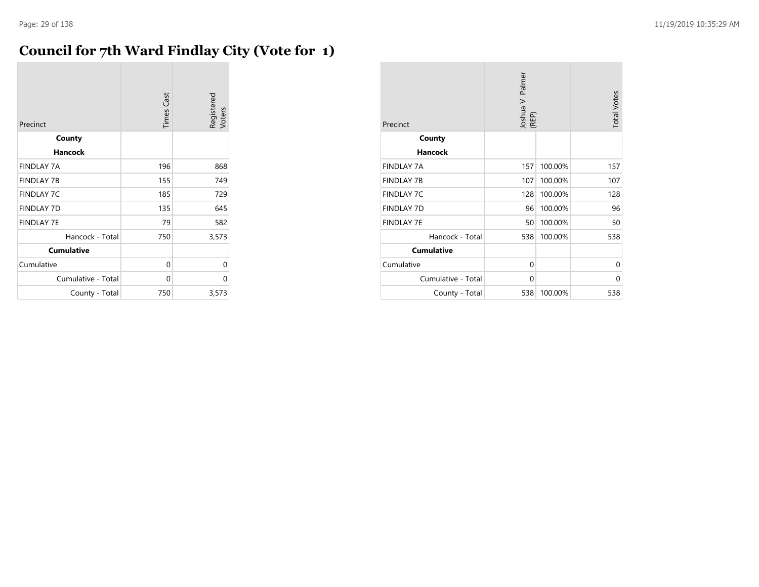#### **Council for 7th Ward Findlay City (Vote for 1)**

| Precinct           | <b>Times Cast</b> | Registered<br>Voters |
|--------------------|-------------------|----------------------|
| County             |                   |                      |
| <b>Hancock</b>     |                   |                      |
| <b>FINDLAY 7A</b>  | 196               | 868                  |
| <b>FINDLAY 7B</b>  | 155               | 749                  |
| <b>FINDLAY 7C</b>  | 185               | 729                  |
| <b>FINDLAY 7D</b>  | 135               | 645                  |
| <b>FINDLAY 7E</b>  | 79                | 582                  |
| Hancock - Total    | 750               | 3,573                |
| <b>Cumulative</b>  |                   |                      |
| Cumulative         | 0                 | 0                    |
| Cumulative - Total | 0                 | 0                    |
| County - Total     | 750               | 3,573                |

| Precinct           | Joshua V. Palmer<br>(REP) |         | <b>Total Votes</b> |
|--------------------|---------------------------|---------|--------------------|
| County             |                           |         |                    |
| <b>Hancock</b>     |                           |         |                    |
| <b>FINDLAY 7A</b>  | 157                       | 100.00% | 157                |
| <b>FINDLAY 7B</b>  | 107                       | 100.00% | 107                |
| <b>FINDLAY 7C</b>  | 128                       | 100.00% | 128                |
| <b>FINDLAY 7D</b>  | 96                        | 100.00% | 96                 |
| <b>FINDLAY 7E</b>  | 50                        | 100.00% | 50                 |
| Hancock - Total    | 538                       | 100.00% | 538                |
| <b>Cumulative</b>  |                           |         |                    |
| Cumulative         | 0                         |         | 0                  |
| Cumulative - Total | 0                         |         | 0                  |
| County - Total     | 538                       | 100.00% | 538                |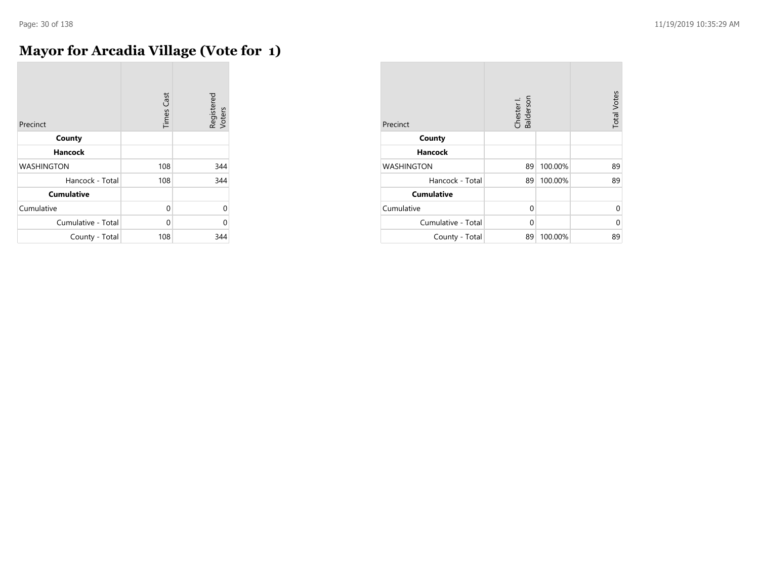÷

### **Mayor for Arcadia Village (Vote for 1)**

| Precinct           | <b>Times Cast</b> | Registered<br>Voters |
|--------------------|-------------------|----------------------|
| County             |                   |                      |
| <b>Hancock</b>     |                   |                      |
| <b>WASHINGTON</b>  | 108               | 344                  |
| Hancock - Total    | 108               | 344                  |
| <b>Cumulative</b>  |                   |                      |
| Cumulative         | 0                 | $\Omega$             |
| Cumulative - Total | $\Omega$          | C                    |
| County - Total     | 108               | 344                  |

| Precinct           | Chester I.<br>Balderson |         | <b>Total Votes</b> |
|--------------------|-------------------------|---------|--------------------|
| County             |                         |         |                    |
| <b>Hancock</b>     |                         |         |                    |
| <b>WASHINGTON</b>  | 89                      | 100.00% | 89                 |
| Hancock - Total    | 89                      | 100.00% | 89                 |
| <b>Cumulative</b>  |                         |         |                    |
| Cumulative         | $\Omega$                |         | 0                  |
| Cumulative - Total | $\Omega$                |         | 0                  |
| County - Total     | 89                      | 100.00% | 89                 |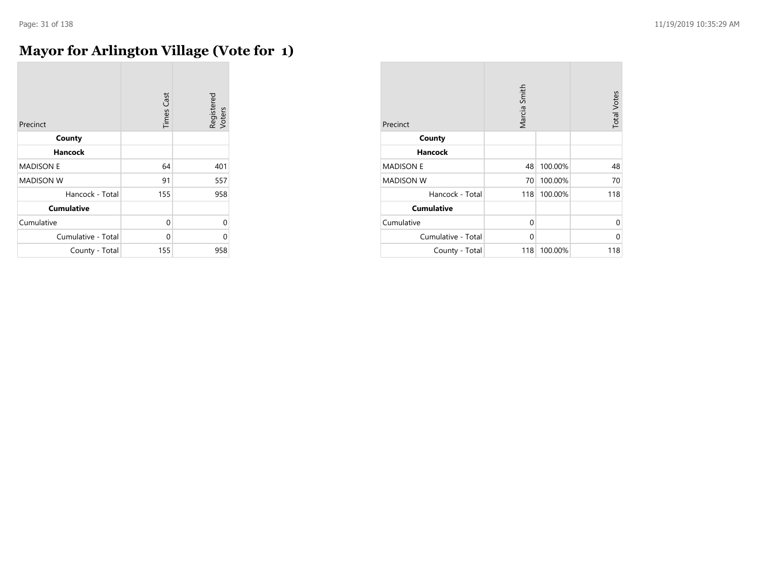### **Mayor for Arlington Village (Vote for 1)**

| Precinct           | <b>Times Cast</b> | Registered<br>Voters |
|--------------------|-------------------|----------------------|
| County             |                   |                      |
| Hancock            |                   |                      |
| <b>MADISON E</b>   | 64                | 401                  |
| <b>MADISON W</b>   | 91                | 557                  |
| Hancock - Total    | 155               | 958                  |
| <b>Cumulative</b>  |                   |                      |
| Cumulative         | $\Omega$          | 0                    |
| Cumulative - Total | 0                 | $\Omega$             |
| County - Total     | 155               | 958                  |

| Precinct           | Marcia Smith |         | <b>Total Votes</b> |
|--------------------|--------------|---------|--------------------|
| County             |              |         |                    |
| <b>Hancock</b>     |              |         |                    |
| <b>MADISON E</b>   | 48           | 100.00% | 48                 |
| <b>MADISON W</b>   | 70           | 100.00% | 70                 |
| Hancock - Total    | 118          | 100.00% | 118                |
| <b>Cumulative</b>  |              |         |                    |
| Cumulative         | $\mathbf 0$  |         | 0                  |
| Cumulative - Total | $\Omega$     |         | $\Omega$           |
| County - Total     | 118          | 100.00% | 118                |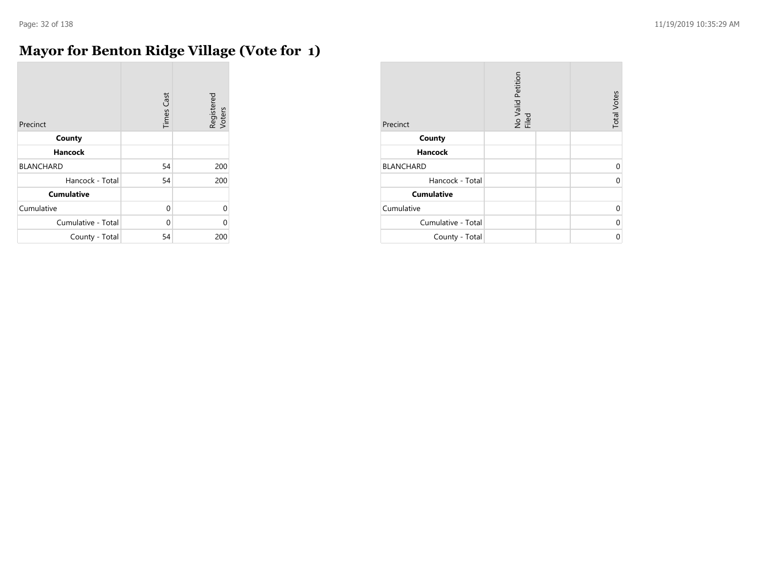### **Mayor for Benton Ridge Village (Vote for 1)**

| Precinct           | <b>Times Cast</b> | Registered<br>Voters |
|--------------------|-------------------|----------------------|
| County             |                   |                      |
| <b>Hancock</b>     |                   |                      |
| <b>BLANCHARD</b>   | 54                | 200                  |
| Hancock - Total    | 54                | 200                  |
| <b>Cumulative</b>  |                   |                      |
| Cumulative         | 0                 | $\Omega$             |
| Cumulative - Total | 0                 | 0                    |
| County - Total     | 54                | 200                  |

| Precinct           | No Valid Petition<br>Filed | <b>Total Votes</b> |
|--------------------|----------------------------|--------------------|
| County             |                            |                    |
| <b>Hancock</b>     |                            |                    |
| <b>BLANCHARD</b>   |                            | 0                  |
| Hancock - Total    |                            |                    |
| <b>Cumulative</b>  |                            |                    |
| Cumulative         |                            | 0                  |
| Cumulative - Total |                            | በ                  |
| County - Total     |                            | ሰ                  |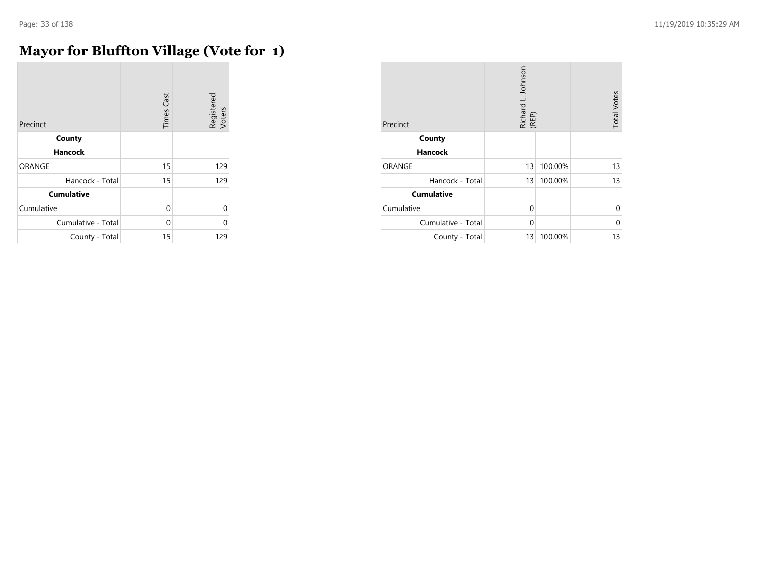÷

### **Mayor for Bluffton Village (Vote for 1)**

| Precinct           | <b>Times Cast</b> | Registered<br>Voters |
|--------------------|-------------------|----------------------|
| County             |                   |                      |
| <b>Hancock</b>     |                   |                      |
| ORANGE             | 15                | 129                  |
| Hancock - Total    | 15                | 129                  |
| <b>Cumulative</b>  |                   |                      |
| Cumulative         | $\Omega$          | $\Omega$             |
| Cumulative - Total | $\Omega$          | O                    |
| County - Total     | 15                | 129                  |

| Precinct           | Richard L. Johnson<br>(REP) |         | <b>Total Votes</b> |
|--------------------|-----------------------------|---------|--------------------|
| County             |                             |         |                    |
| Hancock            |                             |         |                    |
| ORANGE             | 13                          | 100.00% | 13                 |
| Hancock - Total    | 13                          | 100.00% | 13                 |
| <b>Cumulative</b>  |                             |         |                    |
| Cumulative         | $\Omega$                    |         | 0                  |
| Cumulative - Total | $\Omega$                    |         | 0                  |
| County - Total     | 13                          | 100.00% | 13                 |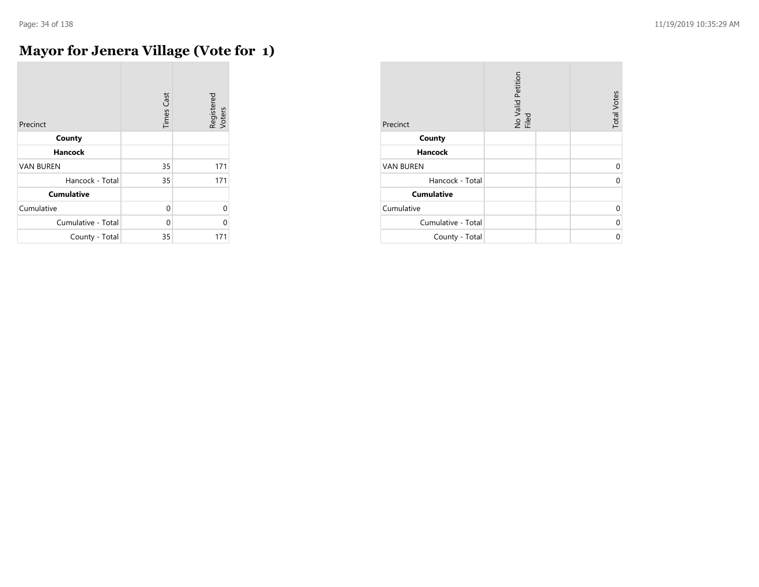### **Mayor for Jenera Village (Vote for 1)**

| Precinct           | <b>Times Cast</b> | Registered<br>Voters |
|--------------------|-------------------|----------------------|
| County             |                   |                      |
| <b>Hancock</b>     |                   |                      |
| <b>VAN BUREN</b>   | 35                | 171                  |
| Hancock - Total    | 35                | 171                  |
| <b>Cumulative</b>  |                   |                      |
| Cumulative         | $\Omega$          | 0                    |
| Cumulative - Total | $\Omega$          | 0                    |
| County - Total     | 35                | 171                  |

| Precinct           | No Valid Petition<br>Filed | <b>Total Votes</b> |
|--------------------|----------------------------|--------------------|
| County             |                            |                    |
| <b>Hancock</b>     |                            |                    |
| <b>VAN BUREN</b>   |                            | U                  |
| Hancock - Total    |                            |                    |
| <b>Cumulative</b>  |                            |                    |
| Cumulative         |                            | 0                  |
| Cumulative - Total |                            | N                  |
| County - Total     |                            | ሰ                  |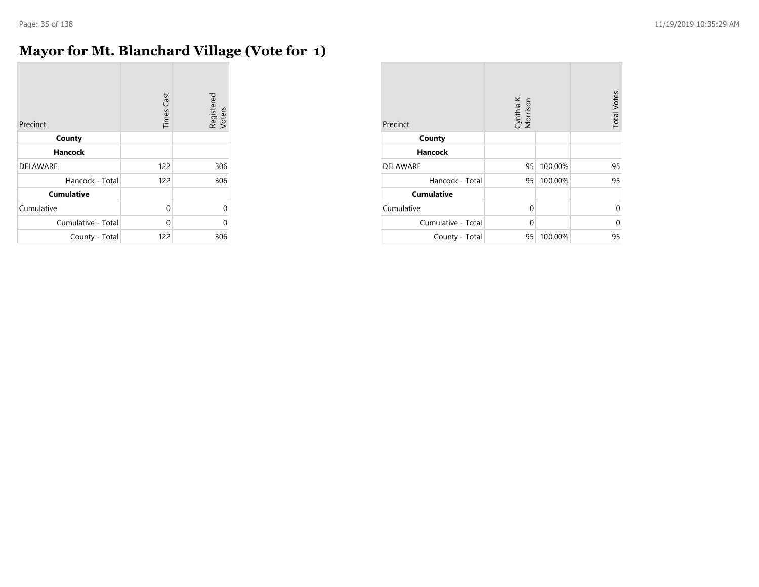$\sim$ 

### **Mayor for Mt. Blanchard Village (Vote for 1)**

| Precinct           | <b>Times Cast</b> | Registered<br>Voters |
|--------------------|-------------------|----------------------|
| County             |                   |                      |
| <b>Hancock</b>     |                   |                      |
| <b>DELAWARE</b>    | 122               | 306                  |
| Hancock - Total    | 122               | 306                  |
| <b>Cumulative</b>  |                   |                      |
| Cumulative         | 0                 | $\Omega$             |
| Cumulative - Total | 0                 | 0                    |
| County - Total     | 122               | 306                  |

| Precinct           | Cynthia K.<br>Morrison |         | <b>Total Votes</b> |
|--------------------|------------------------|---------|--------------------|
| County             |                        |         |                    |
| <b>Hancock</b>     |                        |         |                    |
| <b>DELAWARE</b>    | 95                     | 100.00% | 95                 |
| Hancock - Total    | 95                     | 100.00% | 95                 |
| <b>Cumulative</b>  |                        |         |                    |
| Cumulative         | 0                      |         | U                  |
| Cumulative - Total | $\Omega$               |         | 0                  |
| County - Total     | 95                     | 100.00% | 95                 |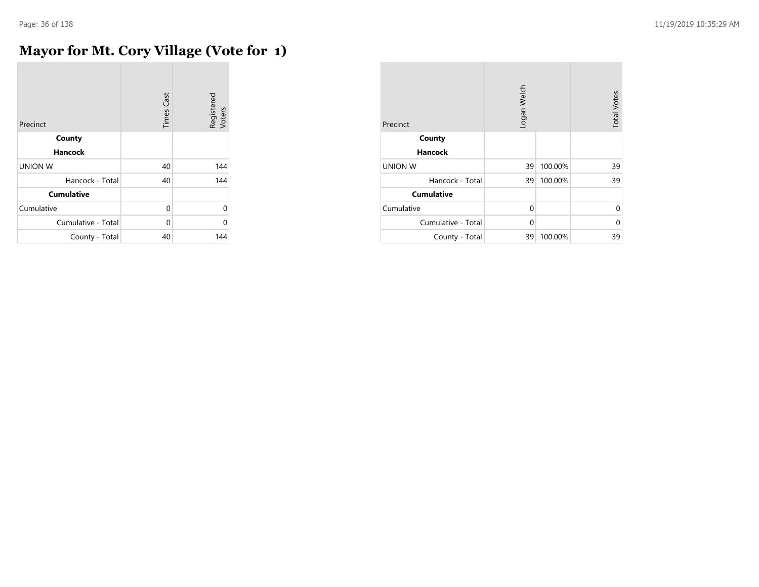$\sim$ 

### **Mayor for Mt. Cory Village (Vote for 1)**

| Precinct           | <b>Times Cast</b> | Registered<br>Voters |
|--------------------|-------------------|----------------------|
| County             |                   |                      |
| <b>Hancock</b>     |                   |                      |
| <b>UNION W</b>     | 40                | 144                  |
| Hancock - Total    | 40                | 144                  |
| <b>Cumulative</b>  |                   |                      |
| Cumulative         | $\Omega$          | $\Omega$             |
| Cumulative - Total | $\Omega$          | 0                    |
| County - Total     | 40                | 144                  |

| Precinct           | Logan Welch |         | <b>Total Votes</b> |
|--------------------|-------------|---------|--------------------|
| County             |             |         |                    |
| <b>Hancock</b>     |             |         |                    |
| <b>UNION W</b>     | 39          | 100.00% | 39                 |
| Hancock - Total    | 39          | 100.00% | 39                 |
| <b>Cumulative</b>  |             |         |                    |
| Cumulative         | 0           |         | $\Omega$           |
| Cumulative - Total | 0           |         | $\Omega$           |
| County - Total     | 39          | 100.00% | 39                 |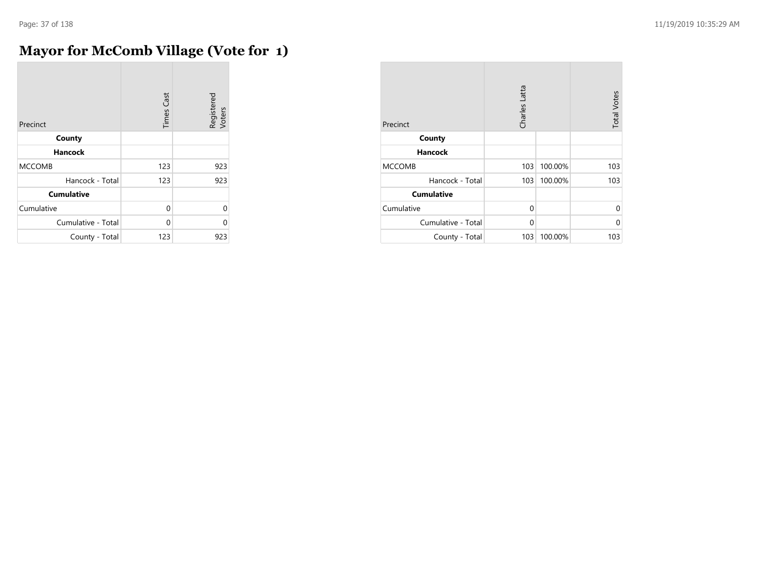÷

# **Mayor for McComb Village (Vote for 1)**

| Precinct           | <b>Times Cast</b> | Registered<br>Voters |
|--------------------|-------------------|----------------------|
| County             |                   |                      |
| <b>Hancock</b>     |                   |                      |
| <b>MCCOMB</b>      | 123               | 923                  |
| Hancock - Total    | 123               | 923                  |
| <b>Cumulative</b>  |                   |                      |
| Cumulative         | 0                 | $\Omega$             |
| Cumulative - Total | U                 | 0                    |
| County - Total     | 123               | 923                  |

| Precinct           | Charles Latta |         | <b>Total Votes</b> |
|--------------------|---------------|---------|--------------------|
| County             |               |         |                    |
| <b>Hancock</b>     |               |         |                    |
| <b>MCCOMB</b>      | 103           | 100.00% | 103                |
| Hancock - Total    | 103           | 100.00% | 103                |
| <b>Cumulative</b>  |               |         |                    |
| Cumulative         | $\Omega$      |         | 0                  |
| Cumulative - Total | 0             |         | 0                  |
| County - Total     | 103           | 100.00% | 103                |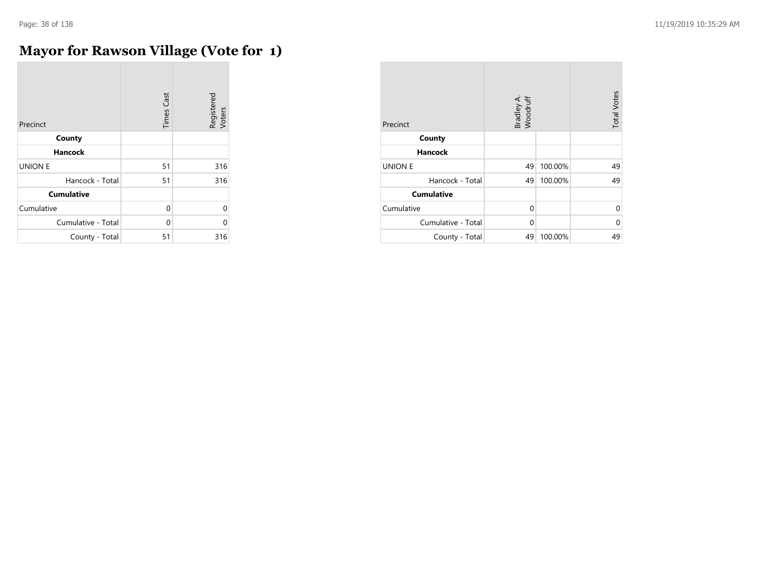÷

# **Mayor for Rawson Village (Vote for 1)**

| Precinct           | <b>Times Cast</b> | Registered<br>Voters |
|--------------------|-------------------|----------------------|
| County             |                   |                      |
| <b>Hancock</b>     |                   |                      |
| <b>UNION E</b>     | 51                | 316                  |
| Hancock - Total    | 51                | 316                  |
| <b>Cumulative</b>  |                   |                      |
| Cumulative         | $\Omega$          | $\Omega$             |
| Cumulative - Total | $\Omega$          | 0                    |
| County - Total     | 51                | 316                  |

| Precinct           | Bradley A.<br>Woodruff |         | <b>Total Votes</b> |
|--------------------|------------------------|---------|--------------------|
| County             |                        |         |                    |
| <b>Hancock</b>     |                        |         |                    |
| <b>UNION E</b>     | 49                     | 100.00% | 49                 |
| Hancock - Total    | 49                     | 100.00% | 49                 |
| <b>Cumulative</b>  |                        |         |                    |
| Cumulative         | $\Omega$               |         | U                  |
| Cumulative - Total | 0                      |         | 0                  |
| County - Total     | 49                     | 100.00% | 49                 |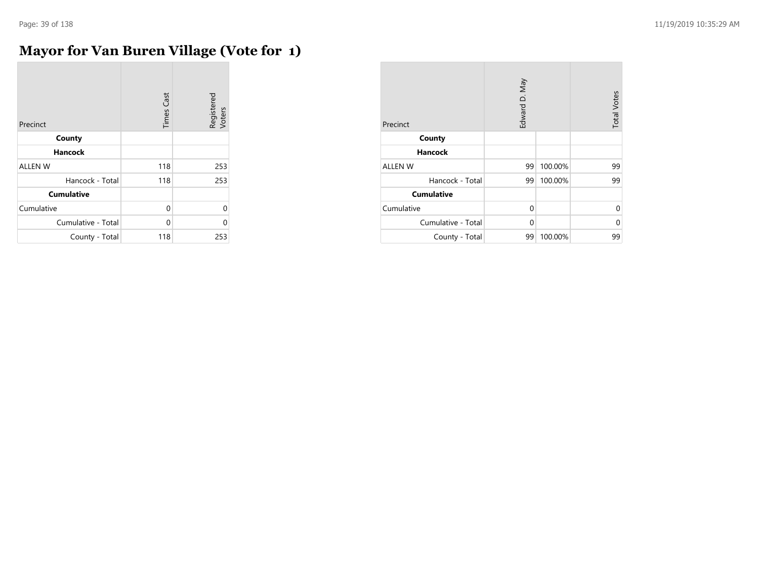$\sim$ 

# **Mayor for Van Buren Village (Vote for 1)**

| Precinct           | <b>Times Cast</b> | Registered<br>Voters |
|--------------------|-------------------|----------------------|
| County             |                   |                      |
| <b>Hancock</b>     |                   |                      |
| <b>ALLEN W</b>     | 118               | 253                  |
| Hancock - Total    | 118               | 253                  |
| <b>Cumulative</b>  |                   |                      |
| Cumulative         | 0                 | $\Omega$             |
| Cumulative - Total | $\Omega$          | 0                    |
| County - Total     | 118               | 253                  |

| Precinct           | Edward D. May |         | <b>Total Votes</b> |
|--------------------|---------------|---------|--------------------|
| County             |               |         |                    |
| <b>Hancock</b>     |               |         |                    |
| <b>ALLEN W</b>     | 99            | 100.00% | 99                 |
| Hancock - Total    | 99            | 100.00% | 99                 |
| <b>Cumulative</b>  |               |         |                    |
| Cumulative         | $\Omega$      |         | $\Omega$           |
| Cumulative - Total | 0             |         | $\Omega$           |
| County - Total     | 99            | 100.00% | 99                 |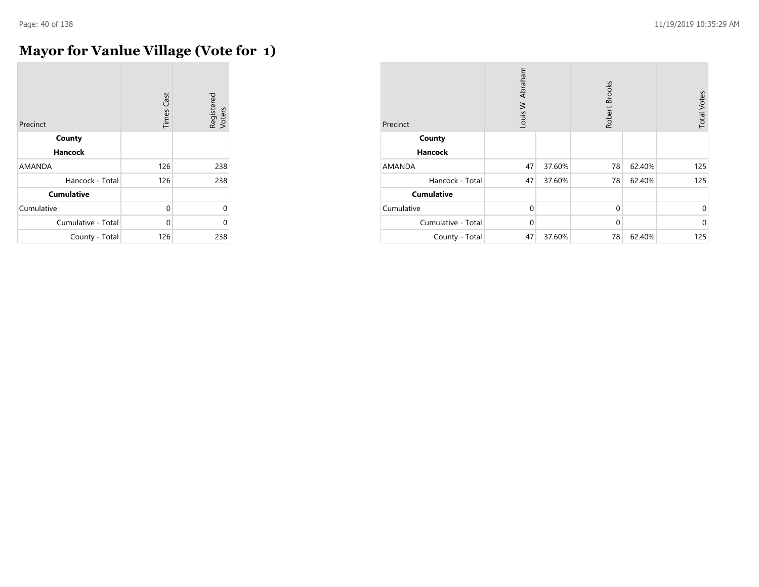# **Mayor for Vanlue Village (Vote for 1)**

| Precinct           | <b>Times Cast</b> | Registered<br>Voters |
|--------------------|-------------------|----------------------|
| County             |                   |                      |
| <b>Hancock</b>     |                   |                      |
| <b>AMANDA</b>      | 126               | 238                  |
| Hancock - Total    | 126               | 238                  |
| <b>Cumulative</b>  |                   |                      |
| Cumulative         | 0                 | $\Omega$             |
| Cumulative - Total | 0                 | 0                    |
| County - Total     | 126               | 238                  |

| Precinct           | Louis W. Abraham |        | Robert Brooks |        | <b>Total Votes</b> |
|--------------------|------------------|--------|---------------|--------|--------------------|
| County             |                  |        |               |        |                    |
| Hancock            |                  |        |               |        |                    |
| AMANDA             | 47               | 37.60% | 78            | 62.40% | 125                |
| Hancock - Total    | 47               | 37.60% | 78            | 62.40% | 125                |
| <b>Cumulative</b>  |                  |        |               |        |                    |
| Cumulative         | $\Omega$         |        | $\mathbf 0$   |        | $\mathbf{0}$       |
| Cumulative - Total | $\Omega$         |        | $\Omega$      |        | $\mathbf{0}$       |
| County - Total     | 47               | 37.60% | 78            | 62.40% | 125                |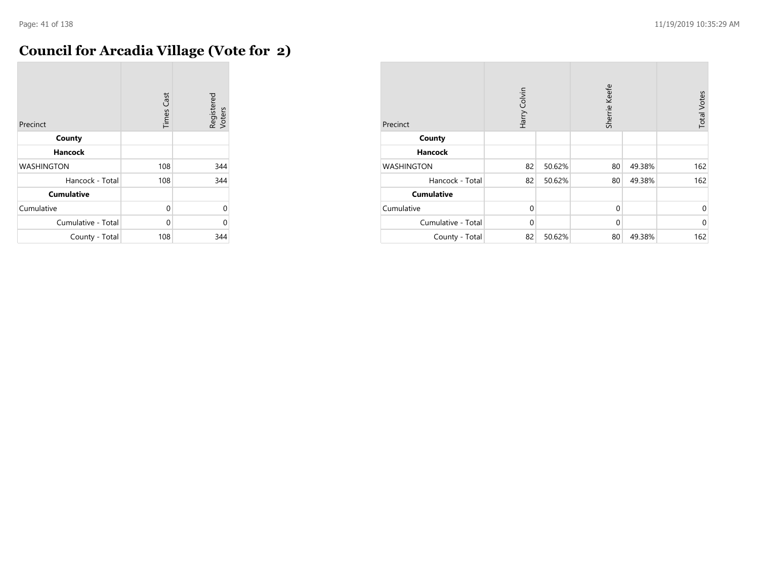$\sim$ 

# **Council for Arcadia Village (Vote for 2)**

| Precinct           | <b>Times Cast</b> | Registered<br>Voters |
|--------------------|-------------------|----------------------|
| County             |                   |                      |
| <b>Hancock</b>     |                   |                      |
| <b>WASHINGTON</b>  | 108               | 344                  |
| Hancock - Total    | 108               | 344                  |
| <b>Cumulative</b>  |                   |                      |
| Cumulative         | 0                 | $\Omega$             |
| Cumulative - Total | 0                 | 0                    |
| County - Total     | 108               | 344                  |

| Precinct           | Harry Colvin |        | Sherrie Keefe |        | <b>Total Votes</b> |
|--------------------|--------------|--------|---------------|--------|--------------------|
| County             |              |        |               |        |                    |
| <b>Hancock</b>     |              |        |               |        |                    |
| <b>WASHINGTON</b>  | 82           | 50.62% | 80            | 49.38% | 162                |
| Hancock - Total    | 82           | 50.62% | 80            | 49.38% | 162                |
| <b>Cumulative</b>  |              |        |               |        |                    |
| Cumulative         | $\Omega$     |        | $\mathbf{0}$  |        | $\mathbf 0$        |
| Cumulative - Total | $\Omega$     |        | $\mathbf 0$   |        | $\mathbf 0$        |
| County - Total     | 82           | 50.62% | 80            | 49.38% | 162                |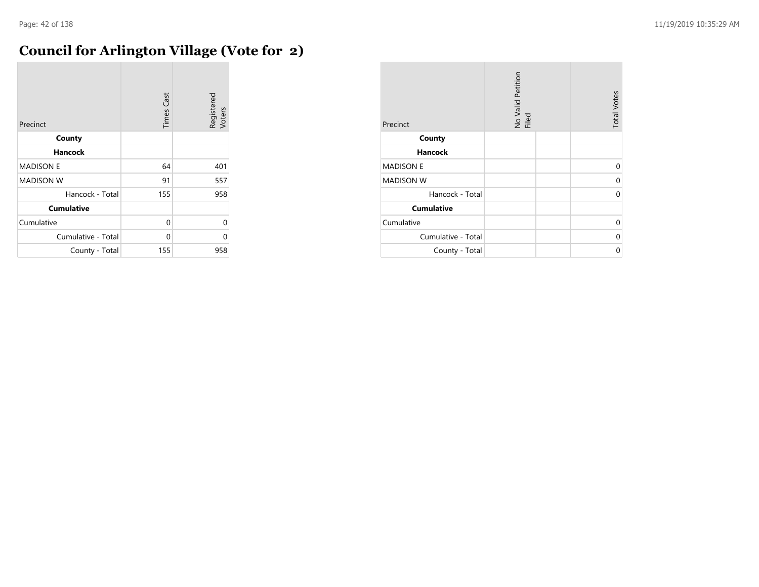# **Council for Arlington Village (Vote for 2)**

| Precinct           | <b>Times Cast</b> | Registered<br>Voters |
|--------------------|-------------------|----------------------|
| County             |                   |                      |
| Hancock            |                   |                      |
| <b>MADISON E</b>   | 64                | 401                  |
| <b>MADISON W</b>   | 91                | 557                  |
| Hancock - Total    | 155               | 958                  |
| <b>Cumulative</b>  |                   |                      |
| Cumulative         | 0                 | 0                    |
| Cumulative - Total | $\Omega$          | 0                    |
| County - Total     | 155               | 958                  |

| Precinct           | No Valid Petition<br>Filed | <b>Total Votes</b> |
|--------------------|----------------------------|--------------------|
| County             |                            |                    |
| <b>Hancock</b>     |                            |                    |
| <b>MADISON E</b>   |                            | $\Omega$           |
| <b>MADISON W</b>   |                            | 0                  |
| Hancock - Total    |                            | 0                  |
| <b>Cumulative</b>  |                            |                    |
| Cumulative         |                            | 0                  |
| Cumulative - Total |                            | 0                  |
| County - Total     |                            | U                  |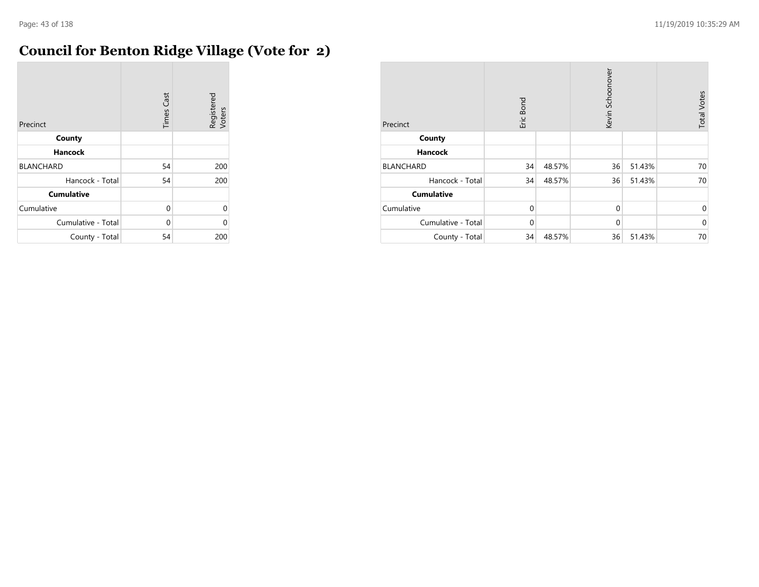# **Council for Benton Ridge Village (Vote for 2)**

| Precinct           | <b>Times Cast</b> | Registered<br>Voters |
|--------------------|-------------------|----------------------|
| County             |                   |                      |
| <b>Hancock</b>     |                   |                      |
| <b>BLANCHARD</b>   | 54                | 200                  |
| Hancock - Total    | 54                | 200                  |
| <b>Cumulative</b>  |                   |                      |
| Cumulative         | 0                 | $\Omega$             |
| Cumulative - Total | 0                 | 0                    |
| County - Total     | 54                | 200                  |

| Precinct           | Eric Bond |        | Kevin Schoonover |        | <b>Total Votes</b> |
|--------------------|-----------|--------|------------------|--------|--------------------|
| County             |           |        |                  |        |                    |
| <b>Hancock</b>     |           |        |                  |        |                    |
| <b>BLANCHARD</b>   | 34        | 48.57% | 36               | 51.43% | 70                 |
| Hancock - Total    | 34        | 48.57% | 36               | 51.43% | 70                 |
| <b>Cumulative</b>  |           |        |                  |        |                    |
| Cumulative         | $\Omega$  |        | $\mathbf 0$      |        | $\mathbf 0$        |
| Cumulative - Total | $\Omega$  |        | $\mathbf 0$      |        | $\mathbf{0}$       |
| County - Total     | 34        | 48.57% | 36               | 51.43% | 70                 |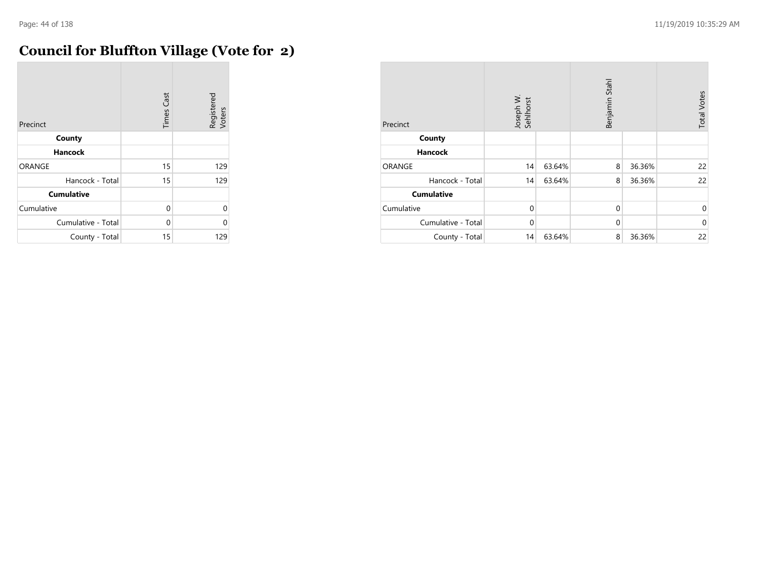**COL** 

# **Council for Bluffton Village (Vote for 2)**

| Precinct           | <b>Times Cast</b> | Registered<br>Voters |
|--------------------|-------------------|----------------------|
| County             |                   |                      |
| <b>Hancock</b>     |                   |                      |
| <b>ORANGE</b>      | 15                | 129                  |
| Hancock - Total    | 15                | 129                  |
| <b>Cumulative</b>  |                   |                      |
| Cumulative         | $\Omega$          | $\Omega$             |
| Cumulative - Total | 0                 | 0                    |
| County - Total     | 15                | 129                  |

| Precinct           | Joseph W.<br>Sehlhorst |        | Benjamin Stahl |        | <b>Total Votes</b> |
|--------------------|------------------------|--------|----------------|--------|--------------------|
| County             |                        |        |                |        |                    |
| <b>Hancock</b>     |                        |        |                |        |                    |
| ORANGE             | 14                     | 63.64% | 8              | 36.36% | 22                 |
| Hancock - Total    | 14                     | 63.64% | 8              | 36.36% | 22                 |
| <b>Cumulative</b>  |                        |        |                |        |                    |
| Cumulative         | $\mathbf 0$            |        | $\mathbf{0}$   |        | $\mathbf 0$        |
| Cumulative - Total | $\Omega$               |        | $\Omega$       |        | $\mathbf{0}$       |
| County - Total     | 14                     | 63.64% | 8              | 36.36% | 22                 |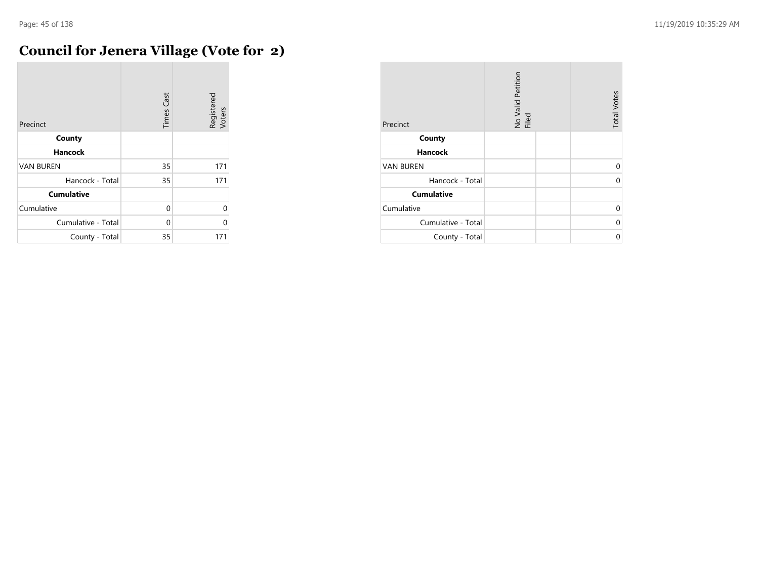÷

# **Council for Jenera Village (Vote for 2)**

| Precinct           | <b>Times Cast</b> | Registered<br>Voters |
|--------------------|-------------------|----------------------|
| County             |                   |                      |
| <b>Hancock</b>     |                   |                      |
| <b>VAN BUREN</b>   | 35                | 171                  |
| Hancock - Total    | 35                | 171                  |
| <b>Cumulative</b>  |                   |                      |
| Cumulative         | 0                 | $\Omega$             |
| Cumulative - Total | $\Omega$          | 0                    |
| County - Total     | 35                | 171                  |

| Precinct           | No Valid Petition<br>Filed | <b>Total Votes</b> |
|--------------------|----------------------------|--------------------|
| County             |                            |                    |
| <b>Hancock</b>     |                            |                    |
| <b>VAN BUREN</b>   |                            | U                  |
| Hancock - Total    |                            |                    |
| <b>Cumulative</b>  |                            |                    |
| Cumulative         |                            | U                  |
| Cumulative - Total |                            | N                  |
| County - Total     |                            | ሰ                  |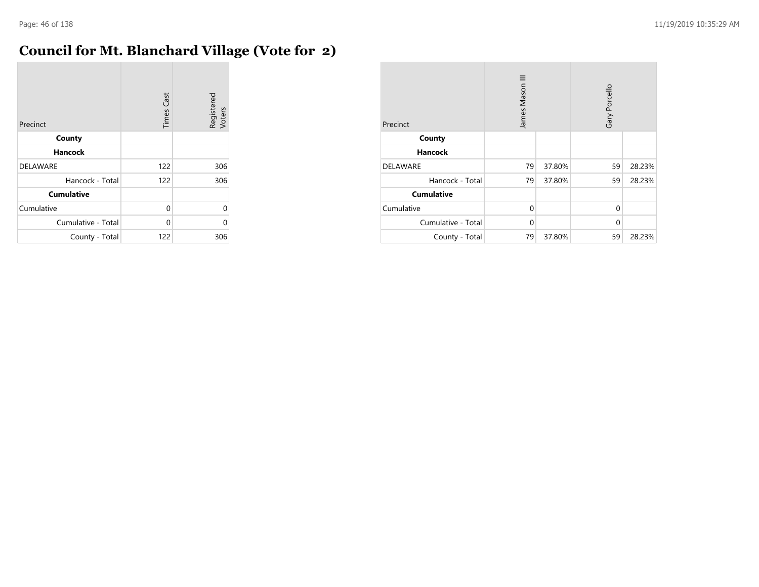$\sim$ 

# **Council for Mt. Blanchard Village (Vote for 2)**

| Precinct           | <b>Times Cast</b> | Registered<br>Voters |
|--------------------|-------------------|----------------------|
| County             |                   |                      |
| <b>Hancock</b>     |                   |                      |
| <b>DELAWARE</b>    | 122               | 306                  |
| Hancock - Total    | 122               | 306                  |
| <b>Cumulative</b>  |                   |                      |
| Cumulative         | 0                 | $\Omega$             |
| Cumulative - Total | $\Omega$          | 0                    |
| County - Total     | 122               | 306                  |

| Precinct           | James Mason III |        | Gary Porcello |        |
|--------------------|-----------------|--------|---------------|--------|
| County             |                 |        |               |        |
| <b>Hancock</b>     |                 |        |               |        |
| <b>DELAWARE</b>    | 79              | 37.80% | 59            | 28.23% |
| Hancock - Total    | 79              | 37.80% | 59            | 28.23% |
| <b>Cumulative</b>  |                 |        |               |        |
| Cumulative         | $\Omega$        |        | $\Omega$      |        |
| Cumulative - Total | $\Omega$        |        | $\Omega$      |        |
| County - Total     | 79              | 37.80% | 59            | 28.23% |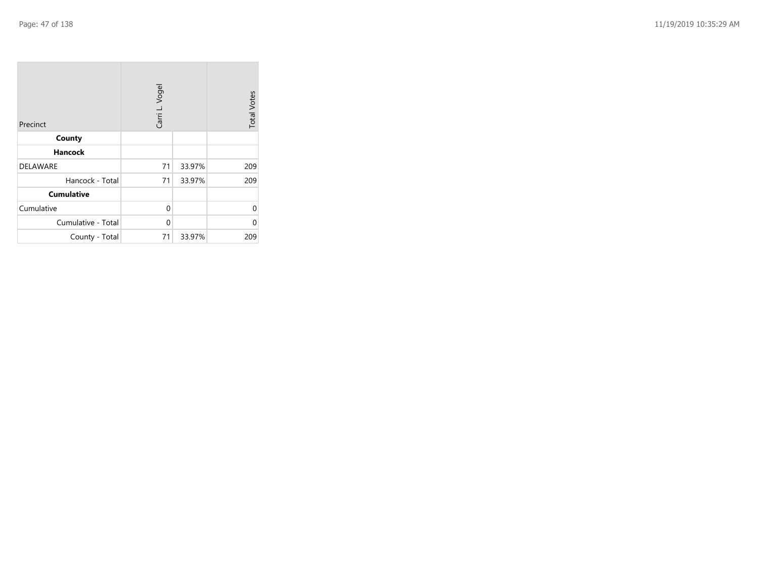| Precinct           | Carri L. Vogel |        | <b>Total Votes</b> |
|--------------------|----------------|--------|--------------------|
| County             |                |        |                    |
| <b>Hancock</b>     |                |        |                    |
| <b>DELAWARE</b>    | 71             | 33.97% | 209                |
| Hancock - Total    | 71             | 33.97% | 209                |
| <b>Cumulative</b>  |                |        |                    |
| Cumulative         | 0              |        | 0                  |
| Cumulative - Total | 0              |        | 0                  |
| County - Total     | 71             | 33.97% | 209                |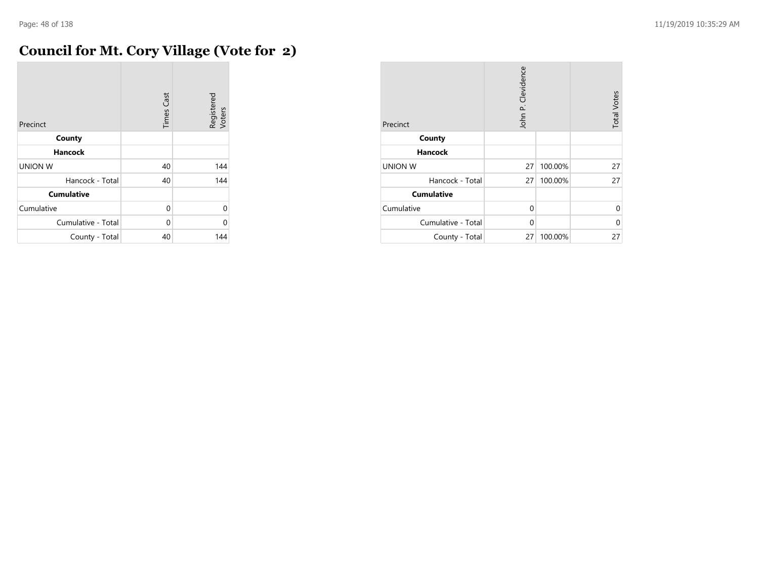# **Council for Mt. Cory Village (Vote for 2)**

| Precinct           | <b>Times Cast</b> | Registered<br>Voters |
|--------------------|-------------------|----------------------|
| County             |                   |                      |
| <b>Hancock</b>     |                   |                      |
| <b>UNION W</b>     | 40                | 144                  |
| Hancock - Total    | 40                | 144                  |
| <b>Cumulative</b>  |                   |                      |
| Cumulative         | $\Omega$          | $\Omega$             |
| Cumulative - Total | 0                 | 0                    |
| County - Total     | 40                | 144                  |

| Precinct           | John P. Clevidence |         | <b>Total Votes</b> |
|--------------------|--------------------|---------|--------------------|
| County             |                    |         |                    |
| <b>Hancock</b>     |                    |         |                    |
| <b>UNION W</b>     | 27                 | 100.00% | 27                 |
| Hancock - Total    | 27 <sup>1</sup>    | 100.00% | 27                 |
| <b>Cumulative</b>  |                    |         |                    |
| Cumulative         | 0                  |         | $\Omega$           |
| Cumulative - Total | $\Omega$           |         | 0                  |
| County - Total     | 27 <sup>1</sup>    | 100.00% | 27                 |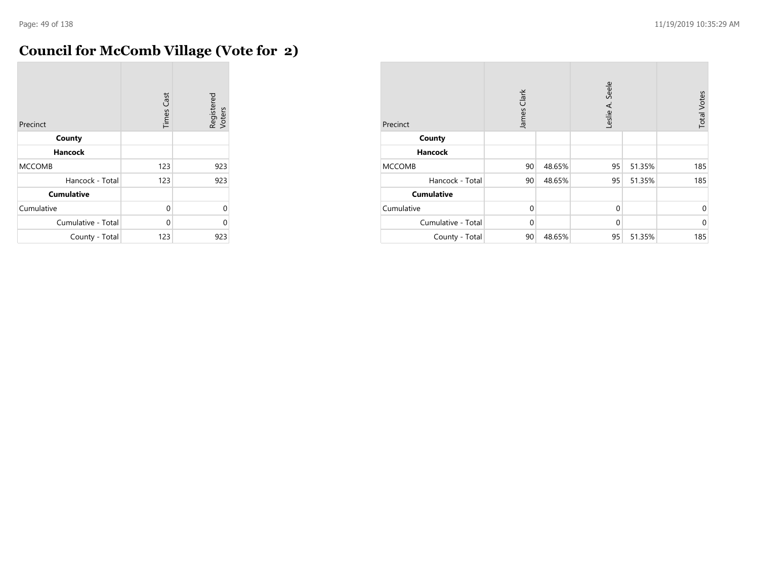# **Council for McComb Village (Vote for 2)**

| Precinct           | <b>Times Cast</b> | Registered<br>Voters |
|--------------------|-------------------|----------------------|
| County             |                   |                      |
| <b>Hancock</b>     |                   |                      |
| <b>MCCOMB</b>      | 123               | 923                  |
| Hancock - Total    | 123               | 923                  |
| <b>Cumulative</b>  |                   |                      |
| Cumulative         | $\Omega$          | 0                    |
| Cumulative - Total | 0                 | C                    |
| County - Total     | 123               | 923                  |

| Precinct           | Clark<br>James |        | Leslie A. Seele |        | <b>Total Votes</b> |
|--------------------|----------------|--------|-----------------|--------|--------------------|
| County             |                |        |                 |        |                    |
| <b>Hancock</b>     |                |        |                 |        |                    |
| <b>MCCOMB</b>      | 90             | 48.65% | 95              | 51.35% | 185                |
| Hancock - Total    | 90             | 48.65% | 95              | 51.35% | 185                |
| <b>Cumulative</b>  |                |        |                 |        |                    |
| Cumulative         | $\Omega$       |        | $\mathbf 0$     |        | $\mathbf 0$        |
| Cumulative - Total | $\Omega$       |        | $\mathbf 0$     |        | $\mathbf 0$        |
| County - Total     | 90             | 48.65% | 95              | 51.35% | 185                |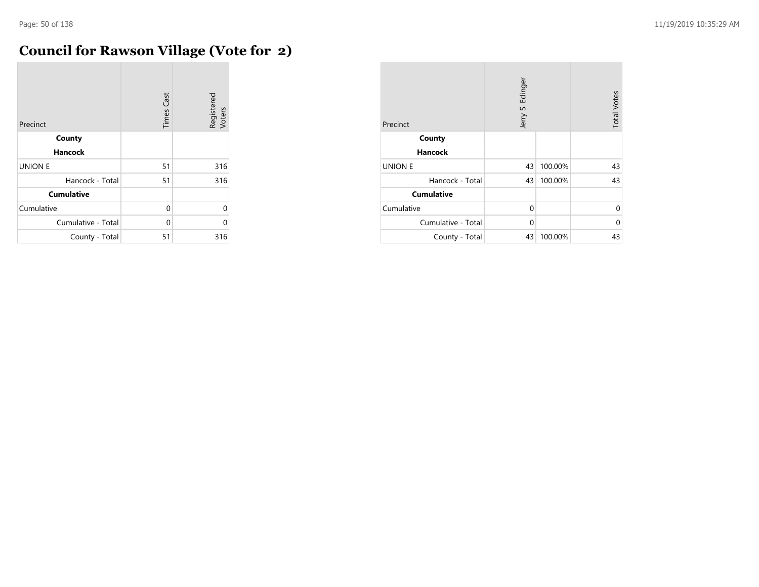$\sim$ 

# **Council for Rawson Village (Vote for 2)**

| Precinct           | <b>Times Cast</b> | Registered<br>Voters |
|--------------------|-------------------|----------------------|
| County             |                   |                      |
| <b>Hancock</b>     |                   |                      |
| <b>UNION E</b>     | 51                | 316                  |
| Hancock - Total    | 51                | 316                  |
| <b>Cumulative</b>  |                   |                      |
| Cumulative         | $\Omega$          | $\Omega$             |
| Cumulative - Total | 0                 | C                    |
| County - Total     | 51                | 316                  |

| Precinct           | Jerry S. Edinger |         | <b>Total Votes</b> |
|--------------------|------------------|---------|--------------------|
| County             |                  |         |                    |
| <b>Hancock</b>     |                  |         |                    |
| <b>UNION E</b>     | 43               | 100.00% | 43                 |
| Hancock - Total    | 43               | 100.00% | 43                 |
| <b>Cumulative</b>  |                  |         |                    |
| Cumulative         | 0                |         | $\Omega$           |
| Cumulative - Total | $\Omega$         |         | 0                  |
| County - Total     | 43               | 100.00% | 43                 |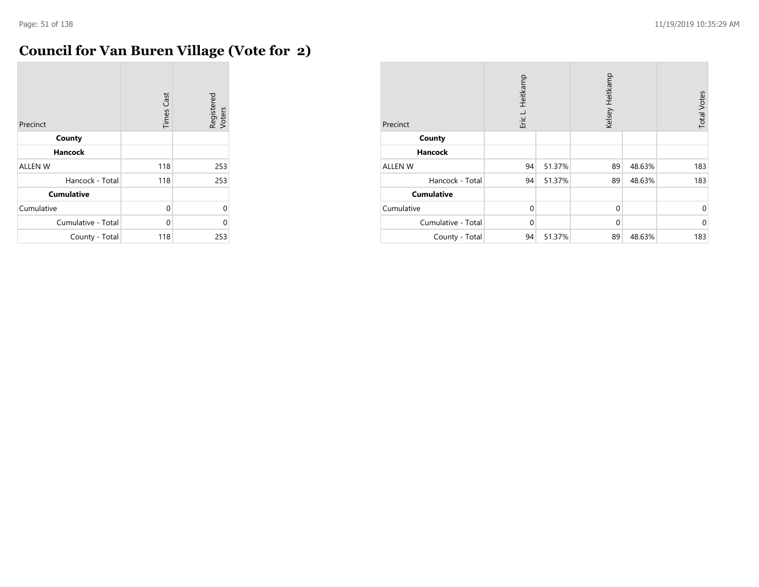# **Council for Van Buren Village (Vote for 2)**

| Precinct           | <b>Times Cast</b> | Registered<br>Voters |
|--------------------|-------------------|----------------------|
| County             |                   |                      |
| <b>Hancock</b>     |                   |                      |
| <b>ALLEN W</b>     | 118               | 253                  |
| Hancock - Total    | 118               | 253                  |
| <b>Cumulative</b>  |                   |                      |
| Cumulative         | $\Omega$          | 0                    |
| Cumulative - Total | U                 | C                    |
| County - Total     | 118               | 253                  |

| Precinct           | Heitkamp<br>Eric L. |        | Kelsey Heitkamp |        | <b>Total Votes</b> |
|--------------------|---------------------|--------|-----------------|--------|--------------------|
| County             |                     |        |                 |        |                    |
| <b>Hancock</b>     |                     |        |                 |        |                    |
| <b>ALLEN W</b>     | 94                  | 51.37% | 89              | 48.63% | 183                |
| Hancock - Total    | 94                  | 51.37% | 89              | 48.63% | 183                |
| <b>Cumulative</b>  |                     |        |                 |        |                    |
| Cumulative         | $\Omega$            |        | $\mathbf 0$     |        | $\mathbf 0$        |
| Cumulative - Total | $\Omega$            |        | $\mathbf{0}$    |        | $\mathbf 0$        |
| County - Total     | 94                  | 51.37% | 89              | 48.63% | 183                |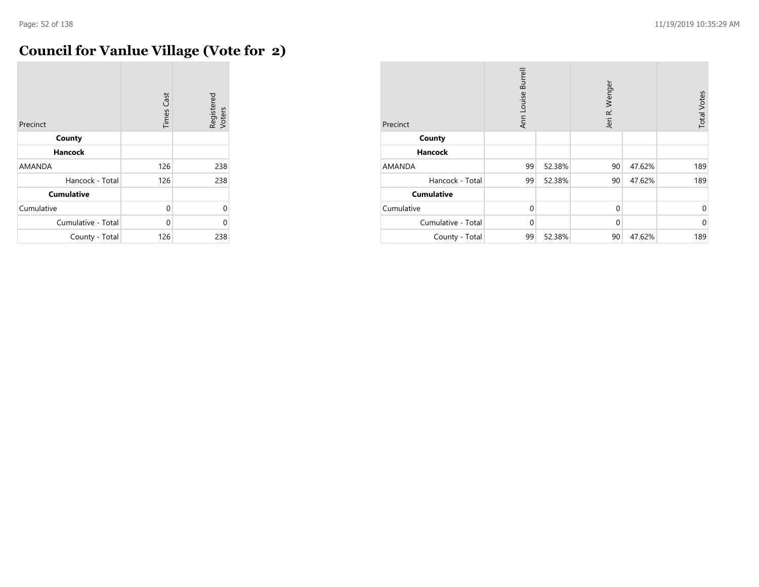÷

# **Council for Vanlue Village (Vote for 2)**

| Precinct           | <b>Times Cast</b> | Registered<br>Voters |
|--------------------|-------------------|----------------------|
| County             |                   |                      |
| <b>Hancock</b>     |                   |                      |
| <b>AMANDA</b>      | 126               | 238                  |
| Hancock - Total    | 126               | 238                  |
| <b>Cumulative</b>  |                   |                      |
| Cumulative         | $\Omega$          | 0                    |
| Cumulative - Total | $\Omega$          | C                    |
| County - Total     | 126               | 238                  |

| Precinct           | Ann Louise Burrell |        | Jeri R. Wenger |        | <b>Total Votes</b> |
|--------------------|--------------------|--------|----------------|--------|--------------------|
| County             |                    |        |                |        |                    |
| <b>Hancock</b>     |                    |        |                |        |                    |
| AMANDA             | 99                 | 52.38% | 90             | 47.62% | 189                |
| Hancock - Total    | 99                 | 52.38% | 90             | 47.62% | 189                |
| <b>Cumulative</b>  |                    |        |                |        |                    |
| Cumulative         | $\Omega$           |        | $\mathbf 0$    |        | 0                  |
| Cumulative - Total | $\Omega$           |        | $\mathbf 0$    |        | $\mathbf{0}$       |
| County - Total     | 99                 | 52.38% | 90             | 47.62% | 189                |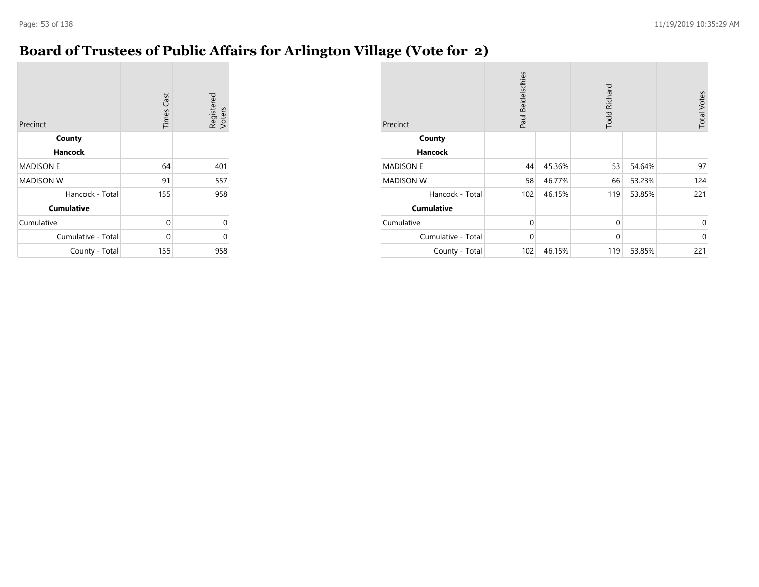## **Board of Trustees of Public Affairs for Arlington Village (Vote for 2)**

| Precinct           | <b>Times Cast</b> | Registered<br>Voters |
|--------------------|-------------------|----------------------|
| County             |                   |                      |
| <b>Hancock</b>     |                   |                      |
| <b>MADISON E</b>   | 64                | 401                  |
| <b>MADISON W</b>   | 91                | 557                  |
| Hancock - Total    | 155               | 958                  |
| <b>Cumulative</b>  |                   |                      |
| Cumulative         | $\Omega$          | 0                    |
| Cumulative - Total | $\Omega$          | 0                    |
| County - Total     | 155               | 958                  |

| Precinct           | Paul Beidelschies |        | <b>Todd Richard</b> |        | <b>Total Votes</b> |
|--------------------|-------------------|--------|---------------------|--------|--------------------|
| County             |                   |        |                     |        |                    |
| Hancock            |                   |        |                     |        |                    |
| <b>MADISON E</b>   | 44                | 45.36% | 53                  | 54.64% | 97                 |
| <b>MADISON W</b>   | 58                | 46.77% | 66                  | 53.23% | 124                |
| Hancock - Total    | 102               | 46.15% | 119                 | 53.85% | 221                |
| <b>Cumulative</b>  |                   |        |                     |        |                    |
| Cumulative         | 0                 |        | $\mathbf{0}$        |        | $\mathbf 0$        |
| Cumulative - Total | $\mathbf 0$       |        | $\mathbf{0}$        |        | $\mathbf{0}$       |
| County - Total     | 102               | 46.15% | 119                 | 53.85% | 221                |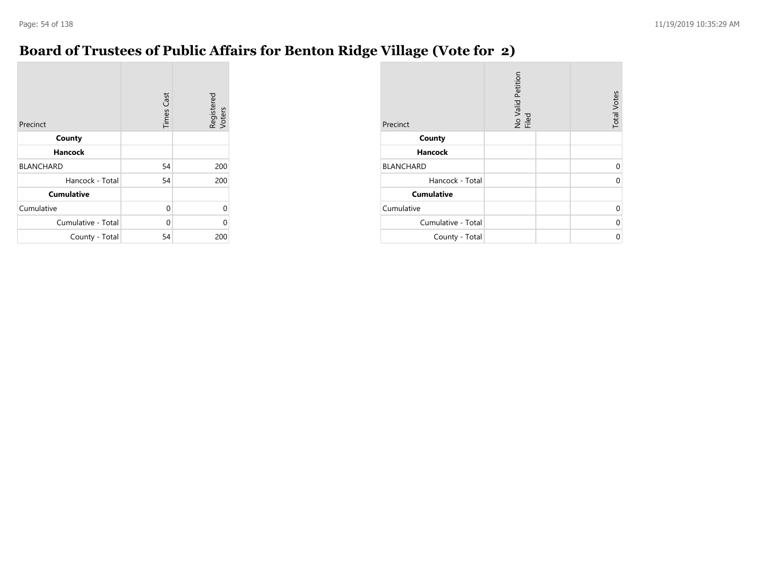## **Board of Trustees of Public Affairs for Benton Ridge Village (Vote for 2)**

| Precinct           | <b>Times Cast</b> | Registered<br>Voters |
|--------------------|-------------------|----------------------|
| County             |                   |                      |
| <b>Hancock</b>     |                   |                      |
| <b>BLANCHARD</b>   | 54                | 200                  |
| Hancock - Total    | 54                | 200                  |
| <b>Cumulative</b>  |                   |                      |
| Cumulative         | $\Omega$          | 0                    |
| Cumulative - Total | $\Omega$          | 0                    |
| County - Total     | 54                | 200                  |

| Precinct           | No Valid Petition<br>Filed | <b>Total Votes</b> |
|--------------------|----------------------------|--------------------|
| County             |                            |                    |
| <b>Hancock</b>     |                            |                    |
| <b>BLANCHARD</b>   |                            | $\Omega$           |
| Hancock - Total    |                            | $\Omega$           |
| <b>Cumulative</b>  |                            |                    |
| Cumulative         |                            | $\Omega$           |
| Cumulative - Total |                            | $\Omega$           |
| County - Total     |                            | 0                  |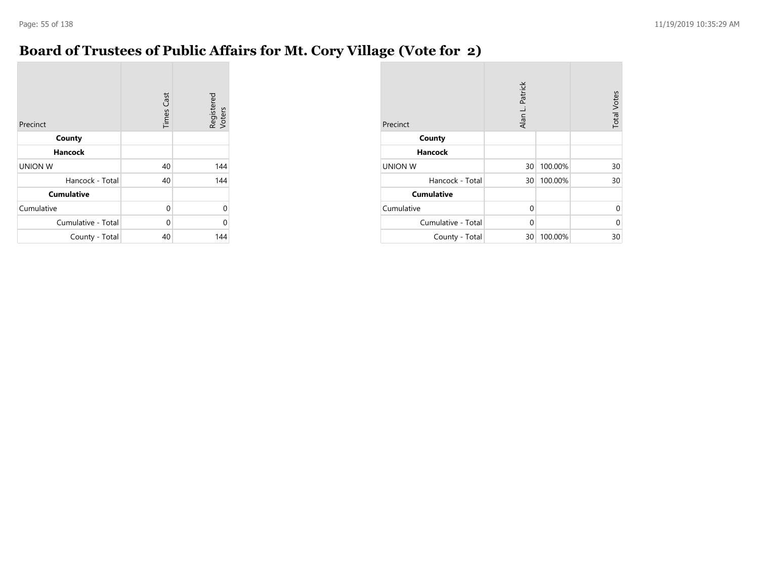## **Board of Trustees of Public Affairs for Mt. Cory Village (Vote for 2)**

| Precinct           | <b>Times Cast</b> | Registered<br>Voters |
|--------------------|-------------------|----------------------|
| County             |                   |                      |
| <b>Hancock</b>     |                   |                      |
| <b>UNION W</b>     | 40                | 144                  |
| Hancock - Total    | 40                | 144                  |
| <b>Cumulative</b>  |                   |                      |
| Cumulative         | $\Omega$          | 0                    |
| Cumulative - Total | $\Omega$          | ი                    |
| County - Total     | 40                | 144                  |

| Precinct           | Alan L. Patrick |         | <b>Total Votes</b> |
|--------------------|-----------------|---------|--------------------|
| County             |                 |         |                    |
| <b>Hancock</b>     |                 |         |                    |
| <b>UNION W</b>     | 30 <sup>°</sup> | 100.00% | 30                 |
| Hancock - Total    | 30 <sup>°</sup> | 100.00% | 30                 |
| <b>Cumulative</b>  |                 |         |                    |
| Cumulative         | $\Omega$        |         | 0                  |
| Cumulative - Total | $\Omega$        |         | 0                  |
| County - Total     | 30              | 100.00% | 30                 |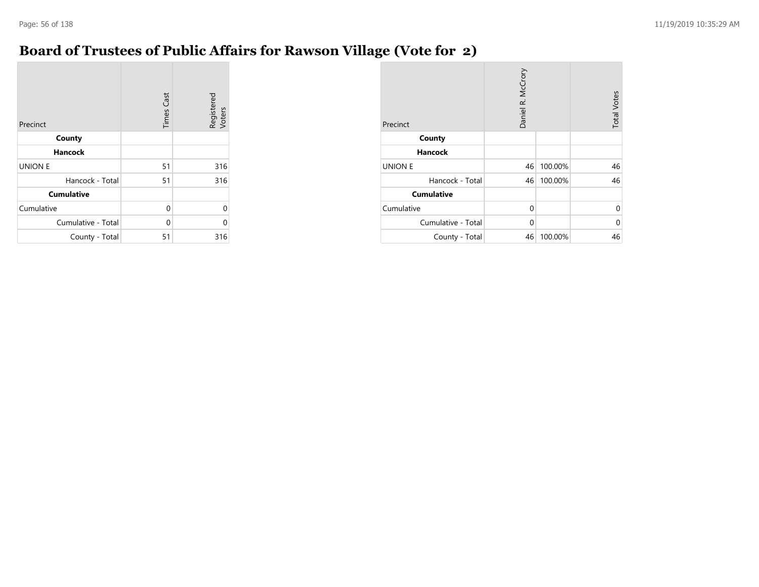## **Board of Trustees of Public Affairs for Rawson Village (Vote for 2)**

| Precinct           | <b>Times Cast</b> | Registered<br>Voters |
|--------------------|-------------------|----------------------|
| County             |                   |                      |
| <b>Hancock</b>     |                   |                      |
| <b>UNION E</b>     | 51                | 316                  |
| Hancock - Total    | 51                | 316                  |
| <b>Cumulative</b>  |                   |                      |
| Cumulative         | $\Omega$          | 0                    |
| Cumulative - Total | $\Omega$          | 0                    |
| County - Total     | 51                | 316                  |

| Precinct           | Daniel R. McCrory |         | <b>Total Votes</b> |
|--------------------|-------------------|---------|--------------------|
| County             |                   |         |                    |
| <b>Hancock</b>     |                   |         |                    |
| <b>UNION E</b>     | 46                | 100.00% | 46                 |
| Hancock - Total    | 46                | 100.00% | 46                 |
| <b>Cumulative</b>  |                   |         |                    |
| Cumulative         | $\Omega$          |         | $\Omega$           |
| Cumulative - Total | $\Omega$          |         | $\Omega$           |
| County - Total     | 46                | 100.00% | 46                 |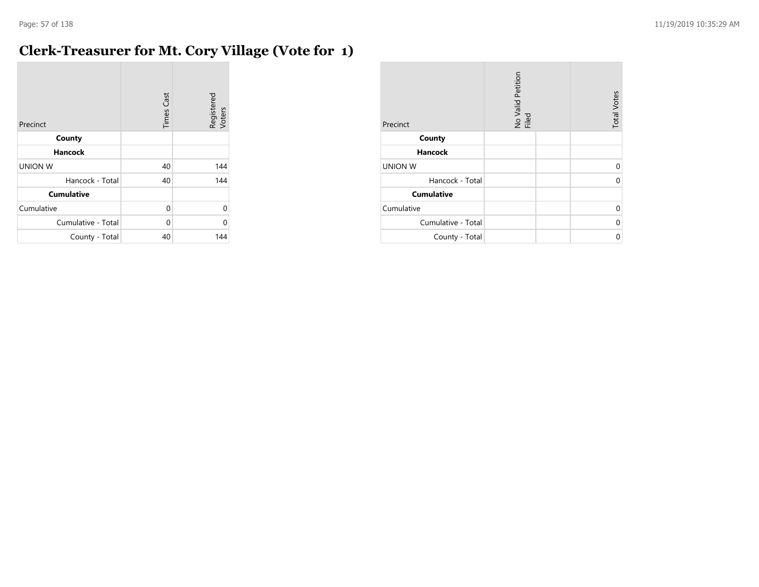# **Clerk-Treasurer for Mt. Cory Village (Vote for 1)**

| Precinct           | <b>Times Cast</b> | Registered<br>Voters |
|--------------------|-------------------|----------------------|
| County             |                   |                      |
| <b>Hancock</b>     |                   |                      |
| <b>UNION W</b>     | 40                | 144                  |
| Hancock - Total    | 40                | 144                  |
| <b>Cumulative</b>  |                   |                      |
| Cumulative         | 0                 | $\Omega$             |
| Cumulative - Total | 0                 | U                    |
| County - Total     | 40                | 144                  |

| Precinct           | No Valid Petition<br>Filed | <b>Total Votes</b> |
|--------------------|----------------------------|--------------------|
| County             |                            |                    |
| <b>Hancock</b>     |                            |                    |
| <b>UNION W</b>     |                            | ሰ                  |
| Hancock - Total    |                            |                    |
| <b>Cumulative</b>  |                            |                    |
| Cumulative         |                            | 0                  |
| Cumulative - Total |                            | ሰ                  |
| County - Total     |                            | ი                  |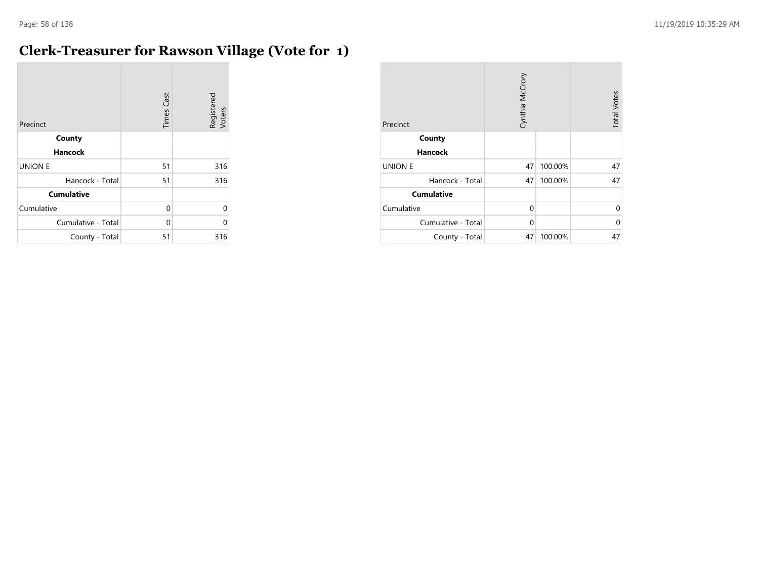$\sim$ 

# **Clerk-Treasurer for Rawson Village (Vote for 1)**

| Precinct           | <b>Times Cast</b> | Registered<br>Voters |
|--------------------|-------------------|----------------------|
| County             |                   |                      |
| <b>Hancock</b>     |                   |                      |
| <b>UNION E</b>     | 51                | 316                  |
| Hancock - Total    | 51                | 316                  |
| <b>Cumulative</b>  |                   |                      |
| Cumulative         | 0                 | $\Omega$             |
| Cumulative - Total | 0                 | 0                    |
| County - Total     | 51                | 316                  |

| Precinct           | Cynthia McCrory |         | <b>Total Votes</b> |
|--------------------|-----------------|---------|--------------------|
| County             |                 |         |                    |
| <b>Hancock</b>     |                 |         |                    |
| <b>UNION E</b>     | 47              | 100.00% | 47                 |
| Hancock - Total    | 47              | 100.00% | 47                 |
| <b>Cumulative</b>  |                 |         |                    |
| Cumulative         | $\Omega$        |         | 0                  |
| Cumulative - Total | $\Omega$        |         | 0                  |
| County - Total     | 47              | 100.00% | 47                 |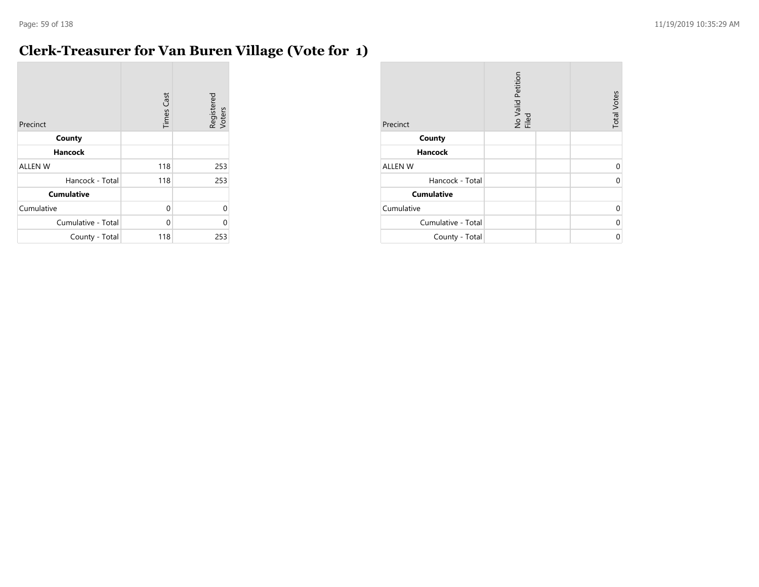# **Clerk-Treasurer for Van Buren Village (Vote for 1)**

| Precinct           | <b>Times Cast</b> | Registered<br>Voters |
|--------------------|-------------------|----------------------|
| County             |                   |                      |
| <b>Hancock</b>     |                   |                      |
| <b>ALLEN W</b>     | 118               | 253                  |
| Hancock - Total    | 118               | 253                  |
| <b>Cumulative</b>  |                   |                      |
| Cumulative         | 0                 | $\Omega$             |
| Cumulative - Total | $\Omega$          | 0                    |
| County - Total     | 118               | 253                  |

| Precinct           | No Valid Petition<br>Filed | <b>Total Votes</b> |
|--------------------|----------------------------|--------------------|
| County             |                            |                    |
| <b>Hancock</b>     |                            |                    |
| <b>ALLEN W</b>     |                            | 0                  |
| Hancock - Total    |                            | U                  |
| <b>Cumulative</b>  |                            |                    |
| Cumulative         |                            | $\Omega$           |
| Cumulative - Total |                            | U                  |
| County - Total     |                            | U                  |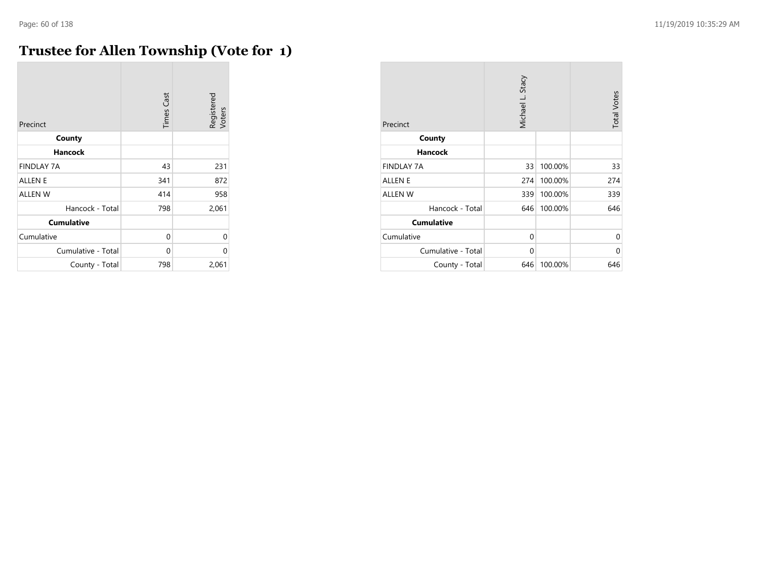$\mathcal{L}_{\mathcal{A}}$ 

## **Trustee for Allen Township (Vote for 1)**

| Precinct           | <b>Times Cast</b> | Registered<br>Voters |
|--------------------|-------------------|----------------------|
| County             |                   |                      |
| <b>Hancock</b>     |                   |                      |
| <b>FINDLAY 7A</b>  | 43                | 231                  |
| <b>ALLEN E</b>     | 341               | 872                  |
| <b>ALLEN W</b>     | 414               | 958                  |
| Hancock - Total    | 798               | 2,061                |
| <b>Cumulative</b>  |                   |                      |
| Cumulative         | 0                 | $\Omega$             |
| Cumulative - Total | 0                 | $\Omega$             |
| County - Total     | 798               | 2,061                |

| Precinct           | Michael L. Stacy |         | <b>Total Votes</b> |
|--------------------|------------------|---------|--------------------|
| County             |                  |         |                    |
| <b>Hancock</b>     |                  |         |                    |
| <b>FINDLAY 7A</b>  | 33               | 100.00% | 33                 |
| <b>ALLEN E</b>     | 274              | 100.00% | 274                |
| <b>ALLEN W</b>     | 339              | 100.00% | 339                |
| Hancock - Total    | 646              | 100.00% | 646                |
| <b>Cumulative</b>  |                  |         |                    |
| Cumulative         | $\Omega$         |         | 0                  |
| Cumulative - Total | $\Omega$         |         | 0                  |
| County - Total     | 646              | 100.00% | 646                |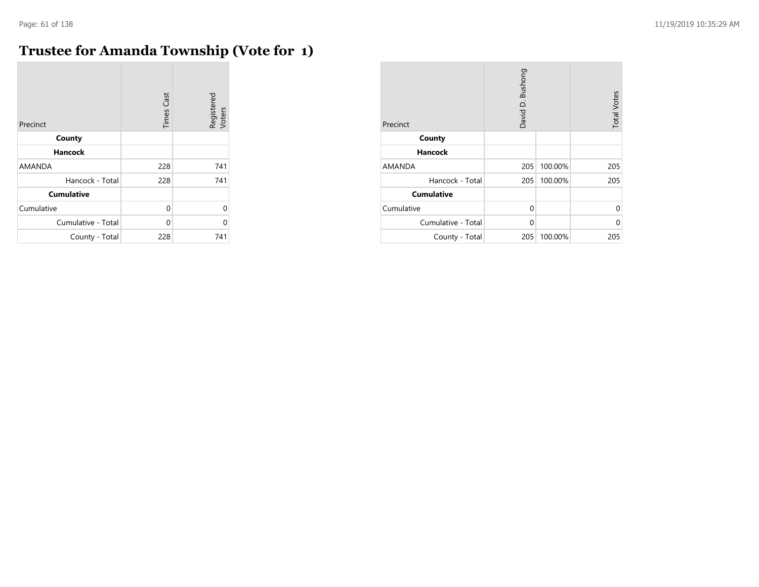# **Trustee for Amanda Township (Vote for 1)**

| Precinct           | <b>Times Cast</b> | Registered<br>Voters |
|--------------------|-------------------|----------------------|
| County             |                   |                      |
| <b>Hancock</b>     |                   |                      |
| <b>AMANDA</b>      | 228               | 741                  |
| Hancock - Total    | 228               | 741                  |
| <b>Cumulative</b>  |                   |                      |
| Cumulative         | 0                 | $\Omega$             |
| Cumulative - Total | U                 | 0                    |
| County - Total     | 228               | 741                  |

| Precinct           | David D. Bushong |         | <b>Total Votes</b> |
|--------------------|------------------|---------|--------------------|
| County             |                  |         |                    |
| <b>Hancock</b>     |                  |         |                    |
| <b>AMANDA</b>      | 205              | 100.00% | 205                |
| Hancock - Total    | 205              | 100.00% | 205                |
| <b>Cumulative</b>  |                  |         |                    |
| Cumulative         | $\Omega$         |         | 0                  |
| Cumulative - Total | 0                |         | U                  |
| County - Total     | 205              | 100.00% | 205                |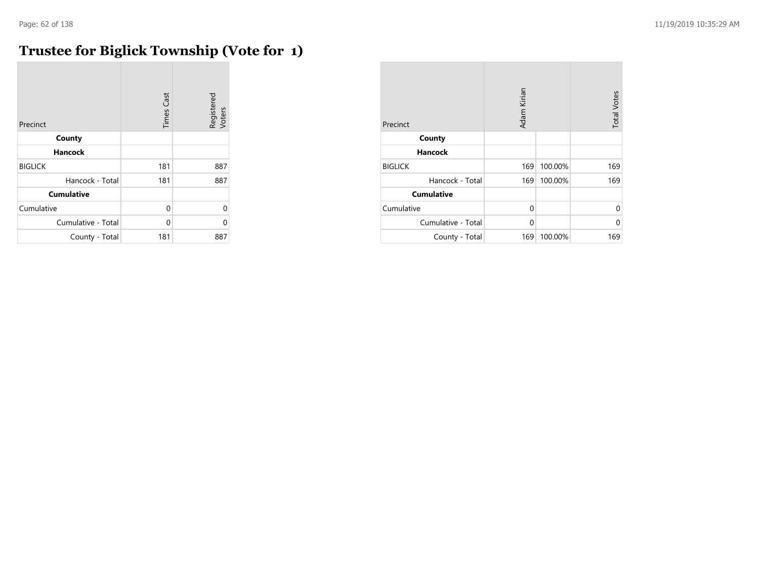# **Trustee for Biglick Township (Vote for 1)**

| Precinct           | <b>Times Cast</b> | Registered<br>Voters |
|--------------------|-------------------|----------------------|
| County             |                   |                      |
| <b>Hancock</b>     |                   |                      |
| <b>BIGLICK</b>     | 181               | 887                  |
| Hancock - Total    | 181               | 887                  |
| <b>Cumulative</b>  |                   |                      |
| Cumulative         | $\Omega$          | U                    |
| Cumulative - Total | O                 | C                    |
| County - Total     | 181               | 887                  |

| Precinct           | Adam Kirian |         | <b>Total Votes</b> |
|--------------------|-------------|---------|--------------------|
| County             |             |         |                    |
| <b>Hancock</b>     |             |         |                    |
| <b>BIGLICK</b>     | 169         | 100.00% | 169                |
| Hancock - Total    | 169         | 100.00% | 169                |
| <b>Cumulative</b>  |             |         |                    |
| Cumulative         | $\Omega$    |         | 0                  |
| Cumulative - Total | 0           |         | U                  |
| County - Total     | 169         | 100.00% | 169                |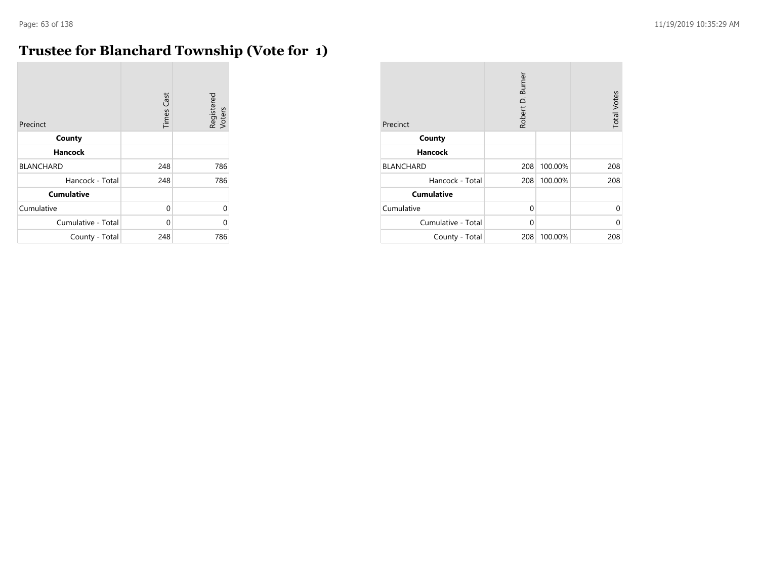$\sim$ 

# **Trustee for Blanchard Township (Vote for 1)**

| Precinct           | <b>Times Cast</b> | Registered<br>Voters |
|--------------------|-------------------|----------------------|
| County             |                   |                      |
| <b>Hancock</b>     |                   |                      |
| <b>BLANCHARD</b>   | 248               | 786                  |
| Hancock - Total    | 248               | 786                  |
| <b>Cumulative</b>  |                   |                      |
| Cumulative         | 0                 | $\Omega$             |
| Cumulative - Total | 0                 | 0                    |
| County - Total     | 248               | 786                  |

| Precinct           | Robert D. Burner |         | <b>Total Votes</b> |
|--------------------|------------------|---------|--------------------|
| County             |                  |         |                    |
| <b>Hancock</b>     |                  |         |                    |
| <b>BLANCHARD</b>   | 208              | 100.00% | 208                |
| Hancock - Total    | 208              | 100.00% | 208                |
| <b>Cumulative</b>  |                  |         |                    |
| Cumulative         | $\Omega$         |         | 0                  |
| Cumulative - Total | $\Omega$         |         | 0                  |
| County - Total     | 208              | 100.00% | 208                |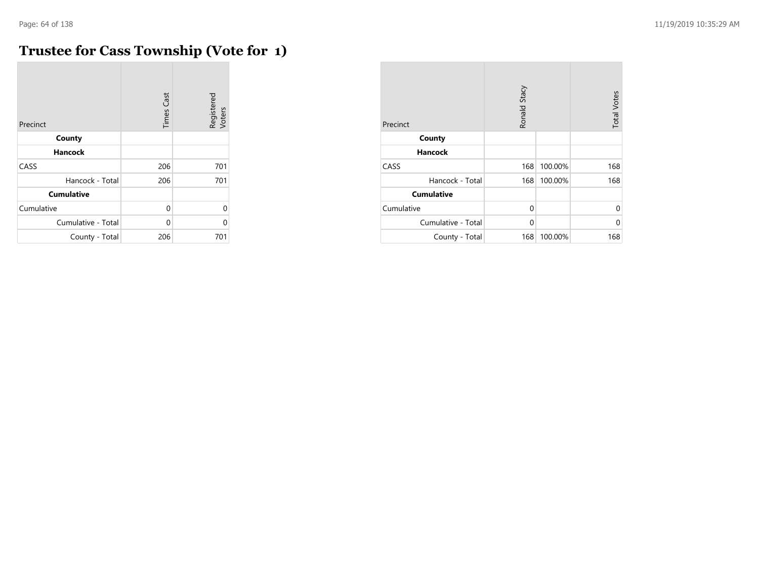# **Trustee for Cass Township (Vote for 1)**

| Precinct           | <b>Times Cast</b> | Registered<br>Voters |
|--------------------|-------------------|----------------------|
| County             |                   |                      |
| <b>Hancock</b>     |                   |                      |
| CASS               | 206               | 701                  |
| Hancock - Total    | 206               | 701                  |
| <b>Cumulative</b>  |                   |                      |
| Cumulative         | $\Omega$          | 0                    |
| Cumulative - Total | U                 | 0                    |
| County - Total     | 206               | 701                  |

| Precinct           | Ronald Stacy |         | <b>Total Votes</b> |
|--------------------|--------------|---------|--------------------|
| County             |              |         |                    |
| <b>Hancock</b>     |              |         |                    |
| CASS               | 168          | 100.00% | 168                |
| Hancock - Total    | 168          | 100.00% | 168                |
| <b>Cumulative</b>  |              |         |                    |
| Cumulative         | $\Omega$     |         | $\Omega$           |
| Cumulative - Total | $\Omega$     |         | U                  |
| County - Total     | 168          | 100.00% | 168                |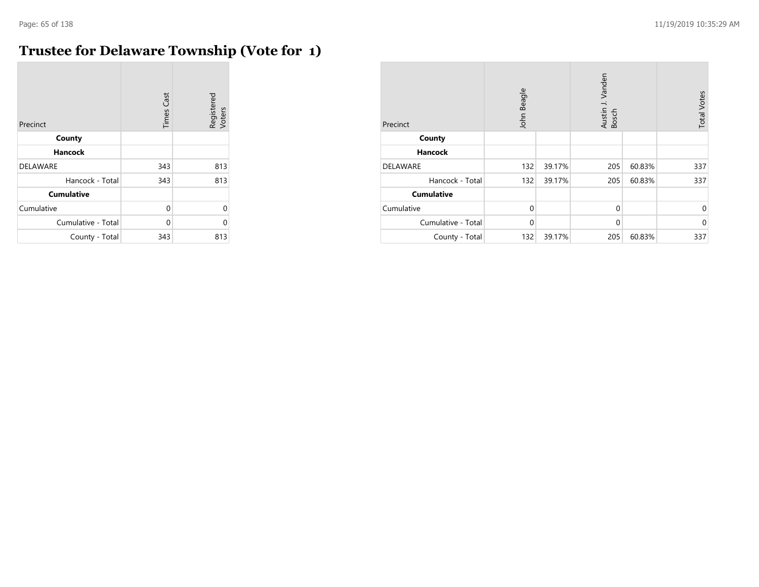m.

# **Trustee for Delaware Township (Vote for 1)**

| Precinct           | <b>Times Cast</b> | Registered<br>Voters |
|--------------------|-------------------|----------------------|
| County             |                   |                      |
| <b>Hancock</b>     |                   |                      |
| <b>DELAWARE</b>    | 343               | 813                  |
| Hancock - Total    | 343               | 813                  |
| <b>Cumulative</b>  |                   |                      |
| Cumulative         | 0                 | 0                    |
| Cumulative - Total | 0                 | C                    |
| County - Total     | 343               | 813                  |

| Precinct           | John Beagle |        | Austin J. Vanden<br>Bosch |        | <b>Total Votes</b> |
|--------------------|-------------|--------|---------------------------|--------|--------------------|
| County             |             |        |                           |        |                    |
| <b>Hancock</b>     |             |        |                           |        |                    |
| <b>DELAWARE</b>    | 132         | 39.17% | 205                       | 60.83% | 337                |
| Hancock - Total    | 132         | 39.17% | 205                       | 60.83% | 337                |
| <b>Cumulative</b>  |             |        |                           |        |                    |
| Cumulative         | $\Omega$    |        | $\mathbf 0$               |        | $\mathbf 0$        |
| Cumulative - Total | $\Omega$    |        | $\mathbf 0$               |        | $\mathbf 0$        |
| County - Total     | 132         | 39.17% | 205                       | 60.83% | 337                |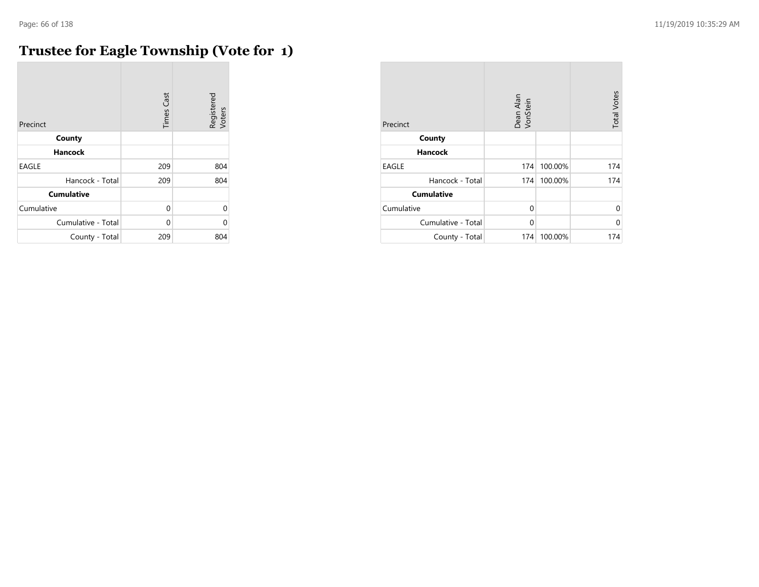# **Trustee for Eagle Township (Vote for 1)**

| Precinct           | <b>Times Cast</b> | Registered<br>Voters |
|--------------------|-------------------|----------------------|
| County             |                   |                      |
| Hancock            |                   |                      |
| <b>EAGLE</b>       | 209               | 804                  |
| Hancock - Total    | 209               | 804                  |
| <b>Cumulative</b>  |                   |                      |
| Cumulative         | 0                 | $\Omega$             |
| Cumulative - Total | 0                 | U                    |
| County - Total     | 209               | 804                  |

| Precinct           | Dean Alan<br>VonStein |         | <b>Total Votes</b> |
|--------------------|-----------------------|---------|--------------------|
| County             |                       |         |                    |
| <b>Hancock</b>     |                       |         |                    |
| <b>EAGLE</b>       | 174                   | 100.00% | 174                |
| Hancock - Total    | 174                   | 100.00% | 174                |
| <b>Cumulative</b>  |                       |         |                    |
| Cumulative         | $\Omega$              |         | U                  |
| Cumulative - Total | $\Omega$              |         | U                  |
| County - Total     | 174                   | 100.00% | 174                |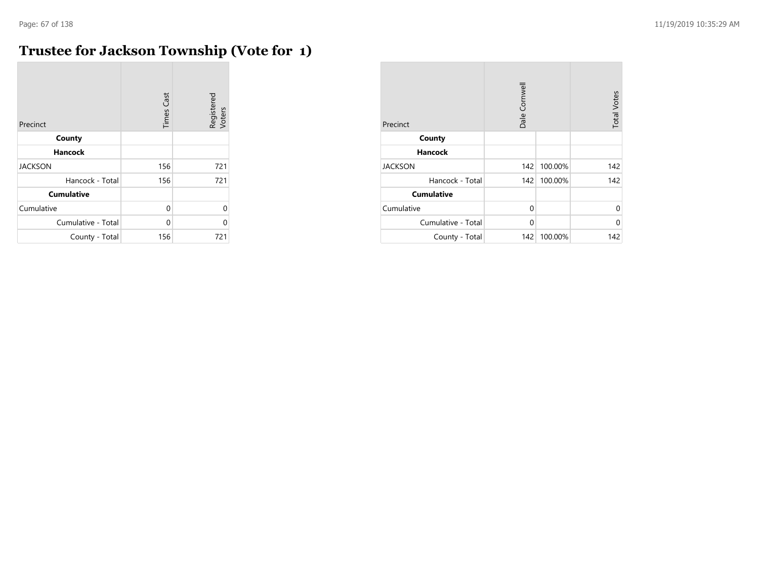# **Trustee for Jackson Township (Vote for 1)**

| Precinct           | <b>Times Cast</b> | Registered<br>Voters |
|--------------------|-------------------|----------------------|
| County             |                   |                      |
| <b>Hancock</b>     |                   |                      |
| <b>JACKSON</b>     | 156               | 721                  |
| Hancock - Total    | 156               | 721                  |
| <b>Cumulative</b>  |                   |                      |
| Cumulative         | 0                 | 0                    |
| Cumulative - Total | 0                 | $\Omega$             |
| County - Total     | 156               | 721                  |

| Precinct           | Dale Cornwell |         | <b>Total Votes</b> |
|--------------------|---------------|---------|--------------------|
| County             |               |         |                    |
| <b>Hancock</b>     |               |         |                    |
| <b>JACKSON</b>     | 142           | 100.00% | 142                |
| Hancock - Total    | 142           | 100.00% | 142                |
| <b>Cumulative</b>  |               |         |                    |
| Cumulative         | $\Omega$      |         | $\Omega$           |
| Cumulative - Total | 0             |         | 0                  |
| County - Total     | 142           | 100.00% | 142                |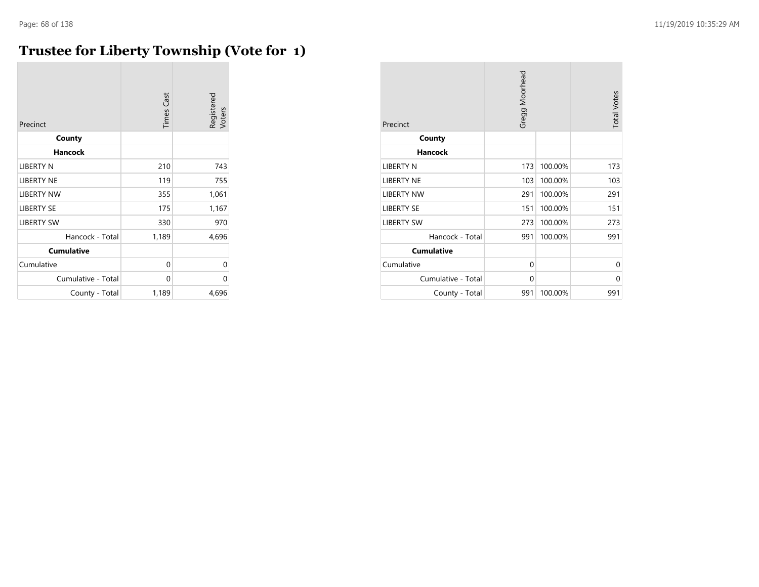# **Trustee for Liberty Township (Vote for 1)**

| Precinct           | <b>Times Cast</b> | Registered<br>Voters |
|--------------------|-------------------|----------------------|
| County             |                   |                      |
| <b>Hancock</b>     |                   |                      |
| LIBERTY N          | 210               | 743                  |
| <b>LIBERTY NE</b>  | 119               | 755                  |
| <b>LIBERTY NW</b>  | 355               | 1,061                |
| <b>LIBERTY SE</b>  | 175               | 1,167                |
| <b>LIBERTY SW</b>  | 330               | 970                  |
| Hancock - Total    | 1,189             | 4,696                |
| <b>Cumulative</b>  |                   |                      |
| Cumulative         | 0                 | 0                    |
| Cumulative - Total | 0                 | 0                    |
| County - Total     | 1,189             | 4,696                |

| Precinct           | Gregg Moorhead |         | <b>Total Votes</b> |
|--------------------|----------------|---------|--------------------|
| County             |                |         |                    |
| <b>Hancock</b>     |                |         |                    |
| <b>LIBERTY N</b>   | 173            | 100.00% | 173                |
| <b>LIBERTY NE</b>  | 103            | 100.00% | 103                |
| <b>LIBERTY NW</b>  | 291            | 100.00% | 291                |
| <b>LIBERTY SE</b>  | 151            | 100.00% | 151                |
| <b>LIBERTY SW</b>  | 273            | 100.00% | 273                |
| Hancock - Total    | 991            | 100.00% | 991                |
| <b>Cumulative</b>  |                |         |                    |
| Cumulative         | 0              |         | 0                  |
| Cumulative - Total | $\Omega$       |         | $\Omega$           |
| County - Total     | 991            | 100.00% | 991                |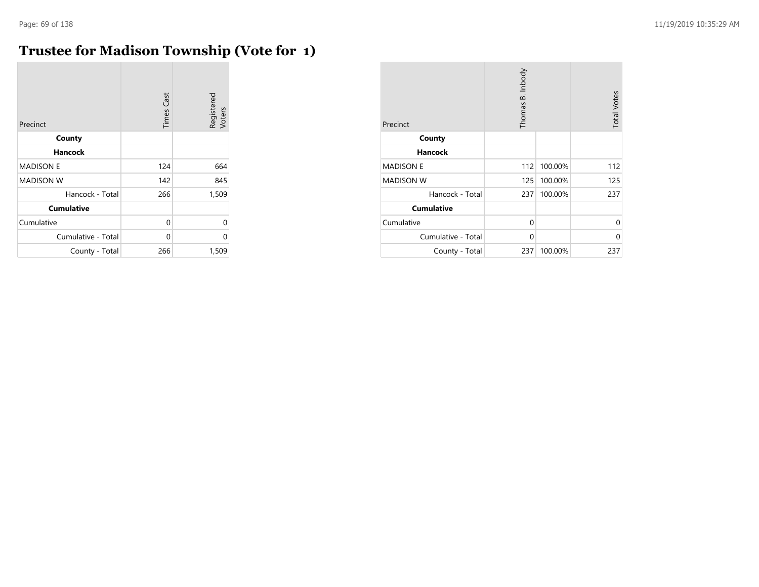$\mathcal{L}$ 

# **Trustee for Madison Township (Vote for 1)**

| Precinct           | <b>Times Cast</b> | Registered<br>Voters |
|--------------------|-------------------|----------------------|
| County             |                   |                      |
| <b>Hancock</b>     |                   |                      |
| <b>MADISON E</b>   | 124               | 664                  |
| <b>MADISON W</b>   | 142               | 845                  |
| Hancock - Total    | 266               | 1,509                |
| <b>Cumulative</b>  |                   |                      |
| Cumulative         | 0                 | 0                    |
| Cumulative - Total | 0                 | 0                    |
| County - Total     | 266               | 1,509                |

| Precinct           | Thomas B. Inbody |         | <b>Total Votes</b> |
|--------------------|------------------|---------|--------------------|
| County             |                  |         |                    |
| <b>Hancock</b>     |                  |         |                    |
| <b>MADISON E</b>   | 112              | 100.00% | 112                |
| <b>MADISON W</b>   | 125              | 100.00% | 125                |
| Hancock - Total    | 237              | 100.00% | 237                |
| <b>Cumulative</b>  |                  |         |                    |
| Cumulative         | 0                |         | 0                  |
| Cumulative - Total | 0                |         | 0                  |
| County - Total     | 237              | 100.00% | 237                |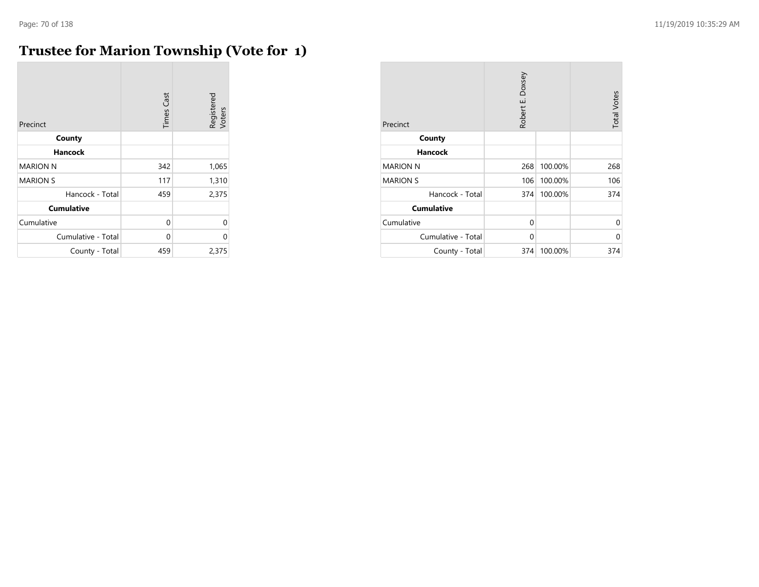**COL** 

## **Trustee for Marion Township (Vote for 1)**

| Precinct           | <b>Times Cast</b> | Registered<br>Voters |
|--------------------|-------------------|----------------------|
| County             |                   |                      |
| Hancock            |                   |                      |
| <b>MARION N</b>    | 342               | 1,065                |
| <b>MARION S</b>    | 117               | 1,310                |
| Hancock - Total    | 459               | 2,375                |
| <b>Cumulative</b>  |                   |                      |
| Cumulative         | 0                 | $\Omega$             |
| Cumulative - Total | 0                 | $\Omega$             |
| County - Total     | 459               | 2,375                |

| Precinct           | Robert E. Doxsey |         | <b>Total Votes</b> |
|--------------------|------------------|---------|--------------------|
| County             |                  |         |                    |
| <b>Hancock</b>     |                  |         |                    |
| <b>MARION N</b>    | 268              | 100.00% | 268                |
| <b>MARION S</b>    | 106              | 100.00% | 106                |
| Hancock - Total    | 374              | 100.00% | 374                |
| <b>Cumulative</b>  |                  |         |                    |
| Cumulative         | 0                |         | 0                  |
| Cumulative - Total | $\Omega$         |         | 0                  |
| County - Total     | 374              | 100.00% | 374                |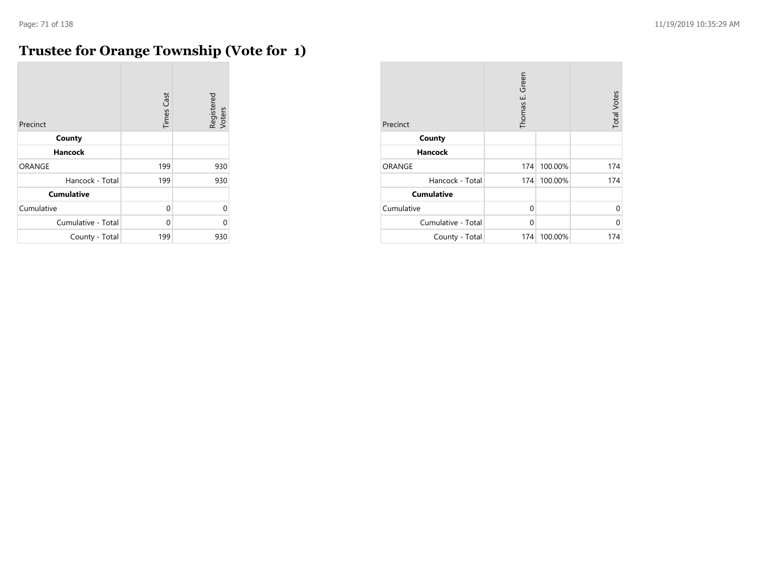m.

# **Trustee for Orange Township (Vote for 1)**

| Precinct           | <b>Times Cast</b> | Registered<br>Voters |
|--------------------|-------------------|----------------------|
| County             |                   |                      |
| <b>Hancock</b>     |                   |                      |
| <b>ORANGE</b>      | 199               | 930                  |
| Hancock - Total    | 199               | 930                  |
| <b>Cumulative</b>  |                   |                      |
| Cumulative         | $\Omega$          | 0                    |
| Cumulative - Total | O                 | በ                    |
| County - Total     | 199               | 930                  |

| Precinct           | Thomas E. Green |         | <b>Total Votes</b> |
|--------------------|-----------------|---------|--------------------|
| County             |                 |         |                    |
| <b>Hancock</b>     |                 |         |                    |
| ORANGE             | 174             | 100.00% | 174                |
| Hancock - Total    | 174             | 100.00% | 174                |
| <b>Cumulative</b>  |                 |         |                    |
| Cumulative         | $\Omega$        |         | 0                  |
| Cumulative - Total | $\Omega$        |         | 0                  |
| County - Total     | 174             | 100.00% | 174                |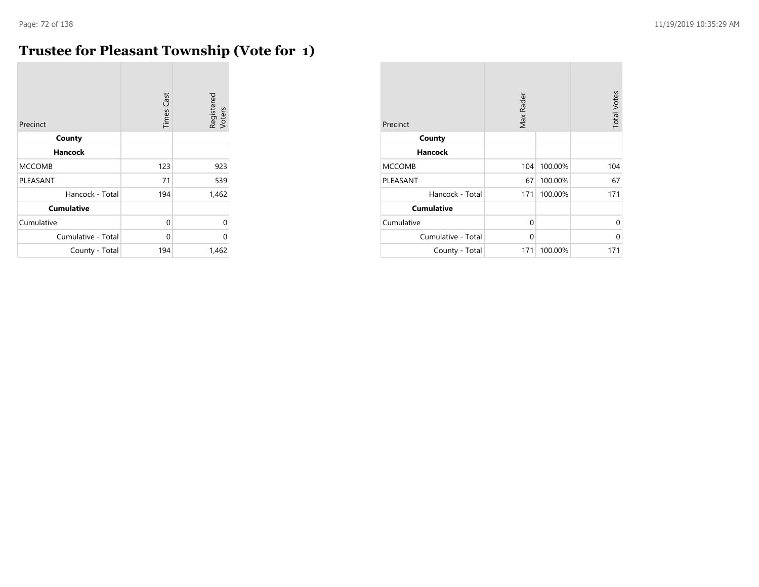m.

# **Trustee for Pleasant Township (Vote for 1)**

| Precinct           | <b>Times Cast</b> | Registered<br>Voters |
|--------------------|-------------------|----------------------|
| County             |                   |                      |
| <b>Hancock</b>     |                   |                      |
| <b>MCCOMB</b>      | 123               | 923                  |
| PLEASANT           | 71                | 539                  |
| Hancock - Total    | 194               | 1,462                |
| <b>Cumulative</b>  |                   |                      |
| Cumulative         | 0                 | 0                    |
| Cumulative - Total | 0                 | 0                    |
| County - Total     | 194               | 1,462                |

| Precinct           | Max Rader |         | <b>Total Votes</b> |
|--------------------|-----------|---------|--------------------|
| County             |           |         |                    |
| <b>Hancock</b>     |           |         |                    |
| <b>MCCOMB</b>      | 104       | 100.00% | 104                |
| PLEASANT           | 67        | 100.00% | 67                 |
| Hancock - Total    | 171       | 100.00% | 171                |
| <b>Cumulative</b>  |           |         |                    |
| Cumulative         | 0         |         | 0                  |
| Cumulative - Total | $\Omega$  |         | 0                  |
| County - Total     | 171       | 100.00% | 171                |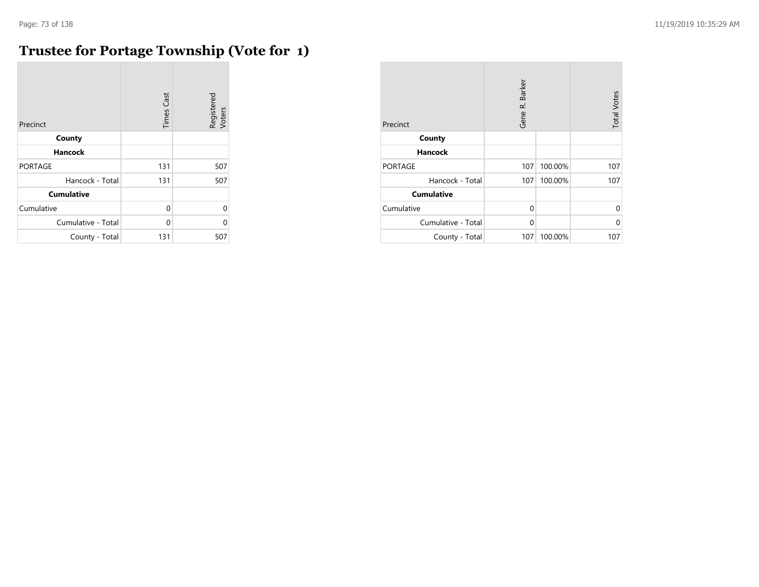$\mathcal{L}$ 

### **Trustee for Portage Township (Vote for 1)**

| Precinct           | <b>Times Cast</b> | Registered<br>Voters |
|--------------------|-------------------|----------------------|
| County             |                   |                      |
| <b>Hancock</b>     |                   |                      |
| <b>PORTAGE</b>     | 131               | 507                  |
| Hancock - Total    | 131               | 507                  |
| <b>Cumulative</b>  |                   |                      |
| Cumulative         | 0                 | $\Omega$             |
| Cumulative - Total | $\Omega$          | $\Omega$             |
| County - Total     | 131               | 507                  |

| Precinct           | Gene R. Barker |         | <b>Total Votes</b> |
|--------------------|----------------|---------|--------------------|
| County             |                |         |                    |
| <b>Hancock</b>     |                |         |                    |
| <b>PORTAGE</b>     | 107            | 100.00% | 107                |
| Hancock - Total    | 107            | 100.00% | 107                |
| <b>Cumulative</b>  |                |         |                    |
| Cumulative         | $\Omega$       |         | 0                  |
| Cumulative - Total | 0              |         | U                  |
| County - Total     | 107            | 100.00% | 107                |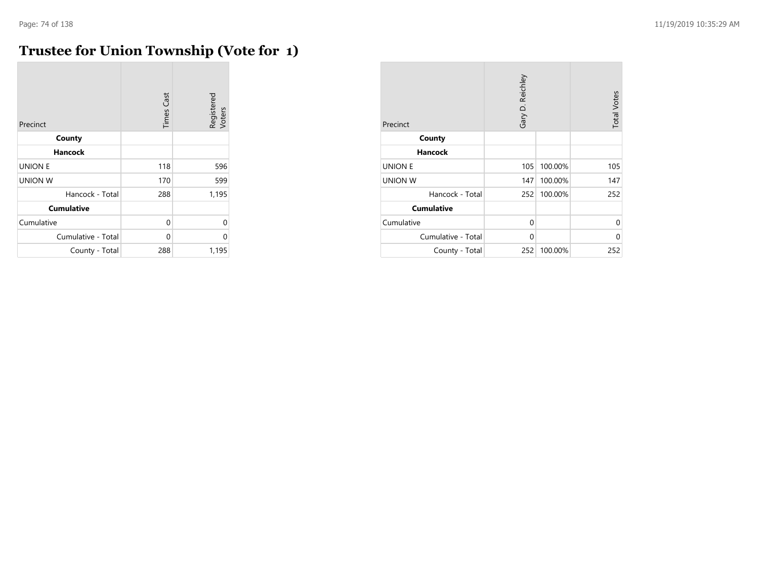### **Trustee for Union Township (Vote for 1)**

| Precinct           | <b>Times Cast</b> | Registered<br>Voters |
|--------------------|-------------------|----------------------|
| County             |                   |                      |
| <b>Hancock</b>     |                   |                      |
| <b>UNION E</b>     | 118               | 596                  |
| <b>UNION W</b>     | 170               | 599                  |
| Hancock - Total    | 288               | 1,195                |
| <b>Cumulative</b>  |                   |                      |
| Cumulative         | 0                 | $\Omega$             |
| Cumulative - Total | $\Omega$          | $\Omega$             |
| County - Total     | 288               | 1,195                |

| Precinct           | Gary D. Reichley |         | <b>Total Votes</b> |
|--------------------|------------------|---------|--------------------|
| County             |                  |         |                    |
| <b>Hancock</b>     |                  |         |                    |
| <b>UNION E</b>     | 105              | 100.00% | 105                |
| <b>UNION W</b>     | 147              | 100.00% | 147                |
| Hancock - Total    | 252              | 100.00% | 252                |
| <b>Cumulative</b>  |                  |         |                    |
| Cumulative         | $\Omega$         |         | $\Omega$           |
| Cumulative - Total | $\Omega$         |         | 0                  |
| County - Total     | 252              | 100.00% | 252                |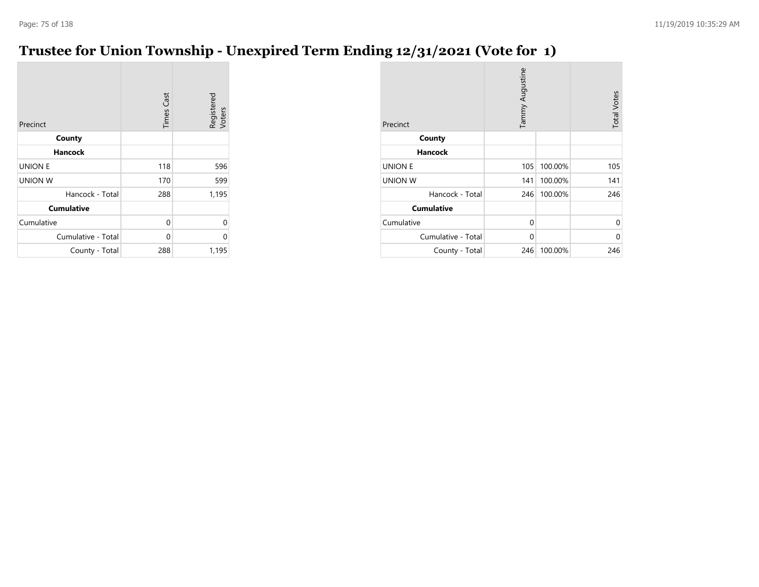## **Trustee for Union Township - Unexpired Term Ending 12/31/2021 (Vote for 1)**

| Precinct           | <b>Times Cast</b> | Registered<br>Voters |
|--------------------|-------------------|----------------------|
| County             |                   |                      |
| Hancock            |                   |                      |
| <b>UNION E</b>     | 118               | 596                  |
| <b>UNION W</b>     | 170               | 599                  |
| Hancock - Total    | 288               | 1,195                |
| <b>Cumulative</b>  |                   |                      |
| Cumulative         | 0                 | 0                    |
| Cumulative - Total | 0                 | 0                    |
| County - Total     | 288               | 1,195                |

| Precinct           | Tammy Augustine |         | <b>Total Votes</b> |
|--------------------|-----------------|---------|--------------------|
| County             |                 |         |                    |
| <b>Hancock</b>     |                 |         |                    |
| <b>UNION E</b>     | 105             | 100.00% | 105                |
| <b>UNION W</b>     | 141             | 100.00% | 141                |
| Hancock - Total    | 246             | 100.00% | 246                |
| <b>Cumulative</b>  |                 |         |                    |
| Cumulative         | 0               |         | 0                  |
| Cumulative - Total | $\Omega$        |         | 0                  |
| County - Total     | 246             | 100.00% | 246                |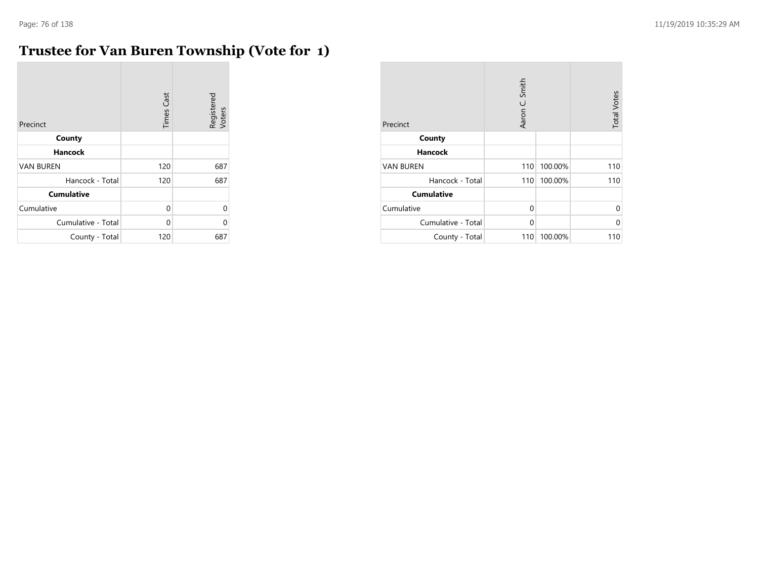÷

### **Trustee for Van Buren Township (Vote for 1)**

| Precinct           | <b>Times Cast</b> | Registered<br>Voters |
|--------------------|-------------------|----------------------|
| County             |                   |                      |
| <b>Hancock</b>     |                   |                      |
| <b>VAN BUREN</b>   | 120               | 687                  |
| Hancock - Total    | 120               | 687                  |
| <b>Cumulative</b>  |                   |                      |
| Cumulative         | $\Omega$          | $\Omega$             |
| Cumulative - Total | $\Omega$          | C                    |
| County - Total     | 120               | 687                  |

| Precinct           | Aaron C. Smith |         | <b>Total Votes</b> |
|--------------------|----------------|---------|--------------------|
| County             |                |         |                    |
| <b>Hancock</b>     |                |         |                    |
| <b>VAN BUREN</b>   | 110            | 100.00% | 110                |
| Hancock - Total    | 110            | 100.00% | 110                |
| <b>Cumulative</b>  |                |         |                    |
| Cumulative         | 0              |         | 0                  |
| Cumulative - Total | 0              |         | U                  |
| County - Total     | 110            | 100.00% | 110                |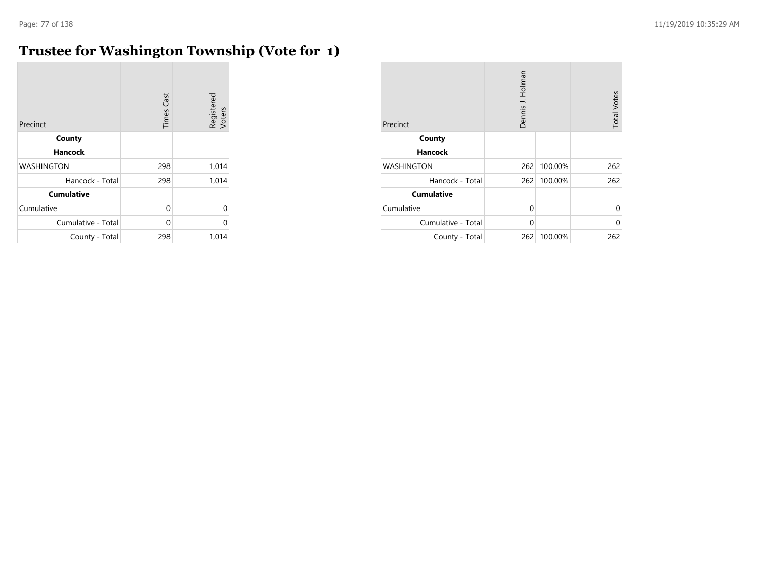m.

### **Trustee for Washington Township (Vote for 1)**

| Precinct           | <b>Times Cast</b> | Registered<br>Voters |
|--------------------|-------------------|----------------------|
| County             |                   |                      |
| <b>Hancock</b>     |                   |                      |
| <b>WASHINGTON</b>  | 298               | 1,014                |
| Hancock - Total    | 298               | 1,014                |
| <b>Cumulative</b>  |                   |                      |
| Cumulative         | 0                 | 0                    |
| Cumulative - Total | $\Omega$          | 0                    |
| County - Total     | 298               | 1,014                |

| Precinct           | Dennis J. Holman |         | <b>Total Votes</b> |
|--------------------|------------------|---------|--------------------|
| County             |                  |         |                    |
| <b>Hancock</b>     |                  |         |                    |
| <b>WASHINGTON</b>  | 262              | 100.00% | 262                |
| Hancock - Total    | 262              | 100.00% | 262                |
| <b>Cumulative</b>  |                  |         |                    |
| Cumulative         | $\Omega$         |         | $\Omega$           |
| Cumulative - Total | 0                |         | 0                  |
| County - Total     | 262              | 100.00% | 262                |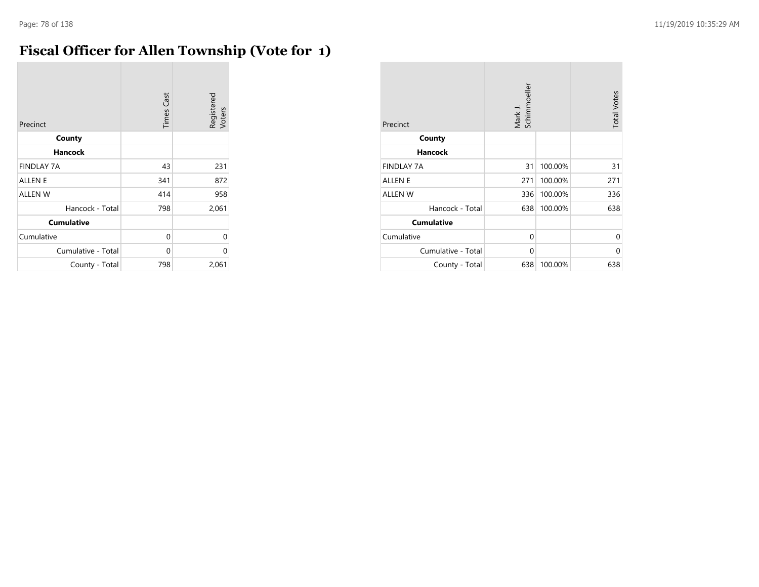#### **Fiscal Officer for Allen Township (Vote for 1)**

| Precinct           | <b>Times Cast</b> | Registered<br>Voters |
|--------------------|-------------------|----------------------|
| County             |                   |                      |
| <b>Hancock</b>     |                   |                      |
| <b>FINDLAY 7A</b>  | 43                | 231                  |
| <b>ALLEN E</b>     | 341               | 872                  |
| <b>ALLEN W</b>     | 414               | 958                  |
| Hancock - Total    | 798               | 2,061                |
| <b>Cumulative</b>  |                   |                      |
| Cumulative         | 0                 | $\Omega$             |
| Cumulative - Total | $\Omega$          | 0                    |
| County - Total     | 798               | 2,061                |

| Precinct           | Mark J.<br>Schimmoeller |         | <b>Total Votes</b> |
|--------------------|-------------------------|---------|--------------------|
| County             |                         |         |                    |
| Hancock            |                         |         |                    |
| <b>FINDLAY 7A</b>  | 31                      | 100.00% | 31                 |
| <b>ALLEN E</b>     | 271                     | 100.00% | 271                |
| <b>ALLEN W</b>     | 336                     | 100.00% | 336                |
| Hancock - Total    | 638                     | 100.00% | 638                |
| <b>Cumulative</b>  |                         |         |                    |
| Cumulative         | $\Omega$                |         | 0                  |
| Cumulative - Total | $\Omega$                |         | 0                  |
| County - Total     | 638                     | 100.00% | 638                |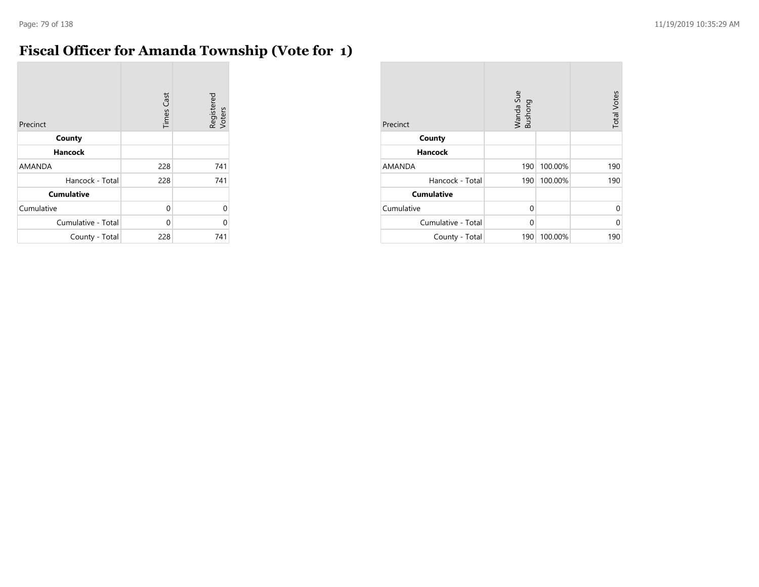#### **Fiscal Officer for Amanda Township (Vote for 1)**

| Precinct           | <b>Times Cast</b> | Registered<br>Voters |
|--------------------|-------------------|----------------------|
| County             |                   |                      |
| <b>Hancock</b>     |                   |                      |
| <b>AMANDA</b>      | 228               | 741                  |
| Hancock - Total    | 228               | 741                  |
| <b>Cumulative</b>  |                   |                      |
| Cumulative         | 0                 | $\Omega$             |
| Cumulative - Total | $\Omega$          | $\Omega$             |
| County - Total     | 228               | 741                  |

| Precinct           | Wanda Sue<br>Bushong |         | <b>Total Votes</b> |
|--------------------|----------------------|---------|--------------------|
| County             |                      |         |                    |
| <b>Hancock</b>     |                      |         |                    |
| AMANDA             | 190                  | 100.00% | 190                |
| Hancock - Total    | 190                  | 100.00% | 190                |
| <b>Cumulative</b>  |                      |         |                    |
| Cumulative         | $\Omega$             |         | $\Omega$           |
| Cumulative - Total | 0                    |         | 0                  |
| County - Total     | 190                  | 100.00% | 190                |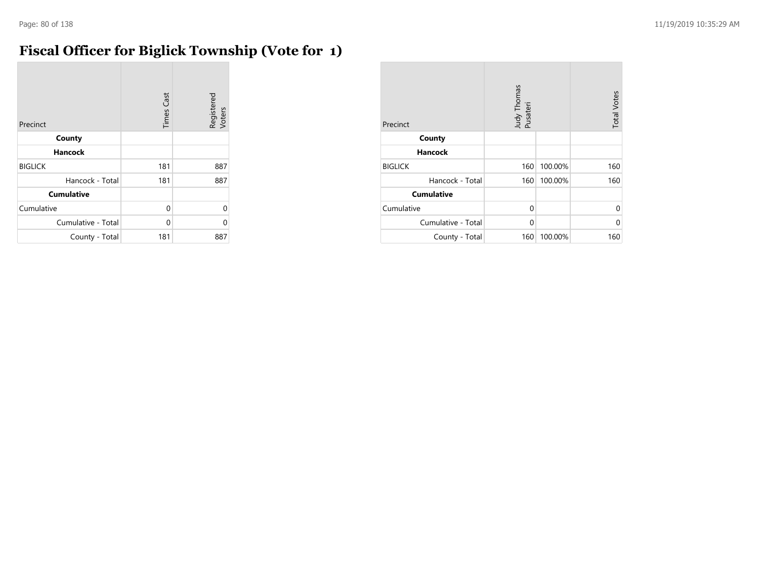$\overline{\phantom{a}}$ 

### **Fiscal Officer for Biglick Township (Vote for 1)**

| Precinct           | <b>Times Cast</b> | Registered<br>Voters |
|--------------------|-------------------|----------------------|
| County             |                   |                      |
| <b>Hancock</b>     |                   |                      |
| <b>BIGLICK</b>     | 181               | 887                  |
| Hancock - Total    | 181               | 887                  |
| <b>Cumulative</b>  |                   |                      |
| Cumulative         | 0                 | $\Omega$             |
| Cumulative - Total | $\Omega$          | $\Omega$             |
| County - Total     | 181               | 887                  |

| Precinct           | Judy Thomas<br>Pusateri |         | <b>Total Votes</b> |
|--------------------|-------------------------|---------|--------------------|
| County             |                         |         |                    |
| <b>Hancock</b>     |                         |         |                    |
| <b>BIGLICK</b>     | 160                     | 100.00% | 160                |
| Hancock - Total    | 160                     | 100.00% | 160                |
| <b>Cumulative</b>  |                         |         |                    |
| Cumulative         | 0                       |         | 0                  |
| Cumulative - Total | $\Omega$                |         | U                  |
| County - Total     | 160                     | 100.00% | 160                |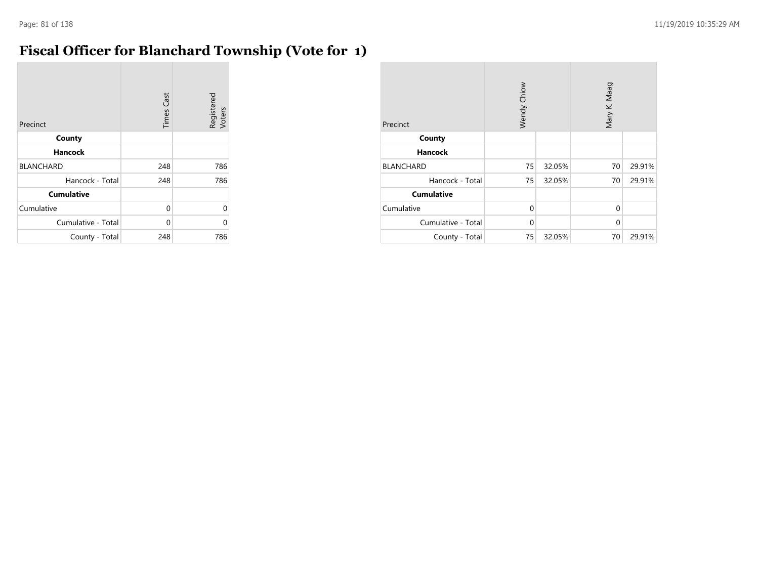$\overline{\phantom{a}}$ 

### **Fiscal Officer for Blanchard Township (Vote for 1)**

| Precinct           | <b>Times Cast</b> | Registered<br>Voters |
|--------------------|-------------------|----------------------|
| County             |                   |                      |
| <b>Hancock</b>     |                   |                      |
| <b>BLANCHARD</b>   | 248               | 786                  |
| Hancock - Total    | 248               | 786                  |
| <b>Cumulative</b>  |                   |                      |
| Cumulative         | 0                 | U                    |
| Cumulative - Total | 0                 | በ                    |
| County - Total     | 248               | 786                  |

| Precinct           | Wendy Chiow |        | Mary K. Maag |        |
|--------------------|-------------|--------|--------------|--------|
| County             |             |        |              |        |
| <b>Hancock</b>     |             |        |              |        |
| <b>BLANCHARD</b>   | 75          | 32.05% | 70           | 29.91% |
| Hancock - Total    | 75          | 32.05% | 70           | 29.91% |
| <b>Cumulative</b>  |             |        |              |        |
| Cumulative         | $\Omega$    |        | $\Omega$     |        |
| Cumulative - Total | $\Omega$    |        | $\Omega$     |        |
| County - Total     | 75          | 32.05% | 70           | 29.91% |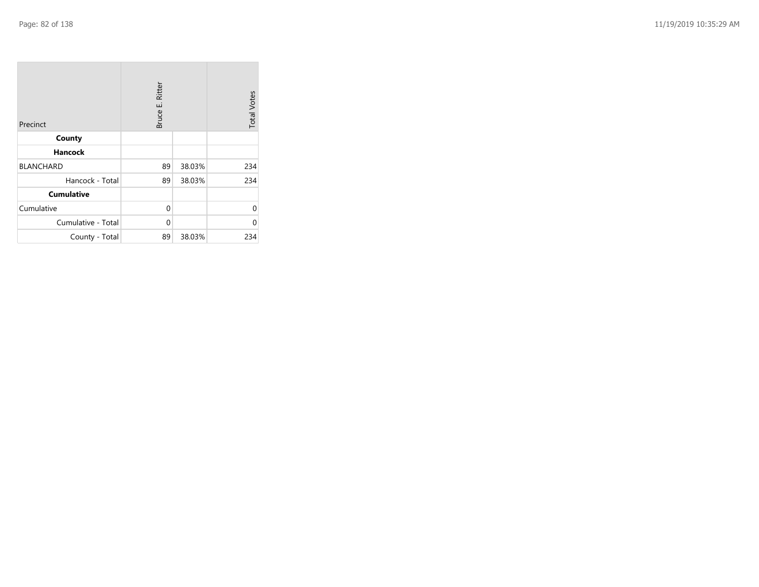| Precinct           | Bruce E. Ritter |        | <b>Total Votes</b> |
|--------------------|-----------------|--------|--------------------|
| County             |                 |        |                    |
| <b>Hancock</b>     |                 |        |                    |
| <b>BLANCHARD</b>   | 89              | 38.03% | 234                |
| Hancock - Total    | 89              | 38.03% | 234                |
| <b>Cumulative</b>  |                 |        |                    |
| Cumulative         | 0               |        | U                  |
| Cumulative - Total | 0               |        | U                  |
| County - Total     | 89              | 38.03% | 234                |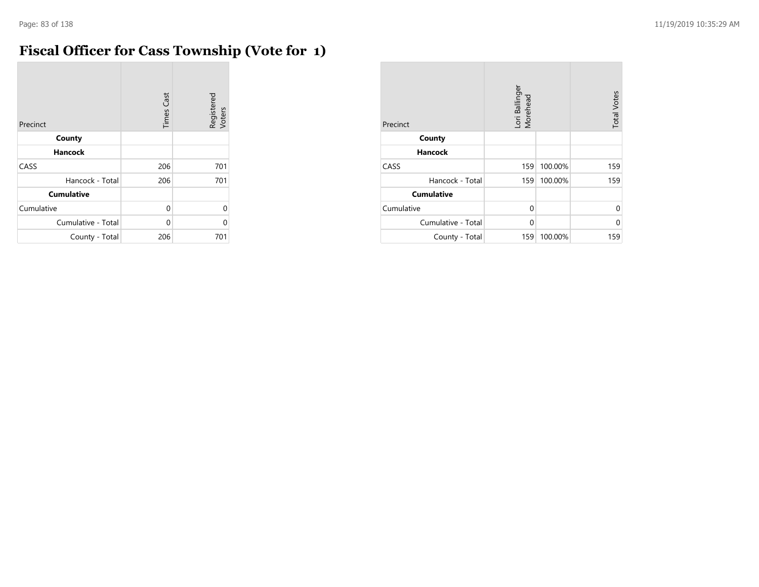### **Fiscal Officer for Cass Township (Vote for 1)**

| Precinct           | <b>Times Cast</b> | Registered<br>Voters |
|--------------------|-------------------|----------------------|
| County             |                   |                      |
| <b>Hancock</b>     |                   |                      |
| CASS               | 206               | 701                  |
| Hancock - Total    | 206               | 701                  |
| <b>Cumulative</b>  |                   |                      |
| Cumulative         | 0                 | $\Omega$             |
| Cumulative - Total | $\Omega$          | $\Omega$             |
| County - Total     | 206               | 701                  |

| Precinct           | Lori Ballinger<br>Morehead |         | <b>Total Votes</b> |
|--------------------|----------------------------|---------|--------------------|
| County             |                            |         |                    |
| <b>Hancock</b>     |                            |         |                    |
| CASS               | 159                        | 100.00% | 159                |
| Hancock - Total    | 159                        | 100.00% | 159                |
| <b>Cumulative</b>  |                            |         |                    |
| Cumulative         | 0                          |         | $\Omega$           |
| Cumulative - Total | 0                          |         | 0                  |
| County - Total     | 159                        | 100.00% | 159                |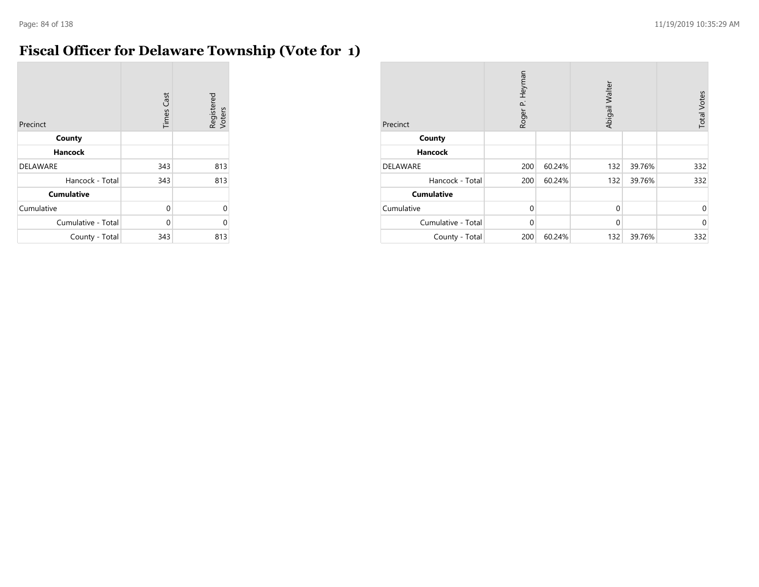#### **Fiscal Officer for Delaware Township (Vote for 1)**

| Precinct           | <b>Times Cast</b> | Registered<br>Voters |
|--------------------|-------------------|----------------------|
| County             |                   |                      |
| <b>Hancock</b>     |                   |                      |
| <b>DELAWARE</b>    | 343               | 813                  |
| Hancock - Total    | 343               | 813                  |
| <b>Cumulative</b>  |                   |                      |
| Cumulative         | 0                 | U                    |
| Cumulative - Total | 0                 | U                    |
| County - Total     | 343               | 813                  |

| Precinct           | Roger P. Heyman |        | Abigail Walter |        | <b>Total Votes</b> |
|--------------------|-----------------|--------|----------------|--------|--------------------|
| County             |                 |        |                |        |                    |
| <b>Hancock</b>     |                 |        |                |        |                    |
| <b>DELAWARE</b>    | 200             | 60.24% | 132            | 39.76% | 332                |
| Hancock - Total    | 200             | 60.24% | 132            | 39.76% | 332                |
| <b>Cumulative</b>  |                 |        |                |        |                    |
| Cumulative         | $\Omega$        |        | $\mathbf 0$    |        | $\mathbf 0$        |
| Cumulative - Total | $\Omega$        |        | $\mathbf{0}$   |        | $\mathbf{0}$       |
| County - Total     | 200             | 60.24% | 132            | 39.76% | 332                |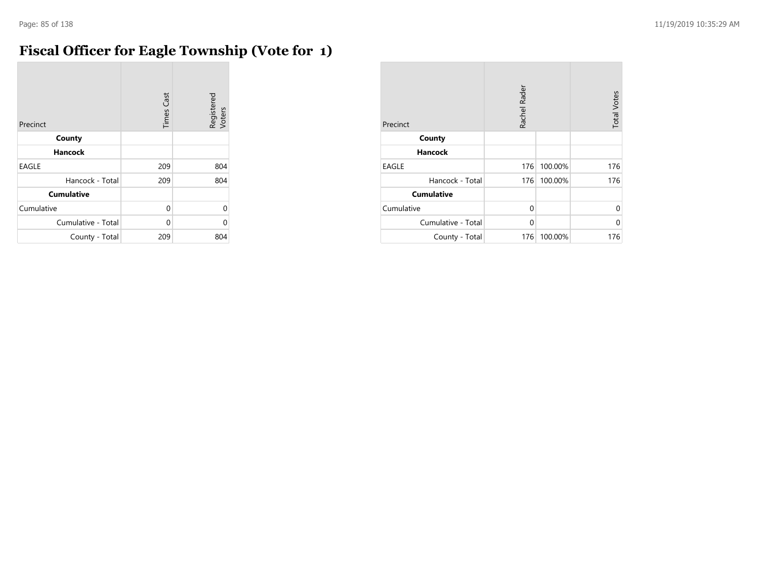### **Fiscal Officer for Eagle Township (Vote for 1)**

| Precinct           | <b>Times Cast</b> | Registered<br>Voters |
|--------------------|-------------------|----------------------|
| County             |                   |                      |
| <b>Hancock</b>     |                   |                      |
| <b>EAGLE</b>       | 209               | 804                  |
| Hancock - Total    | 209               | 804                  |
| <b>Cumulative</b>  |                   |                      |
| Cumulative         | 0                 | 0                    |
| Cumulative - Total | 0                 | 0                    |
| County - Total     | 209               | 804                  |

| Precinct           | Rachel Rader |         | <b>Total Votes</b> |
|--------------------|--------------|---------|--------------------|
| County             |              |         |                    |
| <b>Hancock</b>     |              |         |                    |
| <b>EAGLE</b>       | 176          | 100.00% | 176                |
| Hancock - Total    | 176          | 100.00% | 176                |
| <b>Cumulative</b>  |              |         |                    |
| Cumulative         | 0            |         | $\Omega$           |
| Cumulative - Total | 0            |         | 0                  |
| County - Total     | 176          | 100.00% | 176                |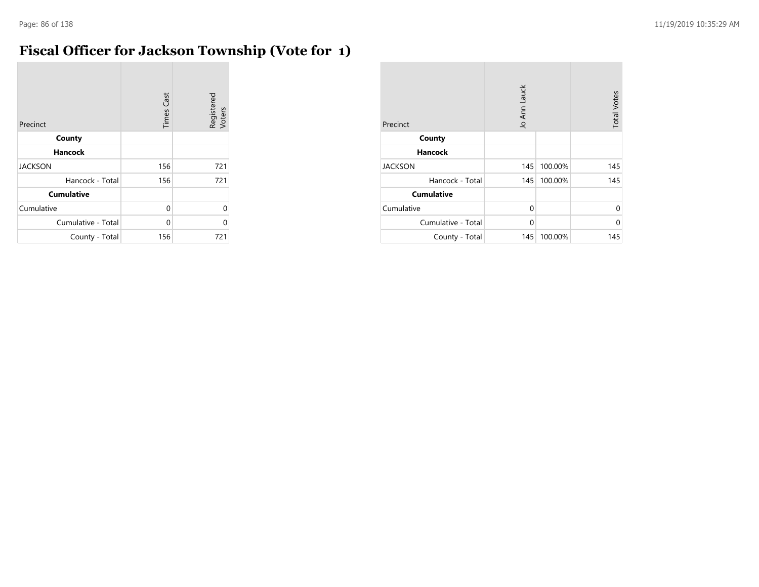### **Fiscal Officer for Jackson Township (Vote for 1)**

| Precinct           | <b>Times Cast</b> | Registered<br>Voters |
|--------------------|-------------------|----------------------|
| County             |                   |                      |
| <b>Hancock</b>     |                   |                      |
| <b>JACKSON</b>     | 156               | 721                  |
| Hancock - Total    | 156               | 721                  |
| <b>Cumulative</b>  |                   |                      |
| Cumulative         | 0                 | $\Omega$             |
| Cumulative - Total | 0                 | $\Omega$             |
| County - Total     | 156               | 721                  |

| Precinct           | Jo Ann Lauck |         | <b>Total Votes</b> |
|--------------------|--------------|---------|--------------------|
| County             |              |         |                    |
| <b>Hancock</b>     |              |         |                    |
| <b>JACKSON</b>     | 145          | 100.00% | 145                |
| Hancock - Total    | 145          | 100.00% | 145                |
| <b>Cumulative</b>  |              |         |                    |
| Cumulative         | $\Omega$     |         | 0                  |
| Cumulative - Total | $\Omega$     |         | 0                  |
| County - Total     | 145          | 100.00% | 145                |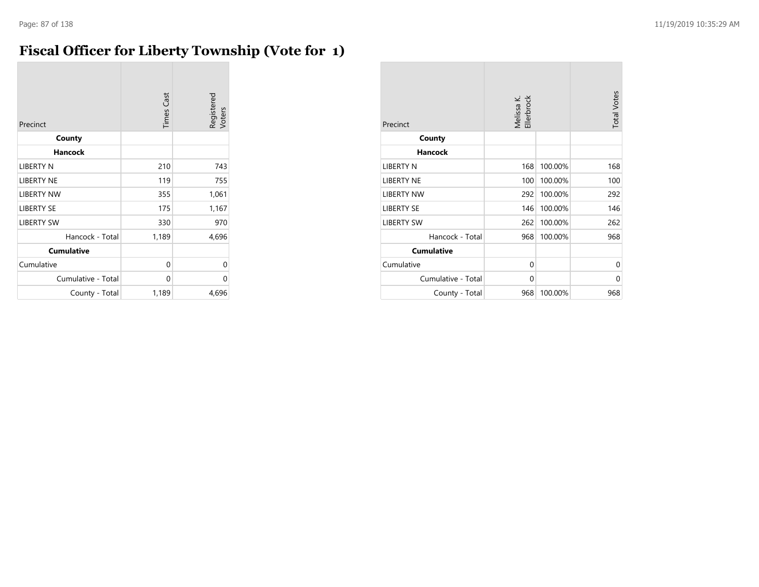#### **Fiscal Officer for Liberty Township (Vote for 1)**

| Precinct           | <b>Times Cast</b> | Registered<br>Voters |
|--------------------|-------------------|----------------------|
| County             |                   |                      |
| <b>Hancock</b>     |                   |                      |
| LIBERTY N          | 210               | 743                  |
| <b>LIBERTY NE</b>  | 119               | 755                  |
| <b>LIBERTY NW</b>  | 355               | 1,061                |
| <b>LIBERTY SE</b>  | 175               | 1,167                |
| <b>LIBERTY SW</b>  | 330               | 970                  |
| Hancock - Total    | 1,189             | 4,696                |
| <b>Cumulative</b>  |                   |                      |
| Cumulative         | 0                 | 0                    |
| Cumulative - Total | 0                 | 0                    |
| County - Total     | 1,189             | 4,696                |

| Precinct           | Melissa K.<br>Ellerbrock |         | <b>Total Votes</b> |
|--------------------|--------------------------|---------|--------------------|
| County             |                          |         |                    |
| <b>Hancock</b>     |                          |         |                    |
| LIBERTY N          | 168                      | 100.00% | 168                |
| LIBERTY NE         | 100                      | 100.00% | 100                |
| <b>LIBERTY NW</b>  | 292                      | 100.00% | 292                |
| <b>LIBERTY SE</b>  | 146                      | 100.00% | 146                |
| <b>LIBERTY SW</b>  | 262                      | 100.00% | 262                |
| Hancock - Total    | 968                      | 100.00% | 968                |
| <b>Cumulative</b>  |                          |         |                    |
| Cumulative         | 0                        |         | $\Omega$           |
| Cumulative - Total | 0                        |         | 0                  |
| County - Total     | 968                      | 100.00% | 968                |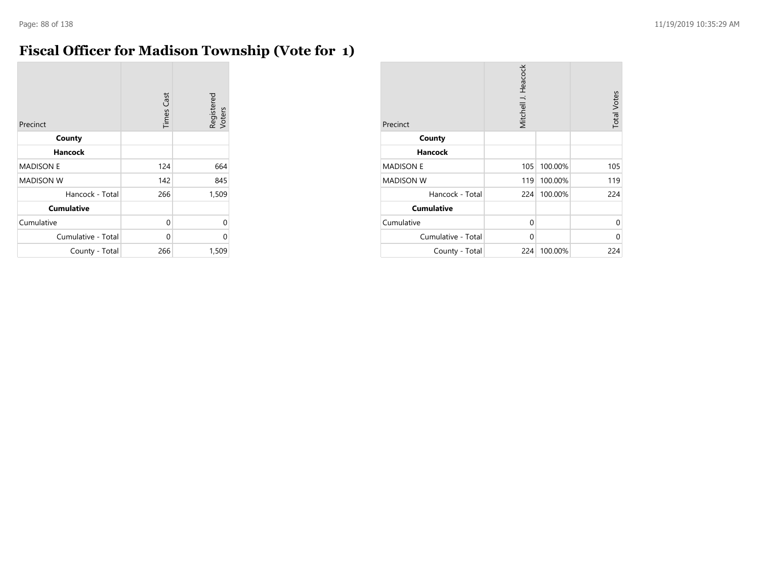#### **Fiscal Officer for Madison Township (Vote for 1)**

| Precinct           | <b>Times Cast</b> | Registered<br>Voters |
|--------------------|-------------------|----------------------|
| County             |                   |                      |
| Hancock            |                   |                      |
| <b>MADISON E</b>   | 124               | 664                  |
| <b>MADISON W</b>   | 142               | 845                  |
| Hancock - Total    | 266               | 1,509                |
| <b>Cumulative</b>  |                   |                      |
| Cumulative         | 0                 | 0                    |
| Cumulative - Total | 0                 | 0                    |
| County - Total     | 266               | 1,509                |

| Precinct           | Mitchell J. Heacock |         | <b>Total Votes</b> |
|--------------------|---------------------|---------|--------------------|
| County             |                     |         |                    |
| <b>Hancock</b>     |                     |         |                    |
| <b>MADISON E</b>   | 105                 | 100.00% | 105                |
| <b>MADISON W</b>   | 119                 | 100.00% | 119                |
| Hancock - Total    | 224                 | 100.00% | 224                |
| <b>Cumulative</b>  |                     |         |                    |
| Cumulative         | 0                   |         | 0                  |
| Cumulative - Total | 0                   |         | 0                  |
| County - Total     | 224                 | 100.00% | 224                |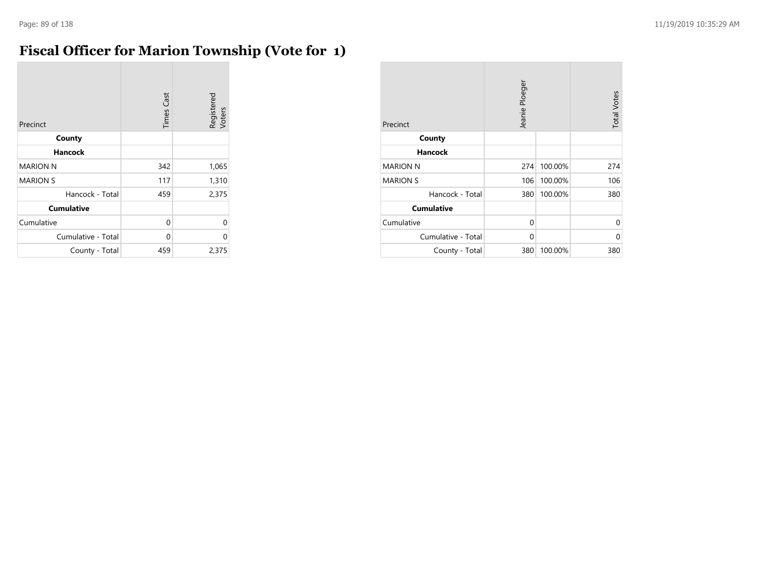### **Fiscal Officer for Marion Township (Vote for 1)**

| Precinct           | <b>Times Cast</b> | Registered<br>Voters |
|--------------------|-------------------|----------------------|
| County             |                   |                      |
| <b>Hancock</b>     |                   |                      |
| <b>MARION N</b>    | 342               | 1,065                |
| <b>MARION S</b>    | 117               | 1,310                |
| Hancock - Total    | 459               | 2,375                |
| <b>Cumulative</b>  |                   |                      |
| Cumulative         | 0                 | 0                    |
| Cumulative - Total | $\Omega$          | 0                    |
| County - Total     | 459               | 2,375                |

| Precinct           | Jeanie Ploeger |         | <b>Total Votes</b> |
|--------------------|----------------|---------|--------------------|
| County             |                |         |                    |
| <b>Hancock</b>     |                |         |                    |
| <b>MARION N</b>    | 274            | 100.00% | 274                |
| <b>MARION S</b>    | 106            | 100.00% | 106                |
| Hancock - Total    | 380            | 100.00% | 380                |
| <b>Cumulative</b>  |                |         |                    |
| Cumulative         | 0              |         | 0                  |
| Cumulative - Total | 0              |         | 0                  |
| County - Total     | 380            | 100.00% | 380                |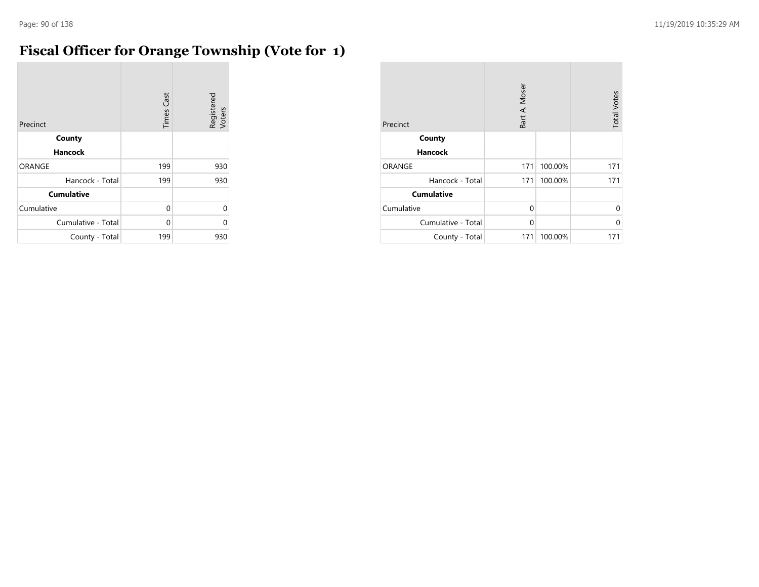### **Fiscal Officer for Orange Township (Vote for 1)**

| Precinct           | <b>Times Cast</b> | Registered<br>Voters |
|--------------------|-------------------|----------------------|
| County             |                   |                      |
| <b>Hancock</b>     |                   |                      |
| <b>ORANGE</b>      | 199               | 930                  |
| Hancock - Total    | 199               | 930                  |
| <b>Cumulative</b>  |                   |                      |
| Cumulative         | 0                 | $\Omega$             |
| Cumulative - Total | 0                 | 0                    |
| County - Total     | 199               | 930                  |

| Precinct           | Bart A. Moser |         | <b>Total Votes</b> |
|--------------------|---------------|---------|--------------------|
| County             |               |         |                    |
| <b>Hancock</b>     |               |         |                    |
| ORANGE             | 171           | 100.00% | 171                |
| Hancock - Total    | 171           | 100.00% | 171                |
| <b>Cumulative</b>  |               |         |                    |
| Cumulative         | 0             |         | $\Omega$           |
| Cumulative - Total | $\Omega$      |         | 0                  |
| County - Total     | 171           | 100.00% | 171                |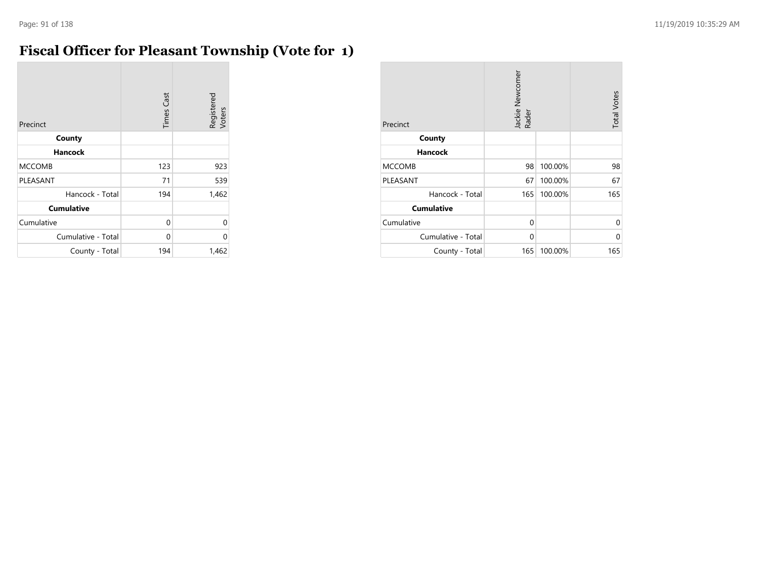#### **Fiscal Officer for Pleasant Township (Vote for 1)**

| Precinct           | <b>Times Cast</b> | Registered<br>Voters |
|--------------------|-------------------|----------------------|
| County             |                   |                      |
| Hancock            |                   |                      |
| <b>MCCOMB</b>      | 123               | 923                  |
| PLEASANT           | 71                | 539                  |
| Hancock - Total    | 194               | 1,462                |
| <b>Cumulative</b>  |                   |                      |
| Cumulative         | 0                 | 0                    |
| Cumulative - Total | 0                 | U                    |
| County - Total     | 194               | 1,462                |

| Precinct           | Jackie Newcomer<br>Rader |         | <b>Total Votes</b> |
|--------------------|--------------------------|---------|--------------------|
| County             |                          |         |                    |
| <b>Hancock</b>     |                          |         |                    |
| <b>MCCOMB</b>      | 98                       | 100.00% | 98                 |
| PLEASANT           | 67                       | 100.00% | 67                 |
| Hancock - Total    | 165                      | 100.00% | 165                |
| <b>Cumulative</b>  |                          |         |                    |
| Cumulative         | 0                        |         | $\Omega$           |
| Cumulative - Total | 0                        |         | 0                  |
| County - Total     | 165                      | 100.00% | 165                |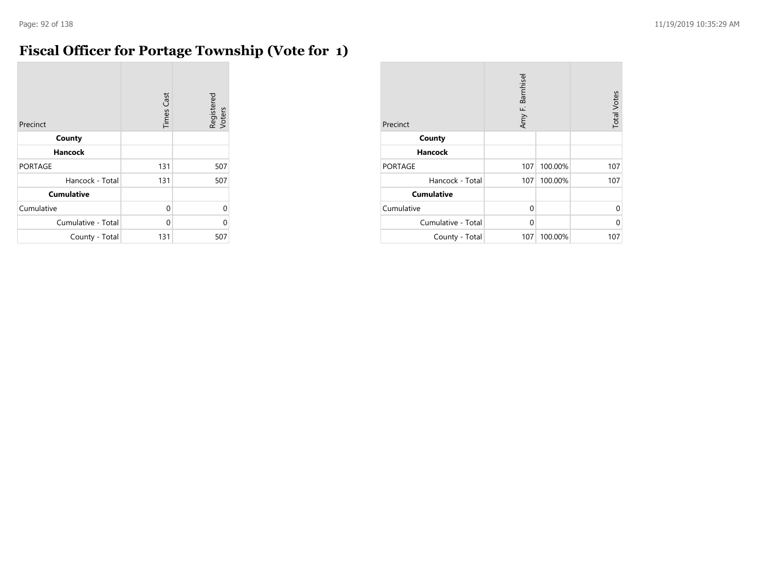m.

### **Fiscal Officer for Portage Township (Vote for 1)**

| Precinct           | <b>Times Cast</b> | Registered<br>Voters |
|--------------------|-------------------|----------------------|
| County             |                   |                      |
| <b>Hancock</b>     |                   |                      |
| <b>PORTAGE</b>     | 131               | 507                  |
| Hancock - Total    | 131               | 507                  |
| <b>Cumulative</b>  |                   |                      |
| Cumulative         | 0                 | $\Omega$             |
| Cumulative - Total | $\Omega$          | $\Omega$             |
| County - Total     | 131               | 507                  |

| Precinct           | Amy F. Barnhisel |         | <b>Total Votes</b> |
|--------------------|------------------|---------|--------------------|
| County             |                  |         |                    |
| <b>Hancock</b>     |                  |         |                    |
| <b>PORTAGE</b>     | 107              | 100.00% | 107                |
| Hancock - Total    | 107              | 100.00% | 107                |
| <b>Cumulative</b>  |                  |         |                    |
| Cumulative         | $\Omega$         |         | 0                  |
| Cumulative - Total | $\Omega$         |         | U                  |
| County - Total     | 107              | 100.00% | 107                |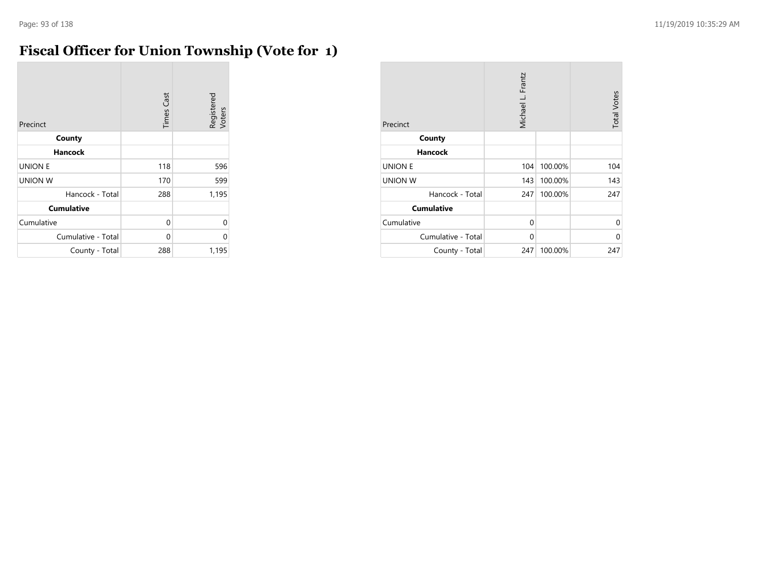# **Fiscal Officer for Union Township (Vote for 1)**

| Precinct           | <b>Times Cast</b> | Registered<br>Voters |
|--------------------|-------------------|----------------------|
| County             |                   |                      |
| Hancock            |                   |                      |
| <b>UNION E</b>     | 118               | 596                  |
| <b>UNION W</b>     | 170               | 599                  |
| Hancock - Total    | 288               | 1,195                |
| <b>Cumulative</b>  |                   |                      |
| Cumulative         | 0                 | 0                    |
| Cumulative - Total | 0                 | 0                    |
| County - Total     | 288               | 1,195                |

| Precinct           | Michael L. Frantz |         | <b>Total Votes</b> |
|--------------------|-------------------|---------|--------------------|
| County             |                   |         |                    |
| <b>Hancock</b>     |                   |         |                    |
| <b>UNION E</b>     | 104               | 100.00% | 104                |
| <b>UNION W</b>     | 143               | 100.00% | 143                |
| Hancock - Total    | 247               | 100.00% | 247                |
| <b>Cumulative</b>  |                   |         |                    |
| Cumulative         | 0                 |         | 0                  |
| Cumulative - Total | $\Omega$          |         | 0                  |
| County - Total     | 247               | 100.00% | 247                |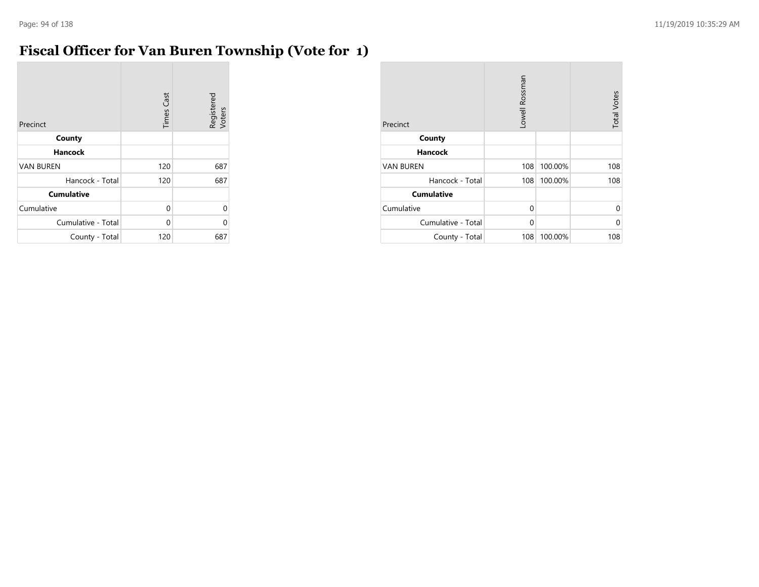m.

### **Fiscal Officer for Van Buren Township (Vote for 1)**

| Precinct           | <b>Times Cast</b> | Registered<br>Voters |
|--------------------|-------------------|----------------------|
| County             |                   |                      |
| <b>Hancock</b>     |                   |                      |
| <b>VAN BUREN</b>   | 120               | 687                  |
| Hancock - Total    | 120               | 687                  |
| <b>Cumulative</b>  |                   |                      |
| Cumulative         | 0                 | 0                    |
| Cumulative - Total | 0                 | U                    |
| County - Total     | 120               | 687                  |

| Precinct           | Lowell Rossman |         | <b>Total Votes</b> |
|--------------------|----------------|---------|--------------------|
| County             |                |         |                    |
| <b>Hancock</b>     |                |         |                    |
| <b>VAN BUREN</b>   | 108            | 100.00% | 108                |
| Hancock - Total    | 108            | 100.00% | 108                |
| <b>Cumulative</b>  |                |         |                    |
| Cumulative         | $\Omega$       |         | 0                  |
| Cumulative - Total | $\Omega$       |         | 0                  |
| County - Total     | 108            | 100.00% | 108                |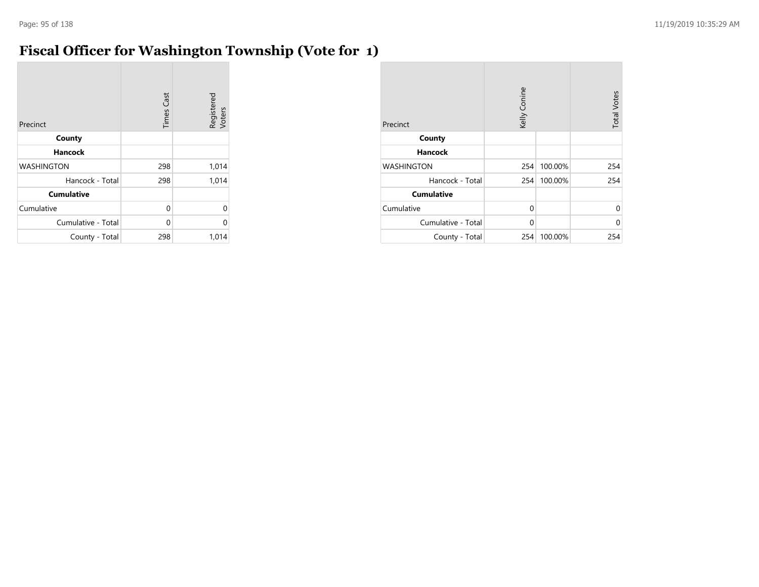#### **Fiscal Officer for Washington Township (Vote for 1)**

| Precinct           | <b>Times Cast</b> | Registered<br>Voters |
|--------------------|-------------------|----------------------|
| County             |                   |                      |
| <b>Hancock</b>     |                   |                      |
| <b>WASHINGTON</b>  | 298               | 1,014                |
| Hancock - Total    | 298               | 1,014                |
| <b>Cumulative</b>  |                   |                      |
| Cumulative         | 0                 | 0                    |
| Cumulative - Total | $\Omega$          | U                    |
| County - Total     | 298               | 1,014                |

| Precinct           | Kelly Conine |         | <b>Total Votes</b> |
|--------------------|--------------|---------|--------------------|
| County             |              |         |                    |
| <b>Hancock</b>     |              |         |                    |
| <b>WASHINGTON</b>  | 254          | 100.00% | 254                |
| Hancock - Total    | 254          | 100.00% | 254                |
| <b>Cumulative</b>  |              |         |                    |
| Cumulative         | $\Omega$     |         | 0                  |
| Cumulative - Total | $\Omega$     |         | 0                  |
| County - Total     | 254          | 100.00% | 254                |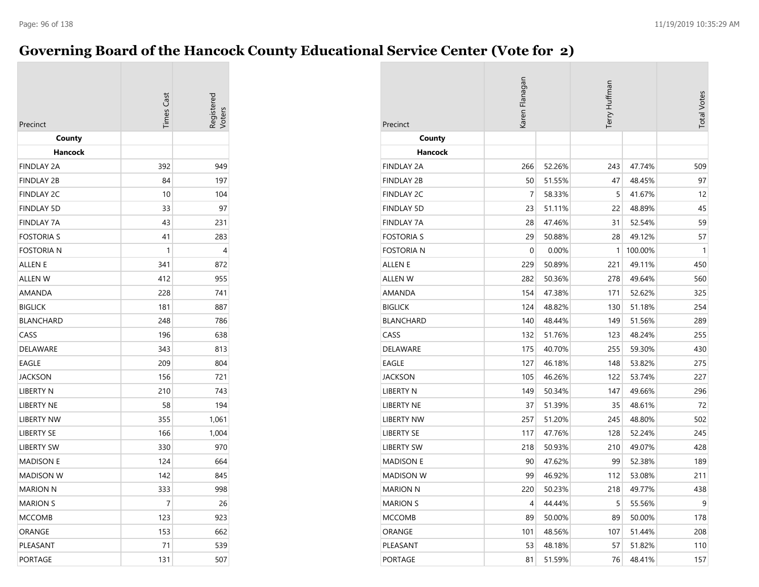#### **Governing Board of the Hancock County Educational Service Center (Vote for 2)**

| Precinct          | <b>Times Cast</b> | Registered |
|-------------------|-------------------|------------|
| County<br>Hancock |                   |            |
| <b>FINDLAY 2A</b> | 392               | 949        |
| <b>FINDLAY 2B</b> | 84                | 197        |
| <b>FINDLAY 2C</b> | 10                | 104        |
| <b>FINDLAY 5D</b> | 33                | 97         |
| <b>FINDLAY 7A</b> | 43                | 231        |
| <b>FOSTORIA S</b> | 41                | 283        |
| <b>FOSTORIA N</b> | 1                 | 4          |
| <b>ALLEN E</b>    | 341               | 872        |
| <b>ALLEN W</b>    | 412               | 955        |
| <b>AMANDA</b>     | 228               | 741        |
| <b>BIGLICK</b>    | 181               | 887        |
| <b>BLANCHARD</b>  | 248               | 786        |
| CASS              | 196               | 638        |
| <b>DELAWARE</b>   | 343               | 813        |
| <b>EAGLE</b>      | 209               | 804        |
| <b>JACKSON</b>    | 156               | 721        |
| <b>LIBERTY N</b>  | 210               | 743        |
| <b>LIBERTY NE</b> | 58                | 194        |
| <b>LIBERTY NW</b> | 355               | 1,061      |
| <b>LIBERTY SE</b> | 166               | 1,004      |
| <b>LIBERTY SW</b> | 330               | 970        |
| <b>MADISON E</b>  | 124               | 664        |
| <b>MADISON W</b>  | 142               | 845        |
| <b>MARION N</b>   | 333               | 998        |
| <b>MARION S</b>   | 7                 | 26         |
| <b>MCCOMB</b>     | 123               | 923        |
| ORANGE            | 153               | 662        |
| PLEASANT          | 71                | 539        |
| <b>PORTAGE</b>    | 131               | 507        |

| Precinct          | Karen Flanagan |        | Terry Huffman |         | <b>Total Votes</b> |
|-------------------|----------------|--------|---------------|---------|--------------------|
| County            |                |        |               |         |                    |
| Hancock           |                |        |               |         |                    |
| <b>FINDLAY 2A</b> | 266            | 52.26% | 243           | 47.74%  | 509                |
| <b>FINDLAY 2B</b> | 50             | 51.55% | 47            | 48.45%  | 97                 |
| <b>FINDLAY 2C</b> | 7              | 58.33% | 5             | 41.67%  | 12                 |
| <b>FINDLAY 5D</b> | 23             | 51.11% | 22            | 48.89%  | 45                 |
| <b>FINDLAY 7A</b> | 28             | 47.46% | 31            | 52.54%  | 59                 |
| <b>FOSTORIA S</b> | 29             | 50.88% | 28            | 49.12%  | 57                 |
| <b>FOSTORIA N</b> | 0              | 0.00%  | 1             | 100.00% | 1                  |
| ALLEN E           | 229            | 50.89% | 221           | 49.11%  | 450                |
| <b>ALLEN W</b>    | 282            | 50.36% | 278           | 49.64%  | 560                |
| AMANDA            | 154            | 47.38% | 171           | 52.62%  | 325                |
| <b>BIGLICK</b>    | 124            | 48.82% | 130           | 51.18%  | 254                |
| <b>BLANCHARD</b>  | 140            | 48.44% | 149           | 51.56%  | 289                |
| CASS              | 132            | 51.76% | 123           | 48.24%  | 255                |
| DELAWARE          | 175            | 40.70% | 255           | 59.30%  | 430                |
| EAGLE             | 127            | 46.18% | 148           | 53.82%  | 275                |
| JACKSON           | 105            | 46.26% | 122           | 53.74%  | 227                |
| LIBERTY N         | 149            | 50.34% | 147           | 49.66%  | 296                |
| LIBERTY NE        | 37             | 51.39% | 35            | 48.61%  | 72                 |
| <b>LIBERTY NW</b> | 257            | 51.20% | 245           | 48.80%  | 502                |
| <b>LIBERTY SE</b> | 117            | 47.76% | 128           | 52.24%  | 245                |
| <b>LIBERTY SW</b> | 218            | 50.93% | 210           | 49.07%  | 428                |
| <b>MADISON E</b>  | 90             | 47.62% | 99            | 52.38%  | 189                |
| <b>MADISON W</b>  | 99             | 46.92% | 112           | 53.08%  | 211                |
| <b>MARION N</b>   | 220            | 50.23% | 218           | 49.77%  | 438                |
| <b>MARION S</b>   | 4              | 44.44% | 5             | 55.56%  | 9                  |
| MCCOMB            | 89             | 50.00% | 89            | 50.00%  | 178                |
| ORANGE            | 101            | 48.56% | 107           | 51.44%  | 208                |
| PLEASANT          | 53             | 48.18% | 57            | 51.82%  | 110                |
| <b>PORTAGE</b>    | 81             | 51.59% | 76            | 48.41%  | 157                |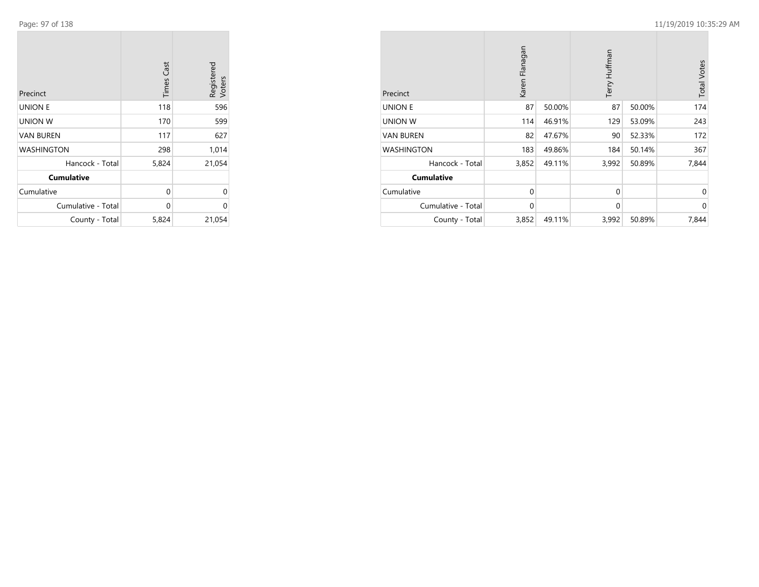**College** 

| Precinct           | <b>Times Cast</b> | Registered<br>Voters |
|--------------------|-------------------|----------------------|
| <b>UNION E</b>     | 118               | 596                  |
| <b>UNION W</b>     | 170               | 599                  |
| <b>VAN BUREN</b>   | 117               | 627                  |
| <b>WASHINGTON</b>  | 298               | 1,014                |
| Hancock - Total    | 5,824             | 21,054               |
| <b>Cumulative</b>  |                   |                      |
| Cumulative         | 0                 | $\Omega$             |
| Cumulative - Total | $\Omega$          | U                    |
| County - Total     | 5,824             | 21,054               |

 $\sim$ 

| Precinct           | Karen Flanagan |        | Terry Huffman |        | <b>Total Votes</b> |
|--------------------|----------------|--------|---------------|--------|--------------------|
| <b>UNION E</b>     | 87             | 50.00% | 87            | 50.00% | 174                |
| UNION W            | 114            | 46.91% | 129           | 53.09% | 243                |
| <b>VAN BUREN</b>   | 82             | 47.67% | 90            | 52.33% | 172                |
| <b>WASHINGTON</b>  | 183            | 49.86% | 184           | 50.14% | 367                |
| Hancock - Total    | 3,852          | 49.11% | 3,992         | 50.89% | 7,844              |
| <b>Cumulative</b>  |                |        |               |        |                    |
| Cumulative         | $\mathbf 0$    |        | $\Omega$      |        | $\Omega$           |
| Cumulative - Total | $\mathbf{0}$   |        | $\mathbf{0}$  |        | $\Omega$           |
| County - Total     | 3,852          | 49.11% | 3,992         | 50.89% | 7,844              |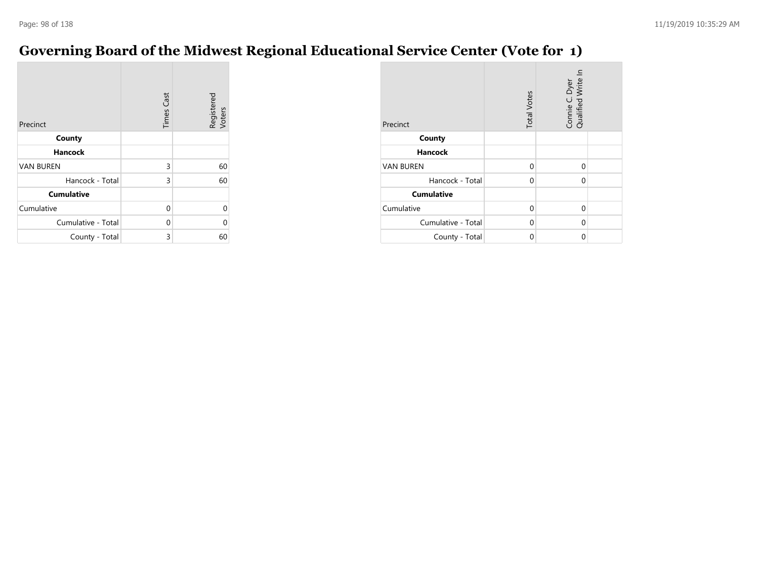## **Governing Board of the Midwest Regional Educational Service Center (Vote for 1)**

| Precinct           | <b>Times Cast</b> | Registered<br>Voters |
|--------------------|-------------------|----------------------|
| County             |                   |                      |
| <b>Hancock</b>     |                   |                      |
| <b>VAN BUREN</b>   | 3                 | 60                   |
| Hancock - Total    | 3                 | 60                   |
| <b>Cumulative</b>  |                   |                      |
| Cumulative         | $\Omega$          | U                    |
| Cumulative - Total | $\Omega$          | U                    |
| County - Total     | 3                 | 60                   |

| Precinct           | <b>Total Votes</b> | Connie C. Dyer<br>Qualified Write In |  |
|--------------------|--------------------|--------------------------------------|--|
| County             |                    |                                      |  |
| <b>Hancock</b>     |                    |                                      |  |
| <b>VAN BUREN</b>   | $\Omega$           | $\Omega$                             |  |
| Hancock - Total    | $\Omega$           | $\Omega$                             |  |
| <b>Cumulative</b>  |                    |                                      |  |
| Cumulative         | $\Omega$           | 0                                    |  |
| Cumulative - Total | $\Omega$           | 0                                    |  |
| County - Total     | 0                  | 0                                    |  |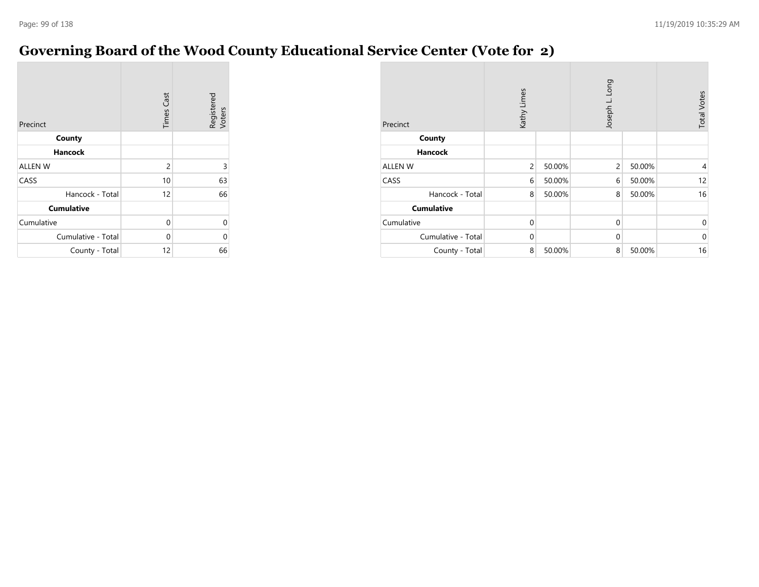#### **Governing Board of the Wood County Educational Service Center (Vote for 2)**

| Precinct           | <b>Times Cast</b> | Registered<br>Voters |
|--------------------|-------------------|----------------------|
| County             |                   |                      |
| <b>Hancock</b>     |                   |                      |
| <b>ALLEN W</b>     | $\overline{c}$    | 3                    |
| CASS               | 10                | 63                   |
| Hancock - Total    | 12                | 66                   |
| <b>Cumulative</b>  |                   |                      |
| Cumulative         | 0                 | 0                    |
| Cumulative - Total | 0                 | 0                    |
| County - Total     | 12                | 66                   |

| Precinct           | Kathy Limes    |        | Joseph L. Long |        | <b>Total Votes</b> |
|--------------------|----------------|--------|----------------|--------|--------------------|
| County             |                |        |                |        |                    |
| <b>Hancock</b>     |                |        |                |        |                    |
| <b>ALLEN W</b>     | $\overline{2}$ | 50.00% | $\overline{2}$ | 50.00% | 4                  |
| CASS               | 6              | 50.00% | 6              | 50.00% | 12                 |
| Hancock - Total    | 8              | 50.00% | 8              | 50.00% | 16                 |
| <b>Cumulative</b>  |                |        |                |        |                    |
| Cumulative         | $\mathbf 0$    |        | $\mathbf 0$    |        | $\mathbf{0}$       |
| Cumulative - Total | $\Omega$       |        | $\mathbf 0$    |        | $\mathbf 0$        |
| County - Total     | 8              | 50.00% | 8              | 50.00% | 16                 |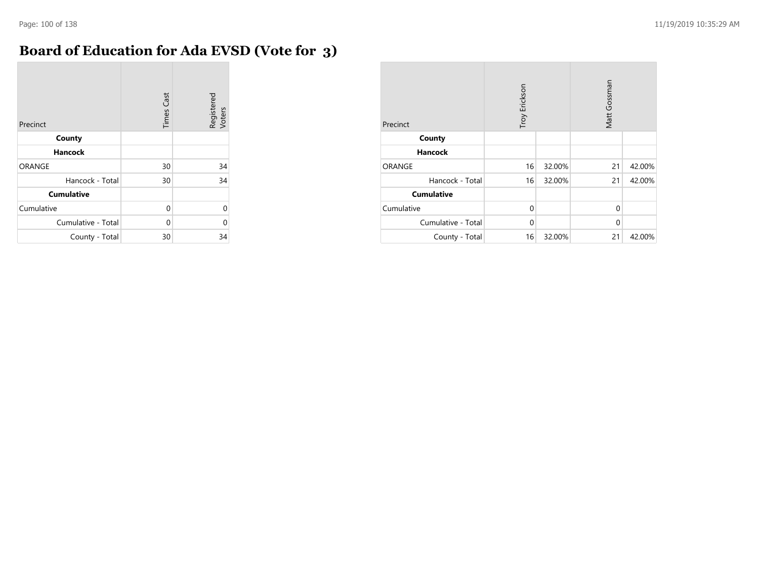# **Board of Education for Ada EVSD (Vote for 3)**

| Precinct           | <b>Times Cast</b> | Registered<br>Voters |
|--------------------|-------------------|----------------------|
| County             |                   |                      |
| <b>Hancock</b>     |                   |                      |
| <b>ORANGE</b>      | 30                | 34                   |
| Hancock - Total    | 30                | 34                   |
| <b>Cumulative</b>  |                   |                      |
| Cumulative         | 0                 | $\Omega$             |
| Cumulative - Total | 0                 | 0                    |
| County - Total     | 30                | 34                   |

| Precinct           | Troy Erickson |        | Matt Gossman |        |
|--------------------|---------------|--------|--------------|--------|
| County             |               |        |              |        |
| <b>Hancock</b>     |               |        |              |        |
| ORANGE             | 16            | 32.00% | 21           | 42.00% |
| Hancock - Total    | 16            | 32.00% | 21           | 42.00% |
| <b>Cumulative</b>  |               |        |              |        |
| Cumulative         | $\Omega$      |        | $\Omega$     |        |
| Cumulative - Total | $\Omega$      |        | $\Omega$     |        |
| County - Total     | 16            | 32.00% | 21           | 42.00% |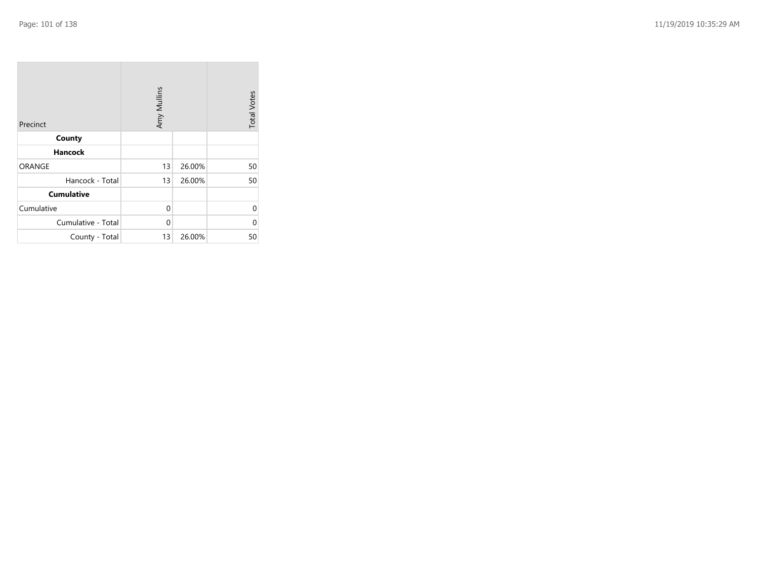| Precinct           | Amy Mullins |        | <b>Total Votes</b> |
|--------------------|-------------|--------|--------------------|
| County             |             |        |                    |
| <b>Hancock</b>     |             |        |                    |
| <b>ORANGE</b>      | 13          | 26.00% | 50                 |
| Hancock - Total    | 13          | 26.00% | 50                 |
| <b>Cumulative</b>  |             |        |                    |
| Cumulative         | 0           |        | 0                  |
| Cumulative - Total | 0           |        | 0                  |
| County - Total     | 13          | 26.00% | 50                 |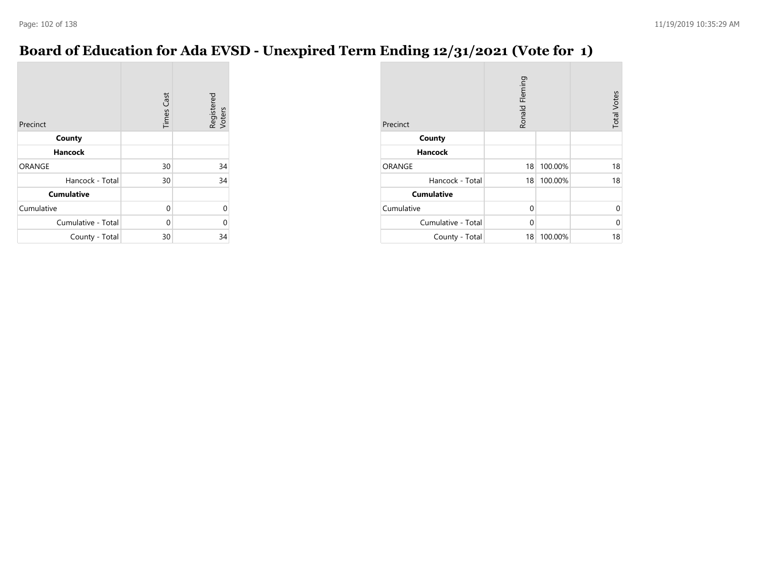**College** 

### **Board of Education for Ada EVSD - Unexpired Term Ending 12/31/2021 (Vote for 1)**

| Precinct           | <b>Times Cast</b> | Registered<br>Voters |
|--------------------|-------------------|----------------------|
| County             |                   |                      |
| <b>Hancock</b>     |                   |                      |
| <b>ORANGE</b>      | 30                | 34                   |
| Hancock - Total    | 30                | 34                   |
| <b>Cumulative</b>  |                   |                      |
| Cumulative         | 0                 |                      |
| Cumulative - Total | 0                 |                      |
| County - Total     | 30                | 34                   |

| Precinct           | Ronald Fleming | <b>Total Votes</b> |          |
|--------------------|----------------|--------------------|----------|
| County             |                |                    |          |
| <b>Hancock</b>     |                |                    |          |
| ORANGE             | 18             | 100.00%            | 18       |
| Hancock - Total    | 18             | 100.00%            | 18       |
| <b>Cumulative</b>  |                |                    |          |
| Cumulative         | $\Omega$       |                    | 0        |
| Cumulative - Total | $\Omega$       |                    | $\Omega$ |
| County - Total     | 18             | 100.00%            | 18       |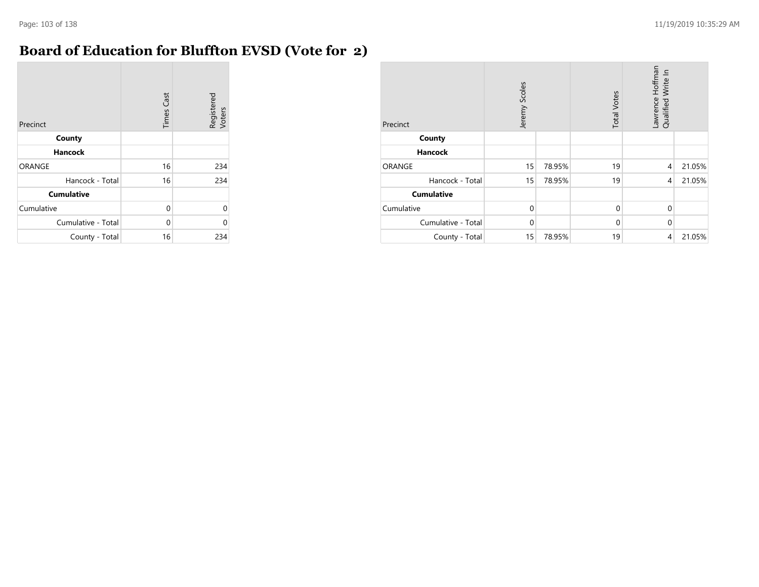**COL** 

#### **Board of Education for Bluffton EVSD (Vote for 2)**

| Precinct           | <b>Times Cast</b> | Registered<br>Voters |
|--------------------|-------------------|----------------------|
| County             |                   |                      |
| <b>Hancock</b>     |                   |                      |
| <b>ORANGE</b>      | 16                | 234                  |
| Hancock - Total    | 16                | 234                  |
| <b>Cumulative</b>  |                   |                      |
| Cumulative         | 0                 | U                    |
| Cumulative - Total | $\Omega$          | በ                    |
| County - Total     | 16                | 234                  |

| Precinct           | Jeremy Scoles |        | <b>Total Votes</b> | Lawrence Hoffman<br>Write In<br>Qualified |        |
|--------------------|---------------|--------|--------------------|-------------------------------------------|--------|
| County             |               |        |                    |                                           |        |
| <b>Hancock</b>     |               |        |                    |                                           |        |
| ORANGE             | 15            | 78.95% | 19                 | $\overline{4}$                            | 21.05% |
| Hancock - Total    | 15            | 78.95% | 19                 | $\overline{4}$                            | 21.05% |
| <b>Cumulative</b>  |               |        |                    |                                           |        |
| Cumulative         | $\Omega$      |        | $\Omega$           | $\Omega$                                  |        |
| Cumulative - Total | $\mathbf 0$   |        | $\mathbf{0}$       | $\Omega$                                  |        |
| County - Total     | 15            | 78.95% | 19                 | 4                                         | 21.05% |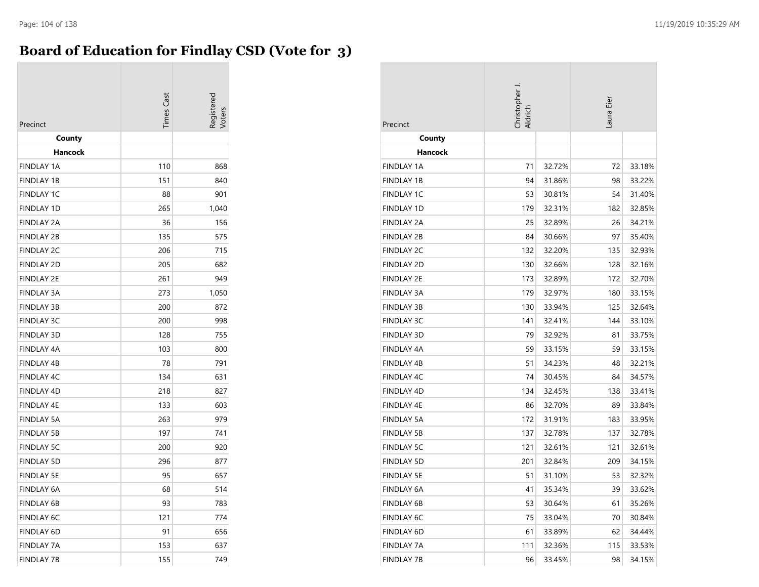#### **Board of Education for Findlay CSD (Vote for 3)**

| Precinct          | <b>Times Cast</b> | 'oter |
|-------------------|-------------------|-------|
| County            |                   |       |
| Hancock           |                   |       |
| <b>FINDLAY 1A</b> | 110               | 868   |
| <b>FINDLAY 1B</b> | 151               | 840   |
| <b>FINDLAY 1C</b> | 88                | 901   |
| <b>FINDLAY 1D</b> | 265               | 1,040 |
| <b>FINDLAY 2A</b> | 36                | 156   |
| <b>FINDLAY 2B</b> | 135               | 575   |
| <b>FINDLAY 2C</b> | 206               | 715   |
| <b>FINDLAY 2D</b> | 205               | 682   |
| <b>FINDLAY 2E</b> | 261               | 949   |
| <b>FINDLAY 3A</b> | 273               | 1,050 |
| <b>FINDLAY 3B</b> | 200               | 872   |
| <b>FINDLAY 3C</b> | 200               | 998   |
| <b>FINDLAY 3D</b> | 128               | 755   |
| FINDLAY 4A        | 103               | 800   |
| <b>FINDLAY 4B</b> | 78                | 791   |
| <b>FINDLAY 4C</b> | 134               | 631   |
| <b>FINDLAY 4D</b> | 218               | 827   |
| <b>FINDLAY 4E</b> | 133               | 603   |
| <b>FINDLAY 5A</b> | 263               | 979   |
| <b>FINDLAY 5B</b> | 197               | 741   |
| <b>FINDLAY 5C</b> | 200               | 920   |
| <b>FINDLAY 5D</b> | 296               | 877   |
| <b>FINDLAY 5E</b> | 95                | 657   |
| <b>FINDLAY 6A</b> | 68                | 514   |
| <b>FINDLAY 6B</b> | 93                | 783   |
| <b>FINDLAY 6C</b> | 121               | 774   |
| FINDLAY 6D        | 91                | 656   |
| <b>FINDLAY 7A</b> | 153               | 637   |
| <b>FINDLAY 7B</b> | 155               | 749   |

| Precinct          | Christopher J.<br>Aldrich |        |     | Laura Eier |  |
|-------------------|---------------------------|--------|-----|------------|--|
| County            |                           |        |     |            |  |
| Hancock           |                           |        |     |            |  |
| <b>FINDLAY 1A</b> | 71                        | 32.72% | 72  | 33.18%     |  |
| <b>FINDLAY 1B</b> | 94                        | 31.86% | 98  | 33.22%     |  |
| <b>FINDLAY 1C</b> | 53                        | 30.81% | 54  | 31.40%     |  |
| <b>FINDLAY 1D</b> | 179                       | 32.31% | 182 | 32.85%     |  |
| <b>FINDLAY 2A</b> | 25                        | 32.89% | 26  | 34.21%     |  |
| <b>FINDLAY 2B</b> | 84                        | 30.66% | 97  | 35.40%     |  |
| <b>FINDLAY 2C</b> | 132                       | 32.20% | 135 | 32.93%     |  |
| <b>FINDLAY 2D</b> | 130                       | 32.66% | 128 | 32.16%     |  |
| <b>FINDLAY 2E</b> | 173                       | 32.89% | 172 | 32.70%     |  |
| FINDLAY 3A        | 179                       | 32.97% | 180 | 33.15%     |  |
| FINDLAY 3B        | 130                       | 33.94% | 125 | 32.64%     |  |
| <b>FINDLAY 3C</b> | 141                       | 32.41% | 144 | 33.10%     |  |
| <b>FINDLAY 3D</b> | 79                        | 32.92% | 81  | 33.75%     |  |
| <b>FINDLAY 4A</b> | 59                        | 33.15% | 59  | 33.15%     |  |
| <b>FINDLAY 4B</b> | 51                        | 34.23% | 48  | 32.21%     |  |
| <b>FINDLAY 4C</b> | 74                        | 30.45% | 84  | 34.57%     |  |
| <b>FINDLAY 4D</b> | 134                       | 32.45% | 138 | 33.41%     |  |
| FINDLAY 4E        | 86                        | 32.70% | 89  | 33.84%     |  |
| <b>FINDLAY 5A</b> | 172                       | 31.91% | 183 | 33.95%     |  |
| <b>FINDLAY 5B</b> | 137                       | 32.78% | 137 | 32.78%     |  |
| <b>FINDLAY 5C</b> | 121                       | 32.61% | 121 | 32.61%     |  |
| <b>FINDLAY 5D</b> | 201                       | 32.84% | 209 | 34.15%     |  |
| <b>FINDLAY 5E</b> | 51                        | 31.10% | 53  | 32.32%     |  |
| <b>FINDLAY 6A</b> | 41                        | 35.34% | 39  | 33.62%     |  |
| <b>FINDLAY 6B</b> | 53                        | 30.64% | 61  | 35.26%     |  |
| <b>FINDLAY 6C</b> | 75                        | 33.04% | 70  | 30.84%     |  |
| <b>FINDLAY 6D</b> | 61                        | 33.89% | 62  | 34.44%     |  |
| <b>FINDLAY 7A</b> | 111                       | 32.36% | 115 | 33.53%     |  |
| <b>FINDLAY 7B</b> | 96                        | 33.45% | 98  | 34.15%     |  |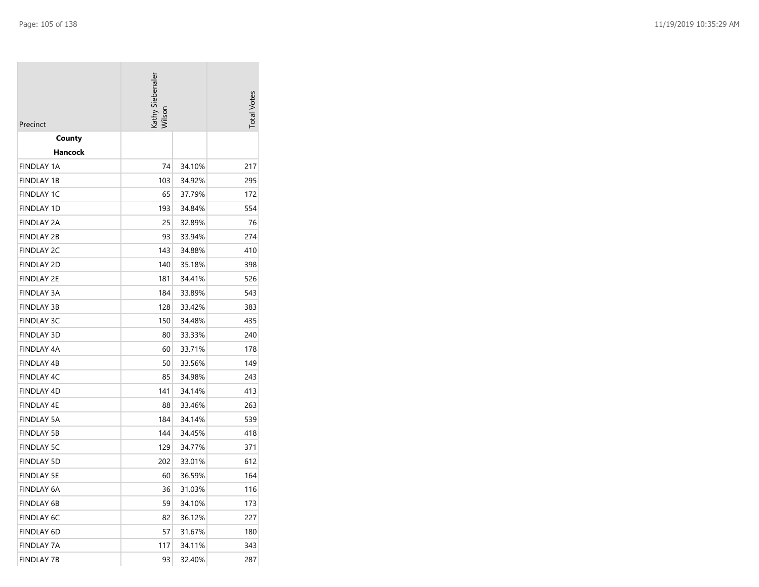| Precinct          | Kathy Siebenaler<br>Wilson | <b>Total Votes</b> |     |
|-------------------|----------------------------|--------------------|-----|
| County            |                            |                    |     |
| Hancock           |                            |                    |     |
| FINDLAY 1A        | 74                         | 34.10%             | 217 |
| <b>FINDLAY 1B</b> | 103                        | 34.92%             | 295 |
| <b>FINDLAY 1C</b> | 65                         | 37.79%             | 172 |
| <b>FINDLAY 1D</b> | 193                        | 34.84%             | 554 |
| <b>FINDLAY 2A</b> | 25                         | 32.89%             | 76  |
| <b>FINDLAY 2B</b> | 93                         | 33.94%             | 274 |
| <b>FINDLAY 2C</b> | 143                        | 34.88%             | 410 |
| <b>FINDLAY 2D</b> | 140                        | 35.18%             | 398 |
| <b>FINDLAY 2E</b> | 181                        | 34.41%             | 526 |
| <b>FINDLAY 3A</b> | 184                        | 33.89%             | 543 |
| FINDLAY 3B        | 128                        | 33.42%             | 383 |
| FINDLAY 3C        | 150                        | 34.48%             | 435 |
| <b>FINDLAY 3D</b> | 80                         | 33.33%             | 240 |
| <b>FINDLAY 4A</b> | 60                         | 33.71%             | 178 |
| FINDLAY 4B        | 50                         | 33.56%             | 149 |
| <b>FINDLAY 4C</b> | 85                         | 34.98%             | 243 |
| <b>FINDLAY 4D</b> | 141                        | 34.14%             | 413 |
| FINDLAY 4E        | 88                         | 33.46%             | 263 |
| <b>FINDLAY 5A</b> | 184                        | 34.14%             | 539 |
| <b>FINDLAY 5B</b> | 144                        | 34.45%             | 418 |
| <b>FINDLAY 5C</b> | 129                        | 34.77%             | 371 |
| <b>FINDLAY 5D</b> | 202                        | 33.01%             | 612 |
| <b>FINDLAY 5E</b> | 60                         | 36.59%             | 164 |
| FINDLAY 6A        | 36                         | 31.03%             | 116 |
| FINDLAY 6B        | 59                         | 34.10%             | 173 |
| <b>FINDLAY 6C</b> | 82                         | 36.12%             | 227 |
| <b>FINDLAY 6D</b> | 57                         | 31.67%             | 180 |
| FINDLAY 7A        | 117                        | 34.11%             | 343 |
| <b>FINDLAY 7B</b> | 93                         | 32.40%             | 287 |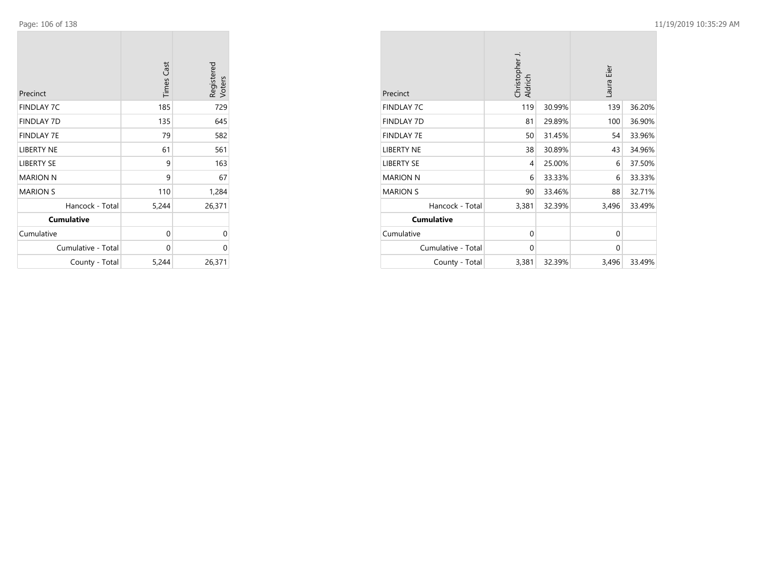**College** 

m.

| Precinct           | <b>Times Cast</b> | Registered<br>Voters |
|--------------------|-------------------|----------------------|
| <b>FINDLAY 7C</b>  | 185               | 729                  |
| <b>FINDLAY 7D</b>  | 135               | 645                  |
| <b>FINDLAY 7E</b>  | 79                | 582                  |
| <b>LIBERTY NE</b>  | 61                | 561                  |
| <b>LIBERTY SE</b>  | 9                 | 163                  |
| <b>MARION N</b>    | 9                 | 67                   |
| <b>MARION S</b>    | 110               | 1,284                |
| Hancock - Total    | 5,244             | 26,371               |
| <b>Cumulative</b>  |                   |                      |
| Cumulative         | 0                 | 0                    |
| Cumulative - Total | 0                 | 0                    |
| County - Total     | 5,244             | 26,371               |

 $\mathcal{L}^{\text{max}}$ 

| Precinct           | Christopher J.<br>Aldrich |        | Eier<br>Laura |        |
|--------------------|---------------------------|--------|---------------|--------|
| <b>FINDLAY 7C</b>  | 119                       | 30.99% | 139           | 36.20% |
| <b>FINDLAY 7D</b>  | 81                        | 29.89% | 100           | 36.90% |
| <b>FINDLAY 7E</b>  | 50                        | 31.45% | 54            | 33.96% |
| <b>LIBERTY NE</b>  | 38                        | 30.89% | 43            | 34.96% |
| LIBERTY SE         | 4                         | 25.00% | 6             | 37.50% |
| <b>MARION N</b>    | 6                         | 33.33% | 6             | 33.33% |
| <b>MARION S</b>    | 90                        | 33.46% | 88            | 32.71% |
| Hancock - Total    | 3,381                     | 32.39% | 3,496         | 33.49% |
| <b>Cumulative</b>  |                           |        |               |        |
| Cumulative         | $\mathbf 0$               |        | $\Omega$      |        |
| Cumulative - Total | $\mathbf 0$               |        | $\Omega$      |        |
| County - Total     | 3,381                     | 32.39% | 3,496         | 33.49% |

**COL**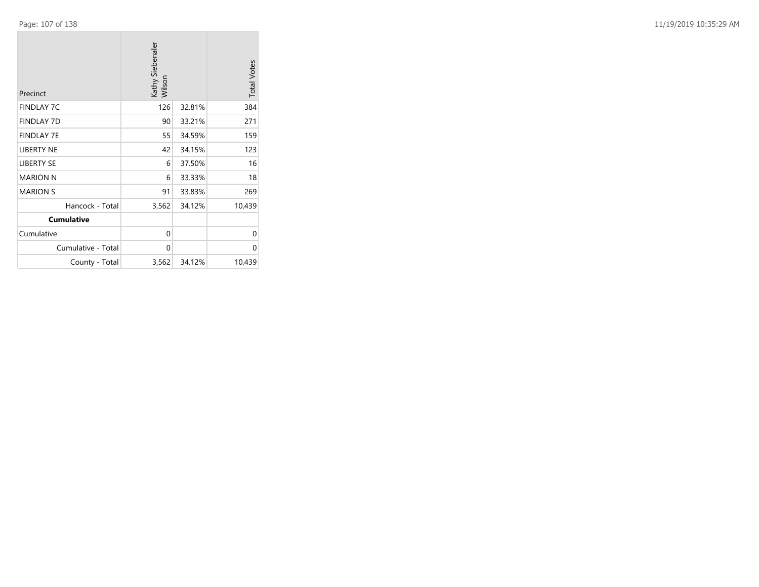**College** 

| Precinct           | Kathy Siebenaler<br>Wilson |        | <b>Total Votes</b> |
|--------------------|----------------------------|--------|--------------------|
| <b>FINDLAY 7C</b>  | 126                        | 32.81% | 384                |
| <b>FINDLAY 7D</b>  | 90                         | 33.21% | 271                |
| <b>FINDLAY 7E</b>  | 55                         | 34.59% | 159                |
| <b>LIBERTY NE</b>  | 42                         | 34.15% | 123                |
| <b>LIBERTY SE</b>  | 6                          | 37.50% | 16                 |
| <b>MARION N</b>    | 6                          | 33.33% | 18                 |
| <b>MARION S</b>    | 91                         | 33.83% | 269                |
| Hancock - Total    | 3,562                      | 34.12% | 10,439             |
| <b>Cumulative</b>  |                            |        |                    |
| Cumulative         | $\mathbf{0}$               |        | 0                  |
| Cumulative - Total | $\mathbf{0}$               |        | $\Omega$           |
| County - Total     | 3,562                      | 34.12% | 10,439             |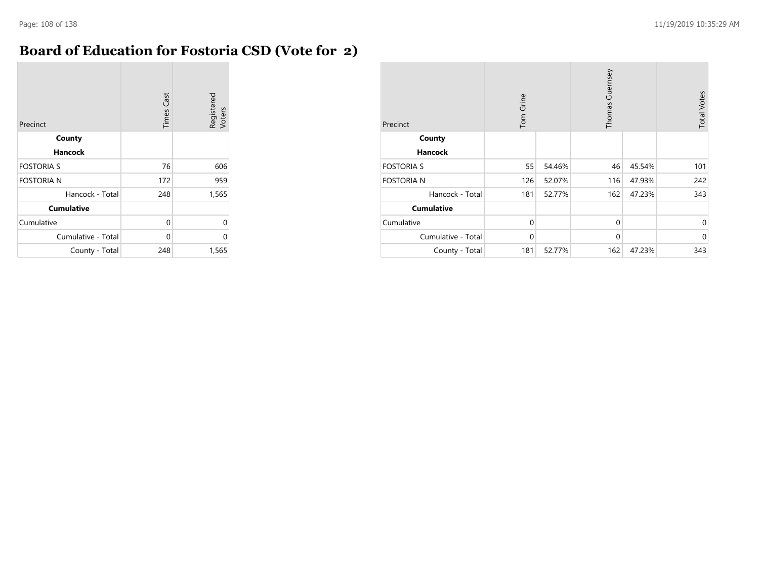#### **Board of Education for Fostoria CSD (Vote for 2)**

| Precinct           | <b>Times Cast</b> | Registered<br>Voters |
|--------------------|-------------------|----------------------|
| County             |                   |                      |
| Hancock            |                   |                      |
| <b>FOSTORIA S</b>  | 76                | 606                  |
| <b>FOSTORIA N</b>  | 172               | 959                  |
| Hancock - Total    | 248               | 1,565                |
| <b>Cumulative</b>  |                   |                      |
| Cumulative         | 0                 | U                    |
| Cumulative - Total | 0                 | 0                    |
| County - Total     | 248               | 1,565                |

| Precinct           | Tom Grine    |        | Thomas Guernsey |        | <b>Total Votes</b> |
|--------------------|--------------|--------|-----------------|--------|--------------------|
| County             |              |        |                 |        |                    |
| <b>Hancock</b>     |              |        |                 |        |                    |
| <b>FOSTORIA S</b>  | 55           | 54.46% | 46              | 45.54% | 101                |
| <b>FOSTORIA N</b>  | 126          | 52.07% | 116             | 47.93% | 242                |
| Hancock - Total    | 181          | 52.77% | 162             | 47.23% | 343                |
| <b>Cumulative</b>  |              |        |                 |        |                    |
| Cumulative         | $\mathbf{0}$ |        | $\mathbf{0}$    |        | $\mathbf 0$        |
| Cumulative - Total | $\mathbf 0$  |        | $\mathbf 0$     |        | $\mathbf 0$        |
| County - Total     | 181          | 52.77% | 162             | 47.23% | 343                |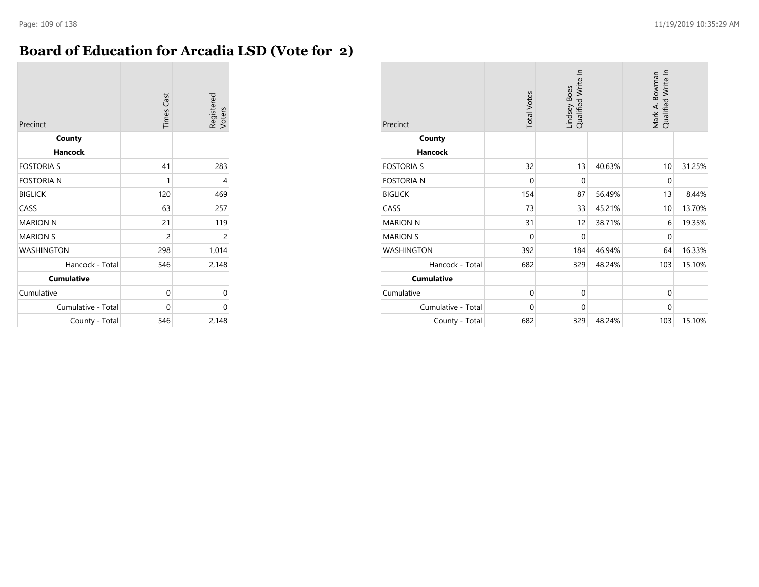### **Board of Education for Arcadia LSD (Vote for 2)**

| Precinct           | <b>Times Cast</b> | Registered<br>Voters |
|--------------------|-------------------|----------------------|
| County             |                   |                      |
| Hancock            |                   |                      |
| <b>FOSTORIA S</b>  | 41                | 283                  |
| <b>FOSTORIA N</b>  | 1                 | 4                    |
| <b>BIGLICK</b>     | 120               | 469                  |
| CASS               | 63                | 257                  |
| <b>MARION N</b>    | 21                | 119                  |
| <b>MARION S</b>    | $\overline{2}$    | 2                    |
| <b>WASHINGTON</b>  | 298               | 1,014                |
| Hancock - Total    | 546               | 2,148                |
| <b>Cumulative</b>  |                   |                      |
| Cumulative         | 0                 | 0                    |
| Cumulative - Total | 0                 | 0                    |
| County - Total     | 546               | 2,148                |

| Precinct           | <b>Total Votes</b> | Lindsey Boes<br>Qualified Write In |        | Mark A. Bowman<br>Qualified Write In |        |  |
|--------------------|--------------------|------------------------------------|--------|--------------------------------------|--------|--|
| County             |                    |                                    |        |                                      |        |  |
| <b>Hancock</b>     |                    |                                    |        |                                      |        |  |
| <b>FOSTORIA S</b>  | 32                 | 13                                 | 40.63% | 10                                   | 31.25% |  |
| <b>FOSTORIA N</b>  | $\mathbf 0$        | $\mathbf 0$                        |        | $\mathbf 0$                          |        |  |
| <b>BIGLICK</b>     | 154                | 87                                 | 56.49% | 13                                   | 8.44%  |  |
| CASS               | 73                 | 33                                 | 45.21% | 10                                   | 13.70% |  |
| <b>MARION N</b>    | 31                 | 12                                 | 38.71% | 6                                    | 19.35% |  |
| <b>MARION S</b>    | $\mathbf 0$        | $\mathbf 0$                        |        | $\mathbf{0}$                         |        |  |
| <b>WASHINGTON</b>  | 392                | 184                                | 46.94% | 64                                   | 16.33% |  |
| Hancock - Total    | 682                | 329                                | 48.24% | 103                                  | 15.10% |  |
| <b>Cumulative</b>  |                    |                                    |        |                                      |        |  |
| Cumulative         | $\mathbf 0$        | $\mathbf{0}$                       |        | $\Omega$                             |        |  |
| Cumulative - Total | $\Omega$           | $\mathbf{0}$                       |        | $\Omega$                             |        |  |
| County - Total     | 682                | 329                                | 48.24% | 103                                  | 15.10% |  |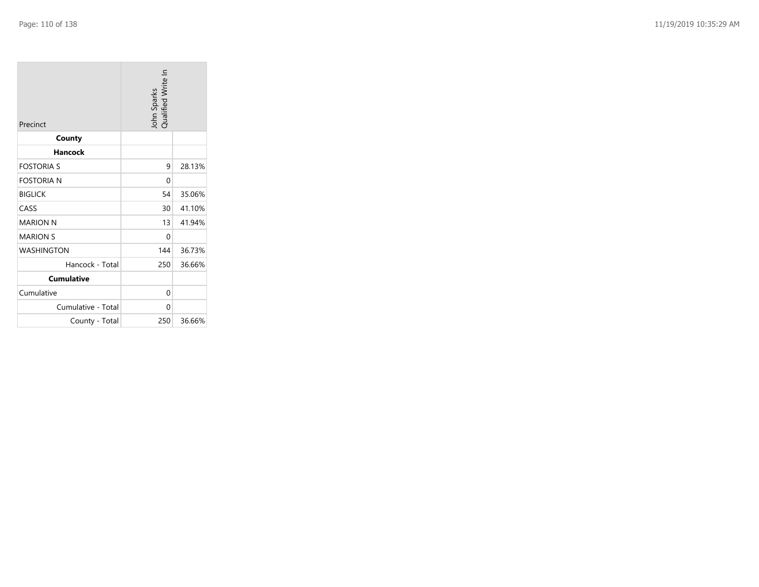| Precinct           | John Sparks<br>Qualified Write In |        |
|--------------------|-----------------------------------|--------|
| County             |                                   |        |
| Hancock            |                                   |        |
| <b>FOSTORIA S</b>  | 9                                 | 28.13% |
| <b>FOSTORIA N</b>  | 0                                 |        |
| <b>BIGLICK</b>     | 54                                | 35.06% |
| CASS               | 30                                | 41.10% |
| <b>MARION N</b>    | 13                                | 41.94% |
| <b>MARION S</b>    | 0                                 |        |
| <b>WASHINGTON</b>  | 144                               | 36.73% |
| Hancock - Total    | 250                               | 36.66% |
| <b>Cumulative</b>  |                                   |        |
| Cumulative         | 0                                 |        |
| Cumulative - Total | 0                                 |        |
| County - Total     | 250                               | 36.66% |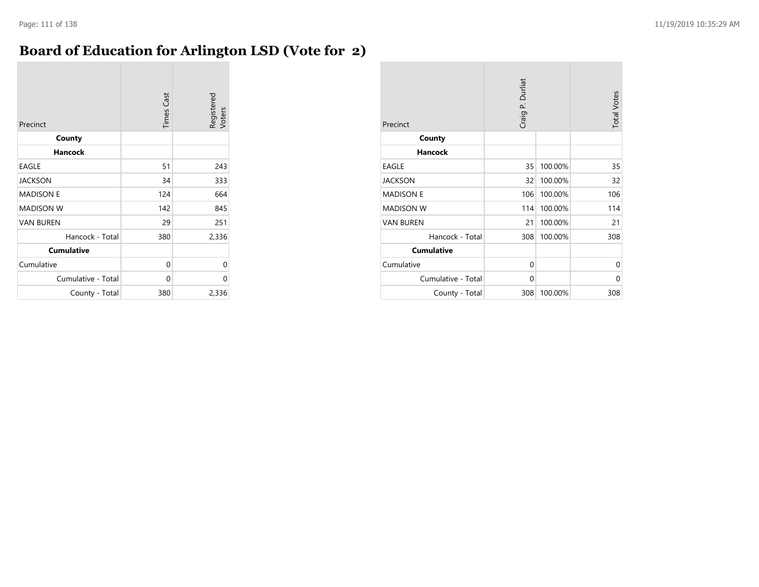# **Board of Education for Arlington LSD (Vote for 2)**

| Precinct           | <b>Times Cast</b> | Registered<br>Voters |
|--------------------|-------------------|----------------------|
| County             |                   |                      |
| <b>Hancock</b>     |                   |                      |
| <b>EAGLE</b>       | 51                | 243                  |
| <b>JACKSON</b>     | 34                | 333                  |
| <b>MADISON E</b>   | 124               | 664                  |
| <b>MADISON W</b>   | 142               | 845                  |
| <b>VAN BUREN</b>   | 29                | 251                  |
| Hancock - Total    | 380               | 2,336                |
| <b>Cumulative</b>  |                   |                      |
| Cumulative         | 0                 | 0                    |
| Cumulative - Total | $\Omega$          | 0                    |
| County - Total     | 380               | 2,336                |

| Precinct           | Craig P. Durliat |         | <b>Total Votes</b> |
|--------------------|------------------|---------|--------------------|
| County             |                  |         |                    |
| <b>Hancock</b>     |                  |         |                    |
| <b>EAGLE</b>       | 35               | 100.00% | 35                 |
| <b>JACKSON</b>     | 32               | 100.00% | 32                 |
| <b>MADISON E</b>   | 106              | 100.00% | 106                |
| <b>MADISON W</b>   | 114              | 100.00% | 114                |
| <b>VAN BUREN</b>   | 21               | 100.00% | 21                 |
| Hancock - Total    | 308              | 100.00% | 308                |
| <b>Cumulative</b>  |                  |         |                    |
| Cumulative         | 0                |         | 0                  |
| Cumulative - Total | 0                |         | 0                  |
| County - Total     | 308              | 100.00% | 308                |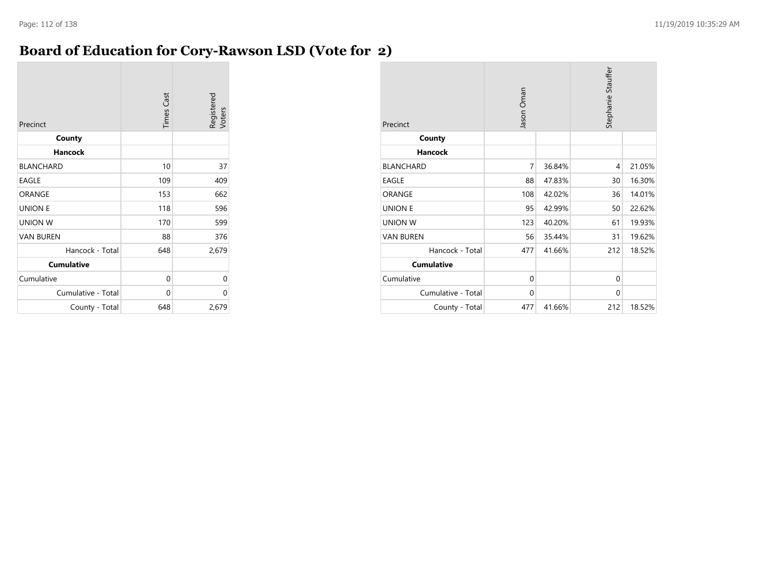### **Board of Education for Cory-Rawson LSD (Vote for 2)**

| Precinct           | <b>Times Cast</b> | Registered<br>Voters |
|--------------------|-------------------|----------------------|
| County             |                   |                      |
| <b>Hancock</b>     |                   |                      |
| <b>BLANCHARD</b>   | 10                | 37                   |
| <b>EAGLE</b>       | 109               | 409                  |
| ORANGE             | 153               | 662                  |
| <b>UNION E</b>     | 118               | 596                  |
| <b>UNION W</b>     | 170               | 599                  |
| <b>VAN BUREN</b>   | 88                | 376                  |
| Hancock - Total    | 648               | 2,679                |
| <b>Cumulative</b>  |                   |                      |
| Cumulative         | $\Omega$          | 0                    |
| Cumulative - Total | 0                 | 0                    |
| County - Total     | 648               | 2,679                |

| Precinct           | Jason Oman  |        | Stephanie Stauffer |        |
|--------------------|-------------|--------|--------------------|--------|
| County             |             |        |                    |        |
| <b>Hancock</b>     |             |        |                    |        |
| <b>BLANCHARD</b>   | 7           | 36.84% | 4                  | 21.05% |
| <b>EAGLE</b>       | 88          | 47.83% | 30                 | 16.30% |
| ORANGE             | 108         | 42.02% | 36                 | 14.01% |
| <b>UNION E</b>     | 95          | 42.99% | 50                 | 22.62% |
| <b>UNION W</b>     | 123         | 40.20% | 61                 | 19.93% |
| <b>VAN BUREN</b>   | 56          | 35.44% | 31                 | 19.62% |
| Hancock - Total    | 477         | 41.66% | 212                | 18.52% |
| <b>Cumulative</b>  |             |        |                    |        |
| Cumulative         | $\mathbf 0$ |        | $\Omega$           |        |
| Cumulative - Total | $\mathbf 0$ |        | $\Omega$           |        |
| County - Total     | 477         | 41.66% | 212                | 18.52% |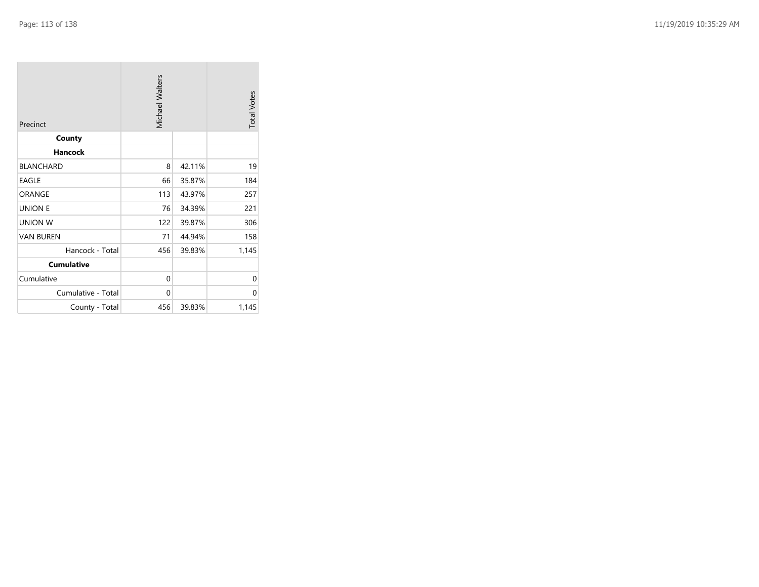| Precinct           | <b>Michael Walters</b> |        | <b>Total Votes</b> |
|--------------------|------------------------|--------|--------------------|
| County             |                        |        |                    |
| <b>Hancock</b>     |                        |        |                    |
| <b>BLANCHARD</b>   | 8                      | 42.11% | 19                 |
| <b>EAGLE</b>       | 66                     | 35.87% | 184                |
| ORANGE             | 113                    | 43.97% | 257                |
| <b>UNION E</b>     | 76                     | 34.39% | 221                |
| <b>UNION W</b>     | 122                    | 39.87% | 306                |
| <b>VAN BUREN</b>   | 71                     | 44.94% | 158                |
| Hancock - Total    | 456                    | 39.83% | 1,145              |
| <b>Cumulative</b>  |                        |        |                    |
| Cumulative         | 0                      |        | 0                  |
| Cumulative - Total | 0                      |        | 0                  |
| County - Total     | 456                    | 39.83% | 1,145              |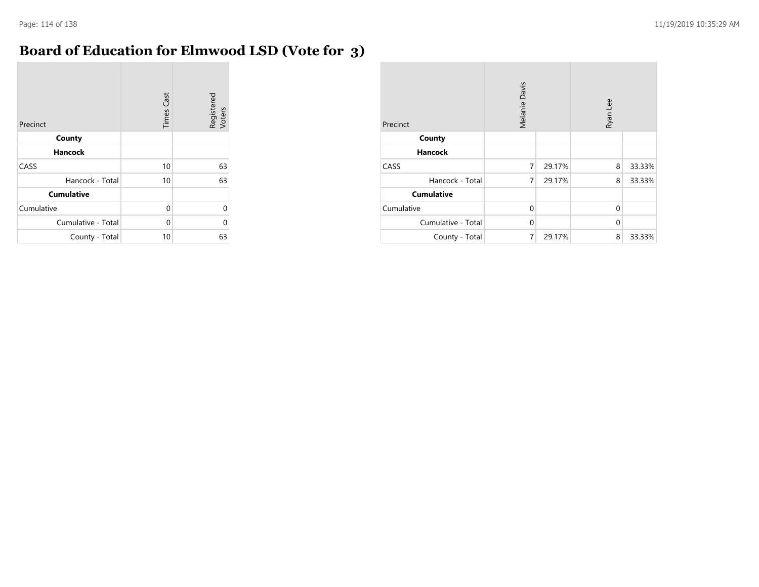$\sim$ 

# **Board of Education for Elmwood LSD (Vote for 3)**

| Precinct           | <b>Times Cast</b> | Registered<br>Voters |
|--------------------|-------------------|----------------------|
| County             |                   |                      |
| <b>Hancock</b>     |                   |                      |
| CASS               | 10                | 63                   |
| Hancock - Total    | 10                | 63                   |
| <b>Cumulative</b>  |                   |                      |
| Cumulative         | 0                 | U                    |
| Cumulative - Total | 0                 | U                    |
| County - Total     | 10                | 63                   |

| Precinct           | Melanie Davis |        | Ryan Lee |        |
|--------------------|---------------|--------|----------|--------|
| County             |               |        |          |        |
| <b>Hancock</b>     |               |        |          |        |
| CASS               | 7             | 29.17% | 8        | 33.33% |
| Hancock - Total    | 7             | 29.17% | 8        | 33.33% |
| <b>Cumulative</b>  |               |        |          |        |
| Cumulative         | $\Omega$      |        | $\Omega$ |        |
| Cumulative - Total | $\mathbf 0$   |        | $\Omega$ |        |
| County - Total     | 7             | 29.17% | 8        | 33.33% |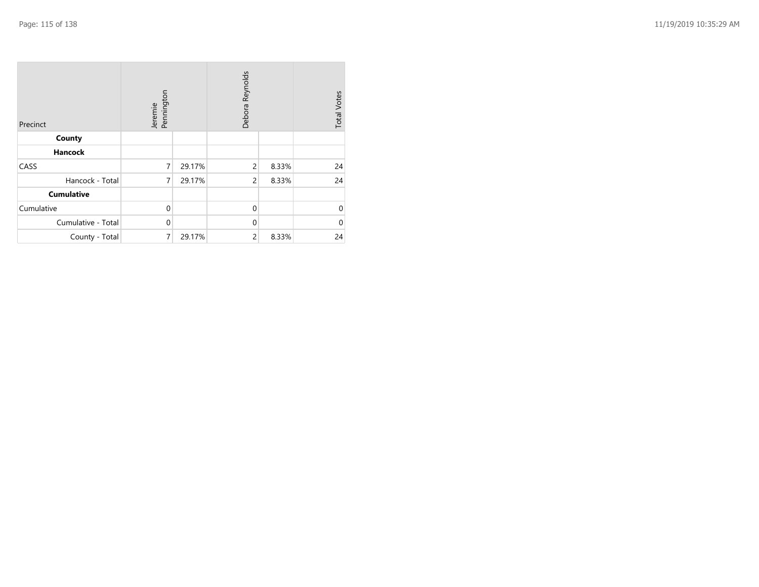| Precinct           | Jeremie<br>Pennington |        | Debora Reynolds |       | <b>Total Votes</b> |
|--------------------|-----------------------|--------|-----------------|-------|--------------------|
| County             |                       |        |                 |       |                    |
| <b>Hancock</b>     |                       |        |                 |       |                    |
| CASS               | $\overline{7}$        | 29.17% | 2               | 8.33% | 24                 |
| Hancock - Total    | 7                     | 29.17% | $\overline{c}$  | 8.33% | 24                 |
| <b>Cumulative</b>  |                       |        |                 |       |                    |
| Cumulative         | $\mathbf{0}$          |        | $\Omega$        |       | $\Omega$           |
| Cumulative - Total | $\mathbf 0$           |        | $\Omega$        |       | 0                  |
| County - Total     | 7                     | 29.17% | $\overline{c}$  | 8.33% | 24                 |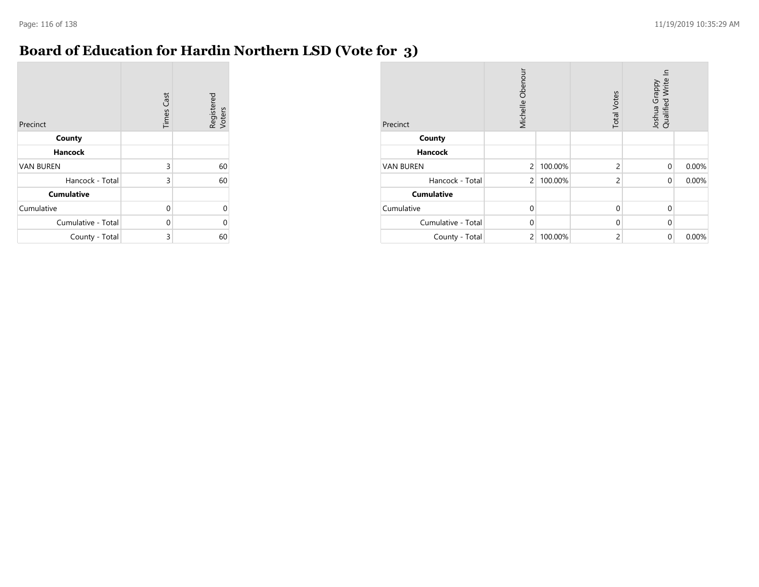**COL** 

### **Board of Education for Hardin Northern LSD (Vote for 3)**

| Precinct           | <b>Times Cast</b> | Registered<br>Voters |
|--------------------|-------------------|----------------------|
| County             |                   |                      |
| <b>Hancock</b>     |                   |                      |
| <b>VAN BUREN</b>   | 3                 | 60                   |
| Hancock - Total    | 3                 | 60                   |
| <b>Cumulative</b>  |                   |                      |
| Cumulative         | 0                 | 0                    |
| Cumulative - Total | $\Omega$          | 0                    |
| County - Total     | 3                 | 60                   |

| Precinct           | Michelle Obenour |         | <b>Total Votes</b> | 드<br>Qualified Write<br>Joshua Grappy |       |
|--------------------|------------------|---------|--------------------|---------------------------------------|-------|
| County             |                  |         |                    |                                       |       |
| <b>Hancock</b>     |                  |         |                    |                                       |       |
| <b>VAN BUREN</b>   | $\overline{c}$   | 100.00% | 2                  | $\mathbf 0$                           | 0.00% |
| Hancock - Total    | $\overline{2}$   | 100.00% | 2                  | $\Omega$                              | 0.00% |
| <b>Cumulative</b>  |                  |         |                    |                                       |       |
| Cumulative         | $\mathbf 0$      |         | $\mathbf{0}$       | $\Omega$                              |       |
| Cumulative - Total | $\mathbf 0$      |         | $\mathbf 0$        | $\Omega$                              |       |
| County - Total     | $\overline{2}$   | 100.00% | 2                  | $\mathbf 0$                           | 0.00% |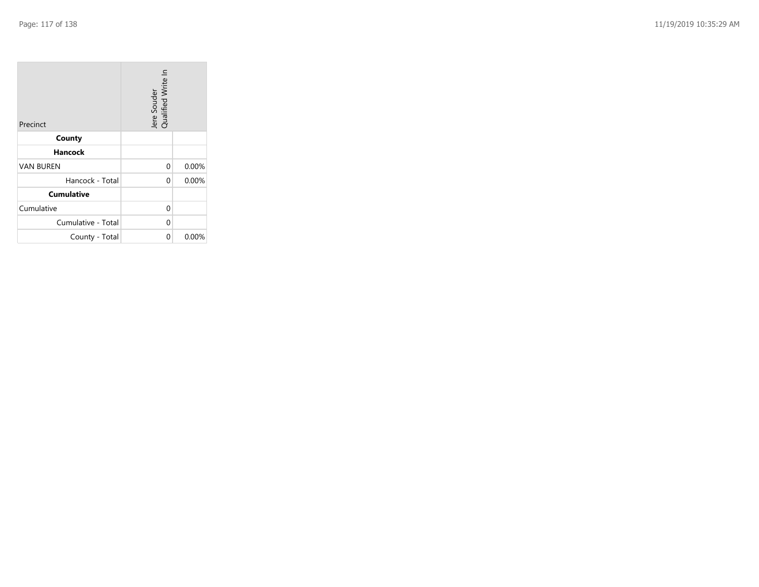| Precinct           | Jere Souder<br>Qualified Write In |          |
|--------------------|-----------------------------------|----------|
| County             |                                   |          |
| Hancock            |                                   |          |
| <b>VAN BUREN</b>   | 0                                 | 0.00%    |
| Hancock - Total    | 0                                 | 0.00%    |
| <b>Cumulative</b>  |                                   |          |
| Cumulative         | 0                                 |          |
| Cumulative - Total | 0                                 |          |
| County - Total     | 0                                 | $0.00\%$ |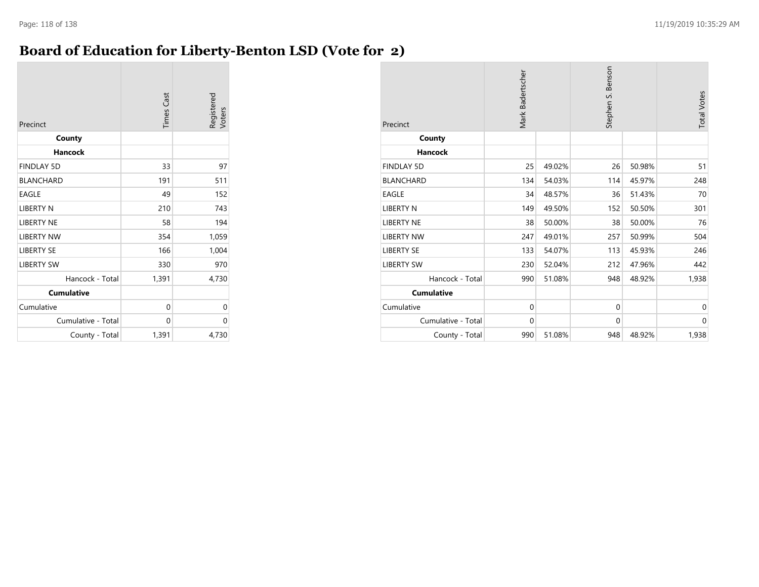### **Board of Education for Liberty-Benton LSD (Vote for 2)**

| Precinct           | <b>Times Cast</b> | Registered<br>Voters |
|--------------------|-------------------|----------------------|
| County             |                   |                      |
| <b>Hancock</b>     |                   |                      |
| <b>FINDLAY 5D</b>  | 33                | 97                   |
| <b>BLANCHARD</b>   | 191               | 511                  |
| <b>EAGLE</b>       | 49                | 152                  |
| <b>LIBERTY N</b>   | 210               | 743                  |
| <b>LIBERTY NE</b>  | 58                | 194                  |
| <b>LIBERTY NW</b>  | 354               | 1,059                |
| <b>LIBERTY SE</b>  | 166               | 1,004                |
| <b>LIBERTY SW</b>  | 330               | 970                  |
| Hancock - Total    | 1,391             | 4,730                |
| <b>Cumulative</b>  |                   |                      |
| Cumulative         | 0                 | 0                    |
| Cumulative - Total | 0                 | 0                    |
| County - Total     | 1,391             | 4,730                |

| Precinct           | Mark Badertscher |        | Stephen S. Benson |        | <b>Total Votes</b> |
|--------------------|------------------|--------|-------------------|--------|--------------------|
| County             |                  |        |                   |        |                    |
| <b>Hancock</b>     |                  |        |                   |        |                    |
| <b>FINDLAY 5D</b>  | 25               | 49.02% | 26                | 50.98% | 51                 |
| <b>BLANCHARD</b>   | 134              | 54.03% | 114               | 45.97% | 248                |
| <b>EAGLE</b>       | 34               | 48.57% | 36                | 51.43% | 70                 |
| <b>LIBERTY N</b>   | 149              | 49.50% | 152               | 50.50% | 301                |
| <b>LIBERTY NE</b>  | 38               | 50.00% | 38                | 50.00% | 76                 |
| <b>LIBERTY NW</b>  | 247              | 49.01% | 257               | 50.99% | 504                |
| <b>LIBERTY SE</b>  | 133              | 54.07% | 113               | 45.93% | 246                |
| <b>LIBERTY SW</b>  | 230              | 52.04% | 212               | 47.96% | 442                |
| Hancock - Total    | 990              | 51.08% | 948               | 48.92% | 1,938              |
| <b>Cumulative</b>  |                  |        |                   |        |                    |
| Cumulative         | $\mathbf 0$      |        | $\mathbf{0}$      |        | $\mathbf 0$        |
| Cumulative - Total | $\mathbf 0$      |        | $\mathbf{0}$      |        | $\mathbf 0$        |
| County - Total     | 990              | 51.08% | 948               | 48.92% | 1,938              |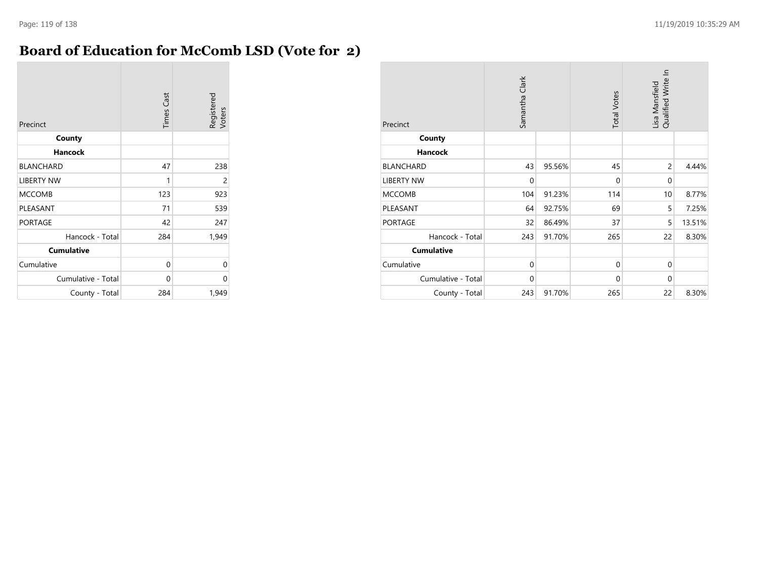### **Board of Education for McComb LSD (Vote for 2)**

| Precinct           | <b>Times Cast</b> | Registered<br>Voters |
|--------------------|-------------------|----------------------|
| County             |                   |                      |
| <b>Hancock</b>     |                   |                      |
| <b>BLANCHARD</b>   | 47                | 238                  |
| <b>LIBERTY NW</b>  | 1                 | $\overline{c}$       |
| <b>MCCOMB</b>      | 123               | 923                  |
| PLEASANT           | 71                | 539                  |
| <b>PORTAGE</b>     | 42                | 247                  |
| Hancock - Total    | 284               | 1,949                |
| <b>Cumulative</b>  |                   |                      |
| Cumulative         | 0                 | 0                    |
| Cumulative - Total | 0                 | 0                    |
| County - Total     | 284               | 1,949                |

| Precinct           | Samantha Clark |        | <b>Total Votes</b> | Lisa Mansfield<br>Qualified Write In |        |
|--------------------|----------------|--------|--------------------|--------------------------------------|--------|
| County             |                |        |                    |                                      |        |
| <b>Hancock</b>     |                |        |                    |                                      |        |
| <b>BLANCHARD</b>   | 43             | 95.56% | 45                 | $\overline{c}$                       | 4.44%  |
| <b>LIBERTY NW</b>  | $\mathbf 0$    |        | $\Omega$           | $\mathbf{0}$                         |        |
| <b>MCCOMB</b>      | 104            | 91.23% | 114                | 10                                   | 8.77%  |
| PLEASANT           | 64             | 92.75% | 69                 | 5                                    | 7.25%  |
| <b>PORTAGE</b>     | 32             | 86.49% | 37                 | 5                                    | 13.51% |
| Hancock - Total    | 243            | 91.70% | 265                | 22                                   | 8.30%  |
| <b>Cumulative</b>  |                |        |                    |                                      |        |
| Cumulative         | $\mathbf{0}$   |        | $\mathbf{0}$       | $\mathbf{0}$                         |        |
| Cumulative - Total | $\mathbf 0$    |        | $\mathbf{0}$       | $\mathbf{0}$                         |        |
| County - Total     | 243            | 91.70% | 265                | 22                                   | 8.30%  |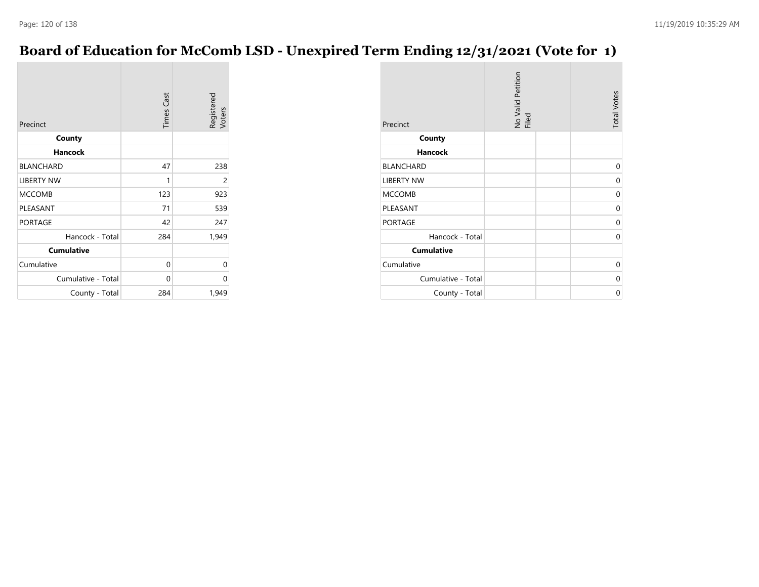### **Board of Education for McComb LSD - Unexpired Term Ending 12/31/2021 (Vote for 1)**

| Precinct           | <b>Times Cast</b> | Registered<br>Voters |
|--------------------|-------------------|----------------------|
| County             |                   |                      |
| <b>Hancock</b>     |                   |                      |
| <b>BLANCHARD</b>   | 47                | 238                  |
| <b>LIBERTY NW</b>  | 1                 | 2                    |
| <b>MCCOMB</b>      | 123               | 923                  |
| PLEASANT           | 71                | 539                  |
| <b>PORTAGE</b>     | 42                | 247                  |
| Hancock - Total    | 284               | 1,949                |
| <b>Cumulative</b>  |                   |                      |
| Cumulative         | 0                 | 0                    |
| Cumulative - Total | $\Omega$          | 0                    |
| County - Total     | 284               | 1,949                |

| Precinct           | No Valid Petition<br>Filed | <b>Total Votes</b> |
|--------------------|----------------------------|--------------------|
| County             |                            |                    |
| <b>Hancock</b>     |                            |                    |
| <b>BLANCHARD</b>   |                            | 0                  |
| <b>LIBERTY NW</b>  |                            | $\Omega$           |
| <b>MCCOMB</b>      |                            | 0                  |
| PLEASANT           |                            | 0                  |
| <b>PORTAGE</b>     |                            | 0                  |
| Hancock - Total    |                            | 0                  |
| <b>Cumulative</b>  |                            |                    |
| Cumulative         |                            | 0                  |
| Cumulative - Total |                            | 0                  |
| County - Total     |                            | 0                  |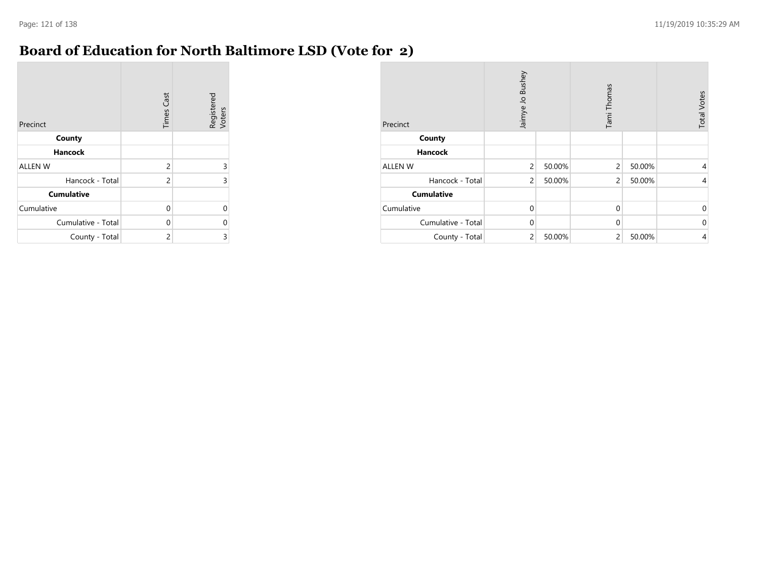**COL** 

### **Board of Education for North Baltimore LSD (Vote for 2)**

| Precinct           | <b>Times Cast</b> | Registered<br>Voters |
|--------------------|-------------------|----------------------|
| County             |                   |                      |
| <b>Hancock</b>     |                   |                      |
| <b>ALLEN W</b>     | 2                 | 3                    |
| Hancock - Total    | $\overline{c}$    | 3                    |
| <b>Cumulative</b>  |                   |                      |
| Cumulative         | 0                 | U                    |
| Cumulative - Total | $\Omega$          | 0                    |
| County - Total     | 2                 | 3                    |

| Precinct           | Jaimye Jo Bushey |        | Tami Thomas    |        | <b>Total Votes</b> |
|--------------------|------------------|--------|----------------|--------|--------------------|
| County             |                  |        |                |        |                    |
| <b>Hancock</b>     |                  |        |                |        |                    |
| <b>ALLEN W</b>     | $\overline{2}$   | 50.00% | $\overline{2}$ | 50.00% | 4                  |
| Hancock - Total    | $\overline{2}$   | 50.00% | $\overline{2}$ | 50.00% | 4                  |
| <b>Cumulative</b>  |                  |        |                |        |                    |
| Cumulative         | $\mathbf 0$      |        | $\mathbf 0$    |        | $\mathbf 0$        |
| Cumulative - Total | $\Omega$         |        | $\mathbf 0$    |        | $\mathbf{0}$       |
| County - Total     | $\overline{2}$   | 50.00% | $\overline{c}$ | 50.00% | 4                  |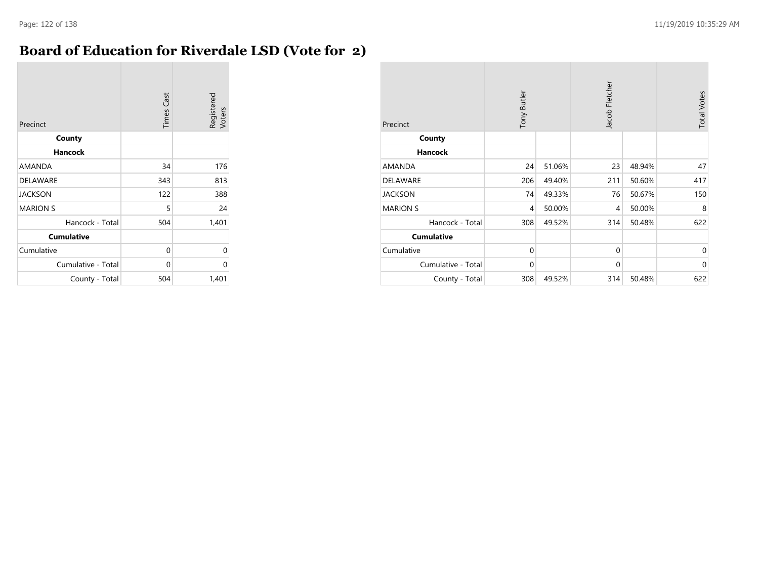### **Board of Education for Riverdale LSD (Vote for 2)**

| Precinct           | <b>Times Cast</b> | Registered<br>Voters |
|--------------------|-------------------|----------------------|
| County             |                   |                      |
| <b>Hancock</b>     |                   |                      |
| <b>AMANDA</b>      | 34                | 176                  |
| <b>DELAWARE</b>    | 343               | 813                  |
| <b>JACKSON</b>     | 122               | 388                  |
| <b>MARION S</b>    | 5                 | 24                   |
| Hancock - Total    | 504               | 1,401                |
| <b>Cumulative</b>  |                   |                      |
| Cumulative         | 0                 | 0                    |
| Cumulative - Total | 0                 | $\Omega$             |
| County - Total     | 504               | 1,401                |

| Precinct           | Tony Butler |        | Jacob Fletcher |        | <b>Total Votes</b> |
|--------------------|-------------|--------|----------------|--------|--------------------|
| County             |             |        |                |        |                    |
| <b>Hancock</b>     |             |        |                |        |                    |
| <b>AMANDA</b>      | 24          | 51.06% | 23             | 48.94% | 47                 |
| <b>DELAWARE</b>    | 206         | 49.40% | 211            | 50.60% | 417                |
| <b>JACKSON</b>     | 74          | 49.33% | 76             | 50.67% | 150                |
| <b>MARION S</b>    | 4           | 50.00% | 4              | 50.00% | 8                  |
| Hancock - Total    | 308         | 49.52% | 314            | 50.48% | 622                |
| <b>Cumulative</b>  |             |        |                |        |                    |
| Cumulative         | $\mathbf 0$ |        | 0              |        | $\mathbf 0$        |
| Cumulative - Total | $\mathbf 0$ |        | $\mathbf 0$    |        | $\mathbf 0$        |
| County - Total     | 308         | 49.52% | 314            | 50.48% | 622                |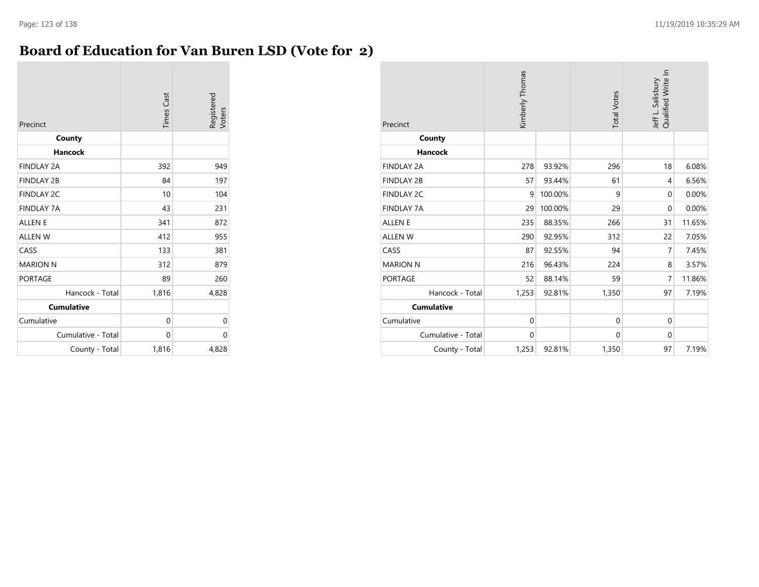### **Board of Education for Van Buren LSD (Vote for 2)**

| Precinct           | <b>Times Cast</b> | Registered<br>Voters |
|--------------------|-------------------|----------------------|
| County             |                   |                      |
| Hancock            |                   |                      |
| <b>FINDLAY 2A</b>  | 392               | 949                  |
| <b>FINDLAY 2B</b>  | 84                | 197                  |
| <b>FINDLAY 2C</b>  | 10                | 104                  |
| <b>FINDLAY 7A</b>  | 43                | 231                  |
| <b>ALLEN E</b>     | 341               | 872                  |
| <b>ALLEN W</b>     | 412               | 955                  |
| CASS               | 133               | 381                  |
| <b>MARION N</b>    | 312               | 879                  |
| <b>PORTAGE</b>     | 89                | 260                  |
| Hancock - Total    | 1,816             | 4,828                |
| <b>Cumulative</b>  |                   |                      |
| Cumulative         | 0                 | 0                    |
| Cumulative - Total | 0                 | 0                    |
| County - Total     | 1,816             | 4,828                |

| Precinct           | Kimberly Thomas |         | <b>Total Votes</b> | Qualified Write In<br>Jeff L. Salisbury |        |
|--------------------|-----------------|---------|--------------------|-----------------------------------------|--------|
| County             |                 |         |                    |                                         |        |
| <b>Hancock</b>     |                 |         |                    |                                         |        |
| <b>FINDLAY 2A</b>  | 278             | 93.92%  | 296                | 18                                      | 6.08%  |
| <b>FINDLAY 2B</b>  | 57              | 93.44%  | 61                 | 4                                       | 6.56%  |
| <b>FINDLAY 2C</b>  | 9               | 100.00% | 9                  | $\mathbf 0$                             | 0.00%  |
| <b>FINDLAY 7A</b>  | 29              | 100.00% | 29                 | $\mathbf{0}$                            | 0.00%  |
| <b>ALLEN E</b>     | 235             | 88.35%  | 266                | 31                                      | 11.65% |
| <b>ALLEN W</b>     | 290             | 92.95%  | 312                | 22                                      | 7.05%  |
| CASS               | 87              | 92.55%  | 94                 | 7                                       | 7.45%  |
| <b>MARION N</b>    | 216             | 96.43%  | 224                | 8                                       | 3.57%  |
| <b>PORTAGE</b>     | 52              | 88.14%  | 59                 | 7                                       | 11.86% |
| Hancock - Total    | 1,253           | 92.81%  | 1,350              | 97                                      | 7.19%  |
| <b>Cumulative</b>  |                 |         |                    |                                         |        |
| Cumulative         | $\mathbf 0$     |         | $\mathbf 0$        | $\mathbf{0}$                            |        |
| Cumulative - Total | $\mathbf 0$     |         | $\mathbf 0$        | $\mathbf{0}$                            |        |
| County - Total     | 1,253           | 92.81%  | 1,350              | 97                                      | 7.19%  |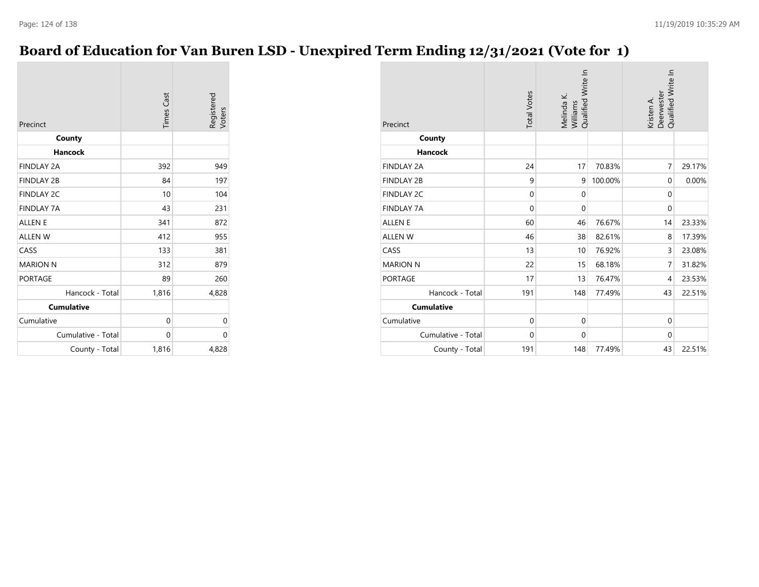# **Board of Education for Van Buren LSD - Unexpired Term Ending 12/31/2021 (Vote for 1)**

| Precinct           | <b>Times Cast</b> | Registered<br>Voters |
|--------------------|-------------------|----------------------|
| County             |                   |                      |
| Hancock            |                   |                      |
| <b>FINDLAY 2A</b>  | 392               | 949                  |
| <b>FINDLAY 2B</b>  | 84                | 197                  |
| <b>FINDLAY 2C</b>  | 10                | 104                  |
| <b>FINDLAY 7A</b>  | 43                | 231                  |
| <b>ALLEN E</b>     | 341               | 872                  |
| <b>ALLEN W</b>     | 412               | 955                  |
| CASS               | 133               | 381                  |
| <b>MARION N</b>    | 312               | 879                  |
| <b>PORTAGE</b>     | 89                | 260                  |
| Hancock - Total    | 1,816             | 4,828                |
| <b>Cumulative</b>  |                   |                      |
| Cumulative         | 0                 | 0                    |
| Cumulative - Total | 0                 | $\Omega$             |
| County - Total     | 1,816             | 4,828                |

| Precinct           | <b>Total Votes</b> | Qualified Write In<br>Melinda K.<br>Williams |         | Qualified Write In<br>Deerwester<br>Kristen A. |        |  |
|--------------------|--------------------|----------------------------------------------|---------|------------------------------------------------|--------|--|
| County             |                    |                                              |         |                                                |        |  |
| Hancock            |                    |                                              |         |                                                |        |  |
| <b>FINDLAY 2A</b>  | 24                 | 17                                           | 70.83%  | $\overline{7}$                                 | 29.17% |  |
| <b>FINDLAY 2B</b>  | 9                  | 9                                            | 100.00% | $\mathbf{0}$                                   | 0.00%  |  |
| <b>FINDLAY 2C</b>  | $\mathbf 0$        | $\mathbf 0$                                  |         | $\mathbf{0}$                                   |        |  |
| <b>FINDLAY 7A</b>  | $\mathbf 0$        | $\mathbf{0}$                                 |         | $\mathbf 0$                                    |        |  |
| <b>ALLEN E</b>     | 60                 | 46                                           | 76.67%  | 14                                             | 23.33% |  |
| <b>ALLEN W</b>     | 46                 | 38                                           | 82.61%  | 8                                              | 17.39% |  |
| CASS               | 13                 | 10                                           | 76.92%  | 3                                              | 23.08% |  |
| <b>MARION N</b>    | 22                 | 15                                           | 68.18%  | $\overline{7}$                                 | 31.82% |  |
| <b>PORTAGE</b>     | 17                 | 13                                           | 76.47%  | 4                                              | 23.53% |  |
| Hancock - Total    | 191                | 148                                          | 77.49%  | 43                                             | 22.51% |  |
| <b>Cumulative</b>  |                    |                                              |         |                                                |        |  |
| Cumulative         | $\mathbf{0}$       | $\mathbf{0}$                                 |         | $\mathbf{0}$                                   |        |  |
| Cumulative - Total | $\mathbf 0$        | $\mathbf{0}$                                 |         | $\mathbf 0$                                    |        |  |
| County - Total     | 191                | 148                                          | 77.49%  | 43                                             | 22.51% |  |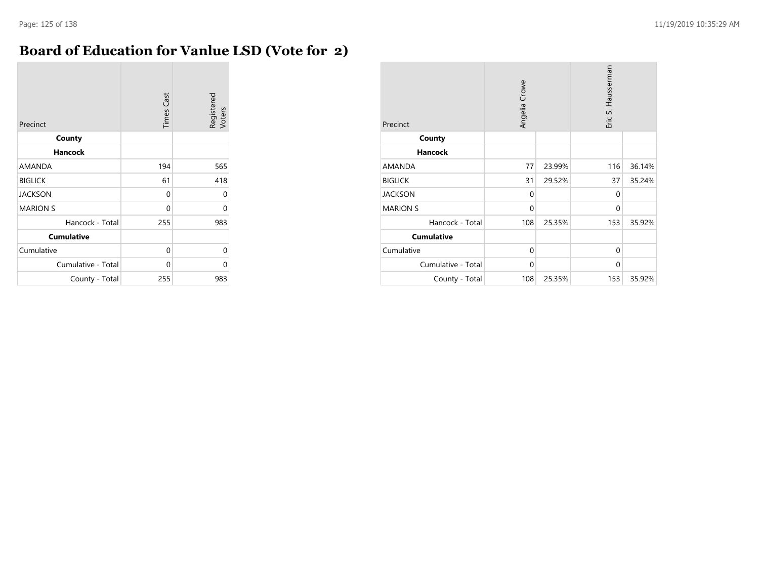### **Board of Education for Vanlue LSD (Vote for 2)**

| Precinct           | <b>Times Cast</b> | Registered<br>Voters |
|--------------------|-------------------|----------------------|
| County             |                   |                      |
| <b>Hancock</b>     |                   |                      |
| AMANDA             | 194               | 565                  |
| <b>BIGLICK</b>     | 61                | 418                  |
| <b>JACKSON</b>     | 0                 | 0                    |
| <b>MARION S</b>    | 0                 | 0                    |
| Hancock - Total    | 255               | 983                  |
| <b>Cumulative</b>  |                   |                      |
| Cumulative         | 0                 | 0                    |
| Cumulative - Total | $\Omega$          | U                    |
| County - Total     | 255               | 983                  |

| Precinct           | Angelia Crowe |        | Eric S. Hausserman |        |
|--------------------|---------------|--------|--------------------|--------|
| County             |               |        |                    |        |
| <b>Hancock</b>     |               |        |                    |        |
| <b>AMANDA</b>      | 77            | 23.99% | 116                | 36.14% |
| <b>BIGLICK</b>     | 31            | 29.52% | 37                 | 35.24% |
| <b>JACKSON</b>     | 0             |        | $\Omega$           |        |
| <b>MARION S</b>    | 0             |        | $\mathbf 0$        |        |
| Hancock - Total    | 108           | 25.35% | 153                | 35.92% |
| <b>Cumulative</b>  |               |        |                    |        |
| Cumulative         | 0             |        | $\mathbf 0$        |        |
| Cumulative - Total | $\mathbf 0$   |        | $\Omega$           |        |
| County - Total     | 108           | 25.35% | 153                | 35.92% |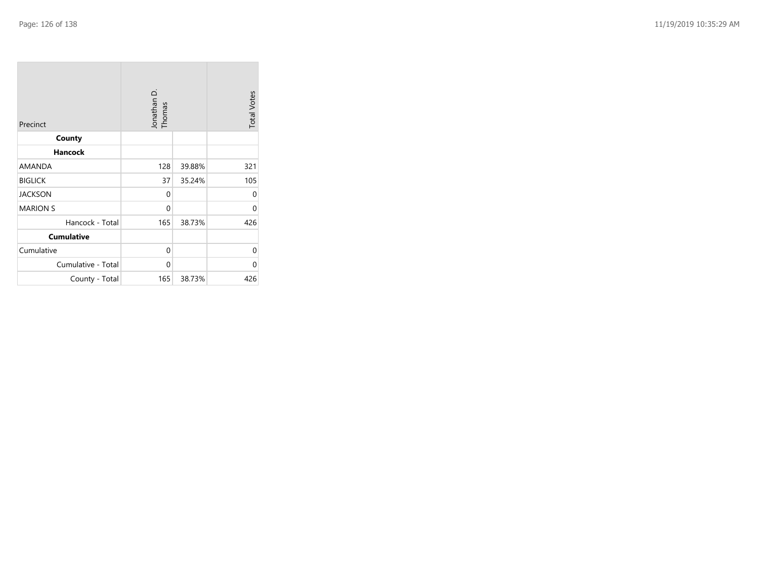| Precinct           | Jonathan D.<br>Thomas |        | <b>Total Votes</b> |
|--------------------|-----------------------|--------|--------------------|
| County             |                       |        |                    |
| <b>Hancock</b>     |                       |        |                    |
| AMANDA             | 128                   | 39.88% | 321                |
| <b>BIGLICK</b>     | 37                    | 35.24% | 105                |
| <b>JACKSON</b>     | $\Omega$              |        | 0                  |
| <b>MARION S</b>    | 0                     |        | $\Omega$           |
| Hancock - Total    | 165                   | 38.73% | 426                |
| <b>Cumulative</b>  |                       |        |                    |
| Cumulative         | $\mathbf{0}$          |        | 0                  |
| Cumulative - Total | 0                     |        | 0                  |
| County - Total     | 165                   | 38.73% | 426                |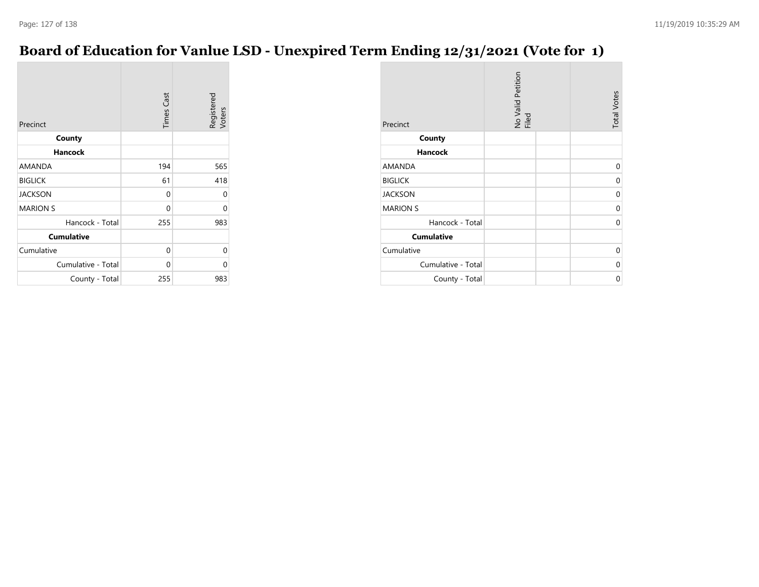### **Board of Education for Vanlue LSD - Unexpired Term Ending 12/31/2021 (Vote for 1)**

| Precinct           | <b>Times Cast</b> | Registered<br>Voters |
|--------------------|-------------------|----------------------|
| County             |                   |                      |
| <b>Hancock</b>     |                   |                      |
| AMANDA             | 194               | 565                  |
| <b>BIGLICK</b>     | 61                | 418                  |
| <b>JACKSON</b>     | 0                 | 0                    |
| <b>MARION S</b>    | 0                 | 0                    |
| Hancock - Total    | 255               | 983                  |
| <b>Cumulative</b>  |                   |                      |
| Cumulative         | 0                 | 0                    |
| Cumulative - Total | $\Omega$          | 0                    |
| County - Total     | 255               | 983                  |

| Precinct           | No Valid Petition<br>Filed | <b>Total Votes</b> |
|--------------------|----------------------------|--------------------|
| County             |                            |                    |
| <b>Hancock</b>     |                            |                    |
| <b>AMANDA</b>      |                            | 0                  |
| <b>BIGLICK</b>     |                            | $\Omega$           |
| <b>JACKSON</b>     |                            | 0                  |
| <b>MARION S</b>    |                            | $\Omega$           |
| Hancock - Total    |                            | $\Omega$           |
| <b>Cumulative</b>  |                            |                    |
| Cumulative         |                            | $\Omega$           |
| Cumulative - Total |                            | $\Omega$           |
| County - Total     |                            | 0                  |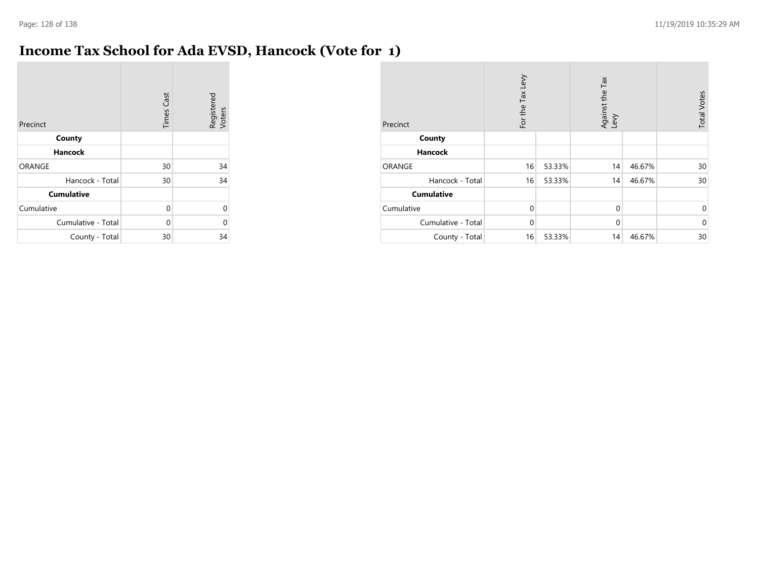$\sim$ 

# **Income Tax School for Ada EVSD, Hancock (Vote for 1)**

| Precinct           | <b>Times Cast</b> | Registered<br>Voters |
|--------------------|-------------------|----------------------|
| County             |                   |                      |
| <b>Hancock</b>     |                   |                      |
| <b>ORANGE</b>      | 30                | 34                   |
| Hancock - Total    | 30                | 34                   |
| <b>Cumulative</b>  |                   |                      |
| Cumulative         | $\Omega$          | 0                    |
| Cumulative - Total | 0                 | 0                    |
| County - Total     | 30                | 34                   |

| Precinct           | For the Tax Levy |        | Against the Tax<br>Levy |        | <b>Total Votes</b> |
|--------------------|------------------|--------|-------------------------|--------|--------------------|
| County             |                  |        |                         |        |                    |
| <b>Hancock</b>     |                  |        |                         |        |                    |
| <b>ORANGE</b>      | 16               | 53.33% | 14                      | 46.67% | 30                 |
| Hancock - Total    | 16               | 53.33% | 14                      | 46.67% | 30                 |
| <b>Cumulative</b>  |                  |        |                         |        |                    |
| Cumulative         | $\Omega$         |        | $\mathbf 0$             |        | $\mathbf 0$        |
| Cumulative - Total | $\Omega$         |        | $\mathbf 0$             |        | $\mathbf 0$        |
| County - Total     | 16               | 53.33% | 14                      | 46.67% | 30                 |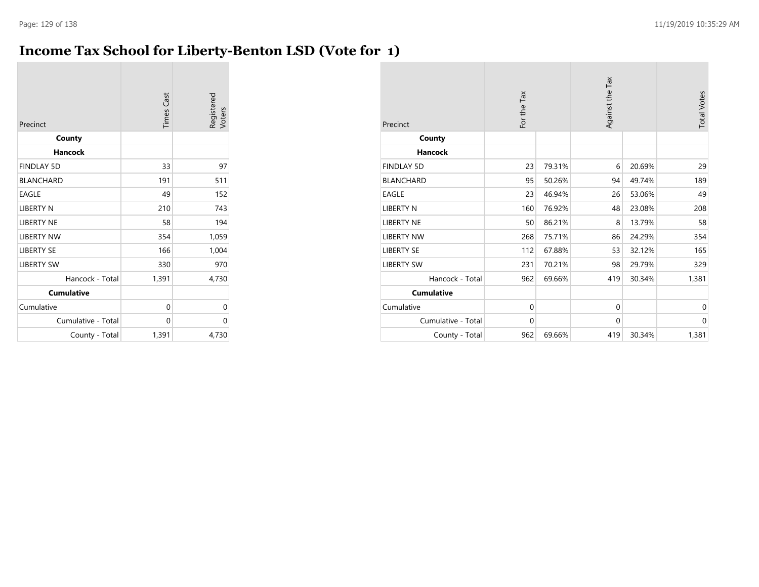### **Income Tax School for Liberty-Benton LSD (Vote for 1)**

| Precinct           | <b>Times Cast</b> | Registered<br>Voters |
|--------------------|-------------------|----------------------|
| County             |                   |                      |
| <b>Hancock</b>     |                   |                      |
| <b>FINDLAY 5D</b>  | 33                | 97                   |
| <b>BLANCHARD</b>   | 191               | 511                  |
| <b>EAGLE</b>       | 49                | 152                  |
| <b>LIBERTY N</b>   | 210               | 743                  |
| <b>LIBERTY NE</b>  | 58                | 194                  |
| <b>LIBERTY NW</b>  | 354               | 1,059                |
| <b>LIBERTY SE</b>  | 166               | 1,004                |
| <b>LIBERTY SW</b>  | 330               | 970                  |
| Hancock - Total    | 1,391             | 4,730                |
| <b>Cumulative</b>  |                   |                      |
| Cumulative         | 0                 | 0                    |
| Cumulative - Total | 0                 | 0                    |
| County - Total     | 1,391             | 4,730                |

| Precinct           | For the Tax |        | Against the Tax |        | <b>Total Votes</b> |
|--------------------|-------------|--------|-----------------|--------|--------------------|
| County             |             |        |                 |        |                    |
| <b>Hancock</b>     |             |        |                 |        |                    |
| <b>FINDLAY 5D</b>  | 23          | 79.31% | 6               | 20.69% | 29                 |
| <b>BLANCHARD</b>   | 95          | 50.26% | 94              | 49.74% | 189                |
| <b>EAGLE</b>       | 23          | 46.94% | 26              | 53.06% | 49                 |
| <b>LIBERTY N</b>   | 160         | 76.92% | 48              | 23.08% | 208                |
| <b>LIBERTY NE</b>  | 50          | 86.21% | 8               | 13.79% | 58                 |
| <b>LIBERTY NW</b>  | 268         | 75.71% | 86              | 24.29% | 354                |
| <b>LIBERTY SE</b>  | 112         | 67.88% | 53              | 32.12% | 165                |
| <b>LIBERTY SW</b>  | 231         | 70.21% | 98              | 29.79% | 329                |
| Hancock - Total    | 962         | 69.66% | 419             | 30.34% | 1,381              |
| <b>Cumulative</b>  |             |        |                 |        |                    |
| Cumulative         | 0           |        | $\mathbf{0}$    |        | 0                  |
| Cumulative - Total | $\mathbf 0$ |        | $\mathbf 0$     |        | $\mathbf{0}$       |
| County - Total     | 962         | 69.66% | 419             | 30.34% | 1,381              |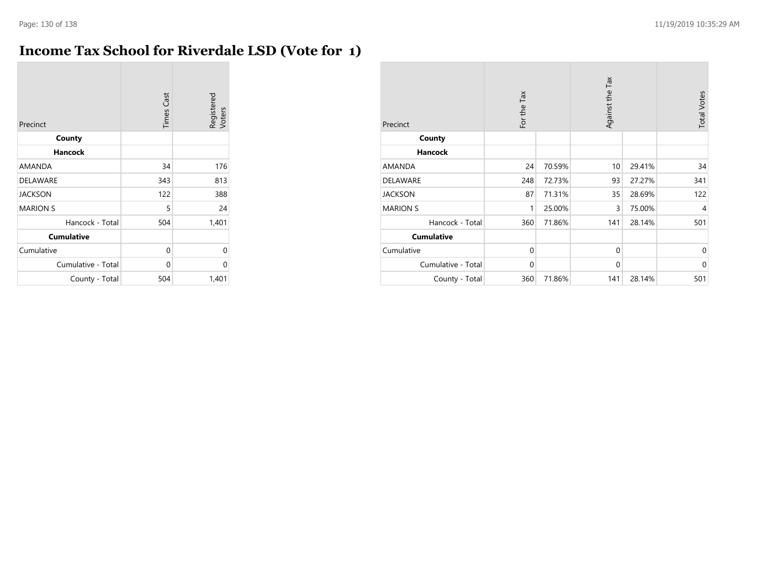### **Income Tax School for Riverdale LSD (Vote for 1)**

| Precinct           | <b>Times Cast</b> | Registered<br>Voters |
|--------------------|-------------------|----------------------|
| County             |                   |                      |
| <b>Hancock</b>     |                   |                      |
| AMANDA             | 34                | 176                  |
| DELAWARE           | 343               | 813                  |
| <b>JACKSON</b>     | 122               | 388                  |
| <b>MARION S</b>    | 5                 | 24                   |
| Hancock - Total    | 504               | 1,401                |
| <b>Cumulative</b>  |                   |                      |
| Cumulative         | 0                 | 0                    |
| Cumulative - Total | 0                 | 0                    |
| County - Total     | 504               | 1,401                |

| Precinct           | For the Tax |        | Against the Tax |        | <b>Total Votes</b> |
|--------------------|-------------|--------|-----------------|--------|--------------------|
| County             |             |        |                 |        |                    |
| <b>Hancock</b>     |             |        |                 |        |                    |
| AMANDA             | 24          | 70.59% | 10              | 29.41% | 34                 |
| <b>DELAWARE</b>    | 248         | 72.73% | 93              | 27.27% | 341                |
| <b>JACKSON</b>     | 87          | 71.31% | 35              | 28.69% | 122                |
| <b>MARION S</b>    | 1           | 25.00% | 3               | 75.00% | 4                  |
| Hancock - Total    | 360         | 71.86% | 141             | 28.14% | 501                |
| <b>Cumulative</b>  |             |        |                 |        |                    |
| Cumulative         | $\mathbf 0$ |        | 0               |        | $\mathbf 0$        |
| Cumulative - Total | $\mathbf 0$ |        | $\mathbf{0}$    |        | $\mathbf 0$        |
| County - Total     | 360         | 71.86% | 141             | 28.14% | 501                |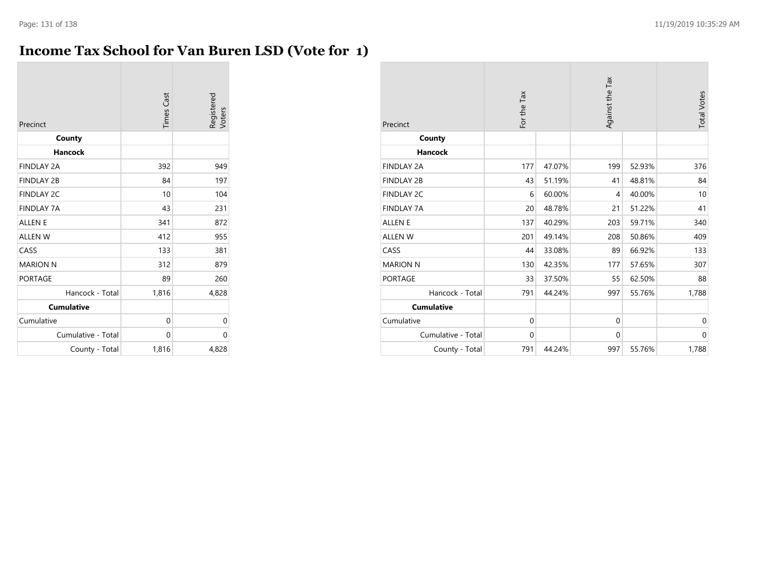### **Income Tax School for Van Buren LSD (Vote for 1)**

| Precinct           | <b>Times Cast</b> | Registered<br>Voters |
|--------------------|-------------------|----------------------|
| County             |                   |                      |
| Hancock            |                   |                      |
| <b>FINDLAY 2A</b>  | 392               | 949                  |
| <b>FINDLAY 2B</b>  | 84                | 197                  |
| <b>FINDLAY 2C</b>  | 10                | 104                  |
| <b>FINDLAY 7A</b>  | 43                | 231                  |
| <b>ALLEN E</b>     | 341               | 872                  |
| <b>ALLEN W</b>     | 412               | 955                  |
| CASS               | 133               | 381                  |
| <b>MARION N</b>    | 312               | 879                  |
| <b>PORTAGE</b>     | 89                | 260                  |
| Hancock - Total    | 1,816             | 4,828                |
| <b>Cumulative</b>  |                   |                      |
| Cumulative         | 0                 | 0                    |
| Cumulative - Total | $\Omega$          | $\Omega$             |
| County - Total     | 1,816             | 4,828                |

| Precinct           | For the Tax |        | Against the Tax |        | <b>Total Votes</b> |
|--------------------|-------------|--------|-----------------|--------|--------------------|
| County             |             |        |                 |        |                    |
| Hancock            |             |        |                 |        |                    |
| <b>FINDLAY 2A</b>  | 177         | 47.07% | 199             | 52.93% | 376                |
| <b>FINDLAY 2B</b>  | 43          | 51.19% | 41              | 48.81% | 84                 |
| <b>FINDLAY 2C</b>  | 6           | 60.00% | $\overline{4}$  | 40.00% | 10                 |
| <b>FINDLAY 7A</b>  | 20          | 48.78% | 21              | 51.22% | 41                 |
| <b>ALLEN E</b>     | 137         | 40.29% | 203             | 59.71% | 340                |
| ALLEN W            | 201         | 49.14% | 208             | 50.86% | 409                |
| CASS               | 44          | 33.08% | 89              | 66.92% | 133                |
| <b>MARION N</b>    | 130         | 42.35% | 177             | 57.65% | 307                |
| <b>PORTAGE</b>     | 33          | 37.50% | 55              | 62.50% | 88                 |
| Hancock - Total    | 791         | 44.24% | 997             | 55.76% | 1,788              |
| <b>Cumulative</b>  |             |        |                 |        |                    |
| Cumulative         | $\mathbf 0$ |        | $\mathbf 0$     |        | $\mathbf 0$        |
| Cumulative - Total | $\mathbf 0$ |        | $\mathbf{0}$    |        | $\mathbf 0$        |
| County - Total     | 791         | 44.24% | 997             | 55.76% | 1,788              |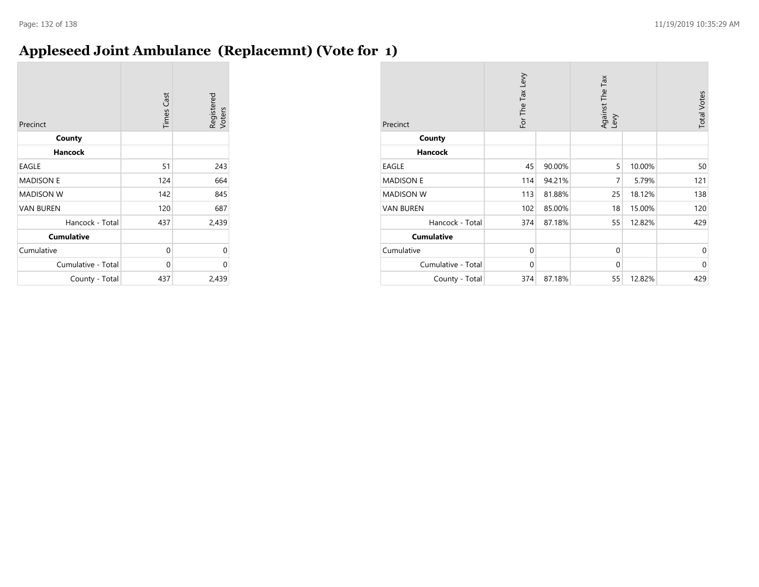### **Appleseed Joint Ambulance (Replacemnt) (Vote for 1)**

| Precinct           | <b>Times Cast</b> | Registered<br>Voters |
|--------------------|-------------------|----------------------|
| County             |                   |                      |
| <b>Hancock</b>     |                   |                      |
| EAGLE              | 51                | 243                  |
| <b>MADISON E</b>   | 124               | 664                  |
| <b>MADISON W</b>   | 142               | 845                  |
| <b>VAN BUREN</b>   | 120               | 687                  |
| Hancock - Total    | 437               | 2,439                |
| <b>Cumulative</b>  |                   |                      |
| Cumulative         | 0                 | 0                    |
| Cumulative - Total | 0                 | 0                    |
| County - Total     | 437               | 2,439                |

| Precinct           | For The Tax Levy |        | Against The Tax<br>Levy |        | <b>Total Votes</b> |
|--------------------|------------------|--------|-------------------------|--------|--------------------|
| County             |                  |        |                         |        |                    |
| <b>Hancock</b>     |                  |        |                         |        |                    |
| EAGLE              | 45               | 90.00% | 5                       | 10.00% | 50                 |
| <b>MADISON E</b>   | 114              | 94.21% | 7                       | 5.79%  | 121                |
| <b>MADISON W</b>   | 113              | 81.88% | 25                      | 18.12% | 138                |
| <b>VAN BUREN</b>   | 102              | 85.00% | 18                      | 15.00% | 120                |
| Hancock - Total    | 374              | 87.18% | 55                      | 12.82% | 429                |
| <b>Cumulative</b>  |                  |        |                         |        |                    |
| Cumulative         | $\mathbf 0$      |        | $\mathbf 0$             |        | $\Omega$           |
| Cumulative - Total | 0                |        | $\mathbf{0}$            |        | $\Omega$           |
| County - Total     | 374              | 87.18% | 55                      | 12.82% | 429                |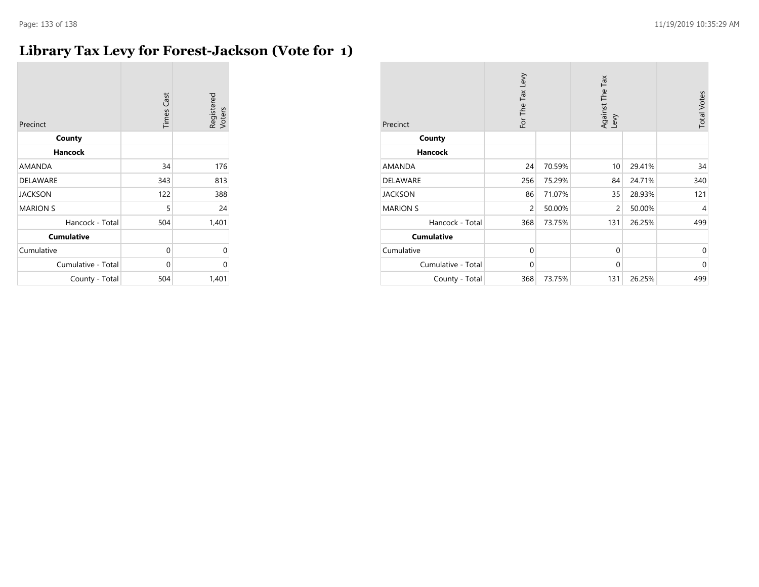### **Library Tax Levy for Forest-Jackson (Vote for 1)**

| Precinct           | <b>Times Cast</b> | Registered<br>Voters |
|--------------------|-------------------|----------------------|
| County             |                   |                      |
| <b>Hancock</b>     |                   |                      |
| AMANDA             | 34                | 176                  |
| <b>DELAWARE</b>    | 343               | 813                  |
| <b>JACKSON</b>     | 122               | 388                  |
| <b>MARION S</b>    | 5                 | 24                   |
| Hancock - Total    | 504               | 1,401                |
| <b>Cumulative</b>  |                   |                      |
| Cumulative         | 0                 | 0                    |
| Cumulative - Total | 0                 | 0                    |
| County - Total     | 504               | 1,401                |

| Precinct           | For The Tax Levy |        | Against The Tax<br>Levy |        | <b>Total Votes</b> |
|--------------------|------------------|--------|-------------------------|--------|--------------------|
| County             |                  |        |                         |        |                    |
| <b>Hancock</b>     |                  |        |                         |        |                    |
| AMANDA             | 24               | 70.59% | 10                      | 29.41% | 34                 |
| <b>DELAWARE</b>    | 256              | 75.29% | 84                      | 24.71% | 340                |
| <b>JACKSON</b>     | 86               | 71.07% | 35                      | 28.93% | 121                |
| <b>MARION S</b>    | $\overline{c}$   | 50.00% | $\overline{c}$          | 50.00% | 4                  |
| Hancock - Total    | 368              | 73.75% | 131                     | 26.25% | 499                |
| <b>Cumulative</b>  |                  |        |                         |        |                    |
| Cumulative         | $\mathbf 0$      |        | $\mathbf 0$             |        | $\mathbf{0}$       |
| Cumulative - Total | $\mathbf 0$      |        | $\mathbf{0}$            |        | $\Omega$           |
| County - Total     | 368              | 73.75% | 131                     | 26.25% | 499                |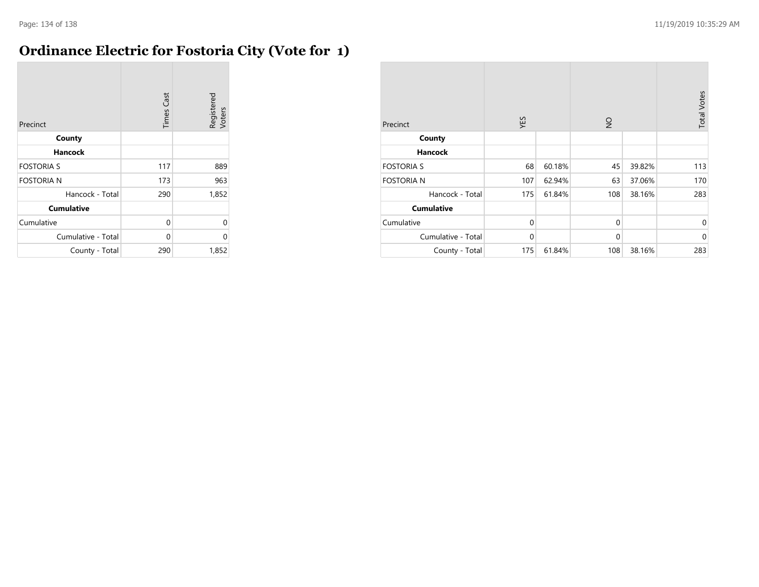### **Ordinance Electric for Fostoria City (Vote for 1)**

| Precinct           | <b>Times Cast</b> | Registered<br>Voters |
|--------------------|-------------------|----------------------|
| County             |                   |                      |
| Hancock            |                   |                      |
| <b>FOSTORIA S</b>  | 117               | 889                  |
| <b>FOSTORIA N</b>  | 173               | 963                  |
| Hancock - Total    | 290               | 1,852                |
| <b>Cumulative</b>  |                   |                      |
| Cumulative         | 0                 | U                    |
| Cumulative - Total | 0                 | 0                    |
| County - Total     | 290               | 1,852                |

| Precinct           | YES          |        | $\frac{1}{2}$ |        | <b>Total Votes</b> |
|--------------------|--------------|--------|---------------|--------|--------------------|
| County             |              |        |               |        |                    |
| <b>Hancock</b>     |              |        |               |        |                    |
| <b>FOSTORIA S</b>  | 68           | 60.18% | 45            | 39.82% | 113                |
| <b>FOSTORIA N</b>  | 107          | 62.94% | 63            | 37.06% | 170                |
| Hancock - Total    | 175          | 61.84% | 108           | 38.16% | 283                |
| <b>Cumulative</b>  |              |        |               |        |                    |
| Cumulative         | $\mathbf{0}$ |        | $\mathbf{0}$  |        | $\mathbf 0$        |
| Cumulative - Total | $\mathbf 0$  |        | $\mathbf{0}$  |        | $\mathbf 0$        |
| County - Total     | 175          | 61.84% | 108           | 38.16% | 283                |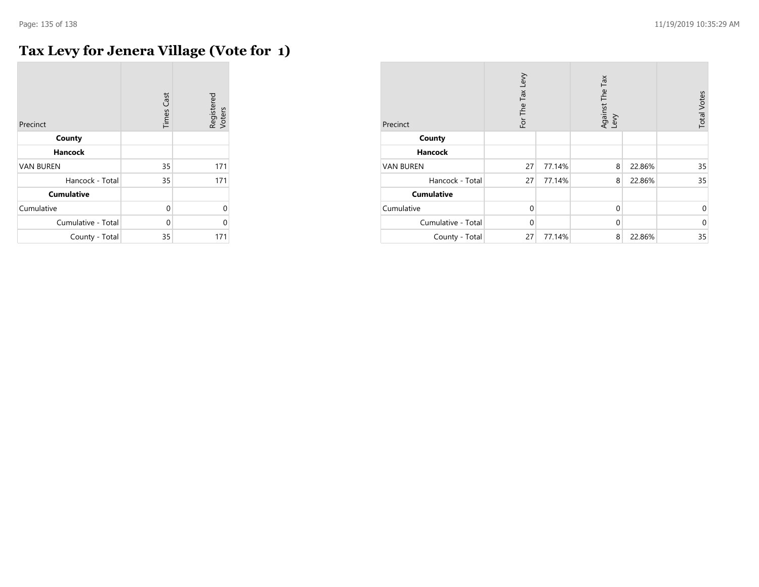$\mathcal{L}$ 

# **Tax Levy for Jenera Village (Vote for 1)**

| Precinct           | <b>Times Cast</b> | Registered<br>Voters |
|--------------------|-------------------|----------------------|
| County             |                   |                      |
| <b>Hancock</b>     |                   |                      |
| <b>VAN BUREN</b>   | 35                | 171                  |
| Hancock - Total    | 35                | 171                  |
| <b>Cumulative</b>  |                   |                      |
| Cumulative         | $\Omega$          | $\Omega$             |
| Cumulative - Total | 0                 | 0                    |
| County - Total     | 35                | 171                  |

| Precinct           | For The Tax Levy |        | Against The Tax<br>Levy |        | <b>Total Votes</b> |
|--------------------|------------------|--------|-------------------------|--------|--------------------|
| County             |                  |        |                         |        |                    |
| <b>Hancock</b>     |                  |        |                         |        |                    |
| <b>VAN BUREN</b>   | 27               | 77.14% | 8                       | 22.86% | 35                 |
| Hancock - Total    | 27               | 77.14% | 8                       | 22.86% | 35                 |
| <b>Cumulative</b>  |                  |        |                         |        |                    |
| Cumulative         | $\Omega$         |        | $\mathbf 0$             |        | $\mathbf 0$        |
| Cumulative - Total | $\Omega$         |        | $\mathbf 0$             |        | $\mathbf{0}$       |
| County - Total     | 27               | 77.14% | 8                       | 22.86% | 35                 |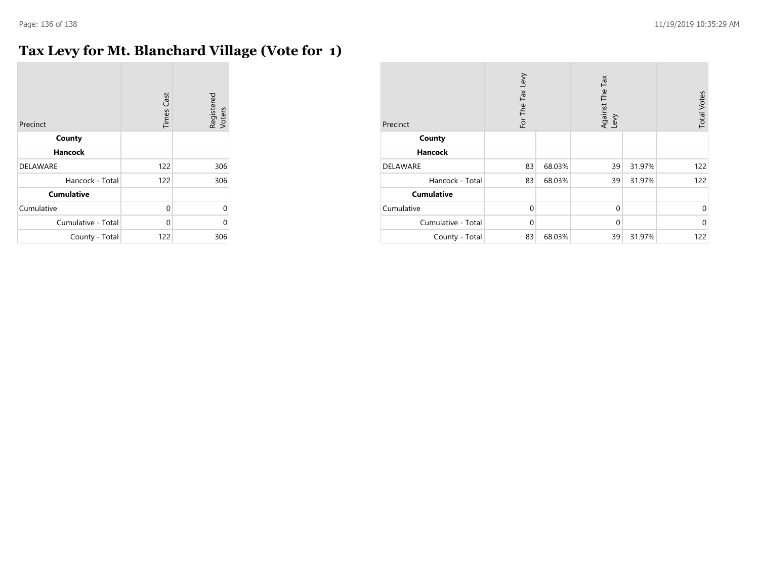### **Tax Levy for Mt. Blanchard Village (Vote for 1)**

| Precinct           | <b>Times Cast</b> | Registered<br>Voters |
|--------------------|-------------------|----------------------|
| County             |                   |                      |
| <b>Hancock</b>     |                   |                      |
| <b>DELAWARE</b>    | 122               | 306                  |
| Hancock - Total    | 122               | 306                  |
| <b>Cumulative</b>  |                   |                      |
| Cumulative         | 0                 | O                    |
| Cumulative - Total | 0                 | U                    |
| County - Total     | 122               | 306                  |

| Precinct           | For The Tax Levy |        | Against The Tax<br>Levy |        | <b>Total Votes</b> |
|--------------------|------------------|--------|-------------------------|--------|--------------------|
| County             |                  |        |                         |        |                    |
| <b>Hancock</b>     |                  |        |                         |        |                    |
| <b>DELAWARE</b>    | 83               | 68.03% | 39                      | 31.97% | 122                |
| Hancock - Total    | 83               | 68.03% | 39                      | 31.97% | 122                |
| <b>Cumulative</b>  |                  |        |                         |        |                    |
| Cumulative         | $\Omega$         |        | $\mathbf 0$             |        | $\mathbf 0$        |
| Cumulative - Total | $\Omega$         |        | $\mathbf 0$             |        | $\mathbf 0$        |
| County - Total     | 83               | 68.03% | 39                      | 31.97% | 122                |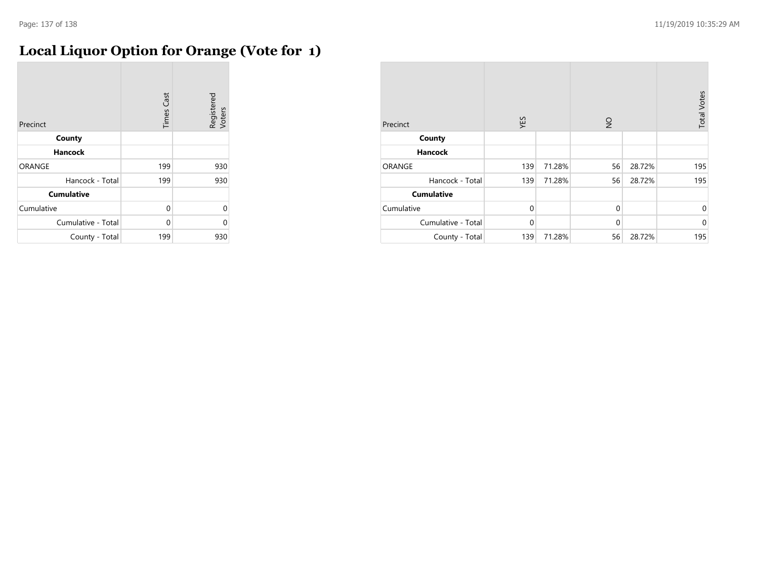# **Local Liquor Option for Orange (Vote for 1)**

| Precinct           | <b>Times Cast</b> | Registered<br>Voters |
|--------------------|-------------------|----------------------|
| County             |                   |                      |
| Hancock            |                   |                      |
| ORANGE             | 199               | 930                  |
| Hancock - Total    | 199               | 930                  |
| <b>Cumulative</b>  |                   |                      |
| Cumulative         | 0                 | $\Omega$             |
| Cumulative - Total | 0                 | 0                    |
| County - Total     | 199               | 930                  |

| Precinct           | YES          |        | $\frac{1}{2}$ |        | <b>Total Votes</b> |
|--------------------|--------------|--------|---------------|--------|--------------------|
| County             |              |        |               |        |                    |
| <b>Hancock</b>     |              |        |               |        |                    |
| ORANGE             | 139          | 71.28% | 56            | 28.72% | 195                |
| Hancock - Total    | 139          | 71.28% | 56            | 28.72% | 195                |
| <b>Cumulative</b>  |              |        |               |        |                    |
| Cumulative         | $\Omega$     |        | $\mathbf 0$   |        | $\mathbf{0}$       |
| Cumulative - Total | $\mathbf{0}$ |        | $\mathbf 0$   |        | $\mathbf{0}$       |
| County - Total     | 139          | 71.28% | 56            | 28.72% | 195                |